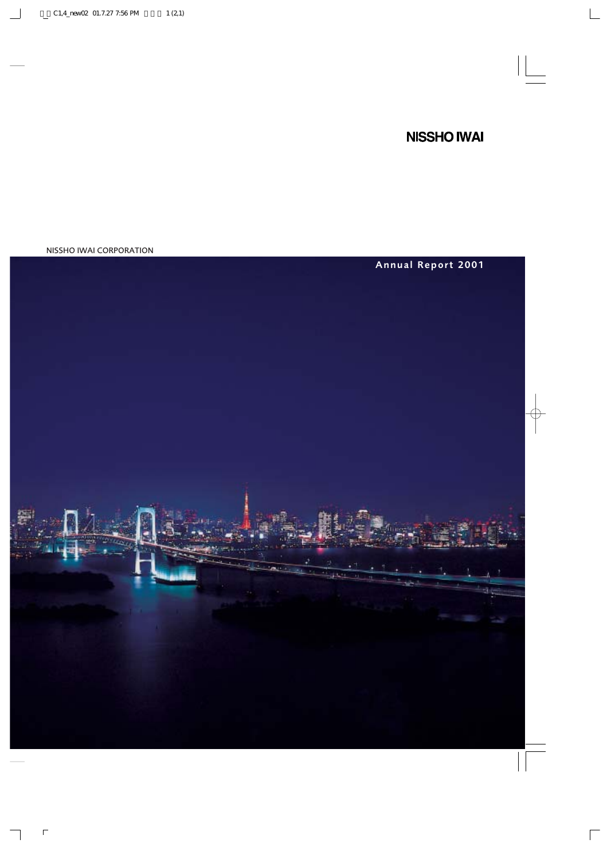# **NISSHO IWAI**

NISSHO IWAI CORPORATION

# Annual Report 2001

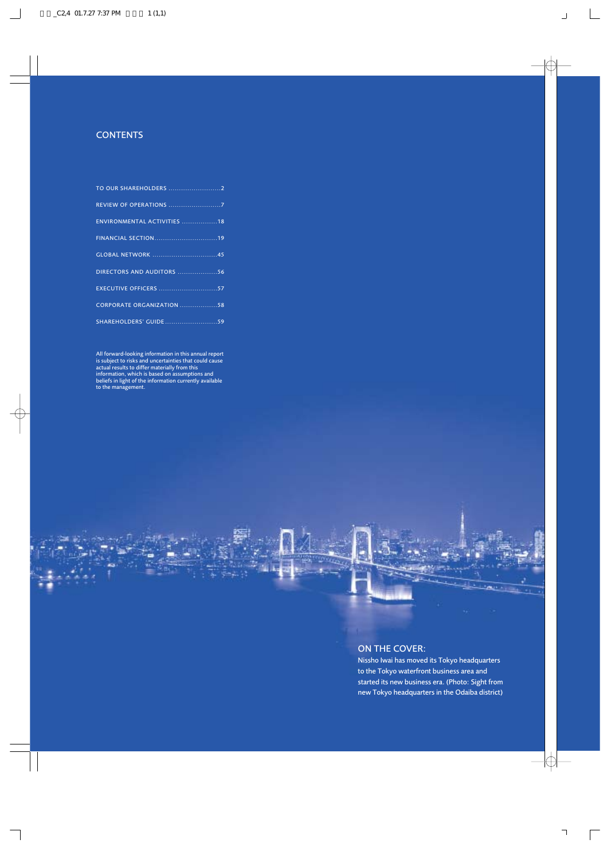### **CONTENTS**

| <b>REVIEW OF OPERATIONS 7</b> |  |
|-------------------------------|--|
| ENVIRONMENTAL ACTIVITIES 18   |  |
|                               |  |
|                               |  |
| DIRECTORS AND AUDITORS 56     |  |
|                               |  |
| CORPORATE ORGANIZATION 58     |  |
| SHAREHOLDERS' GUIDE59         |  |
|                               |  |

All forward-looking information in this annual report is subject to risks and uncertainties that could cause actual results to differ materially from this information, which is based on assumptions and beliefs in light of the information currently available to the management.

### ON THE COVER:

Nissho Iwai has moved its Tokyo headquarters to the Tokyo waterfront business area and started its new business era. (Photo: Sight from new Tokyo headquarters in the Odaiba district)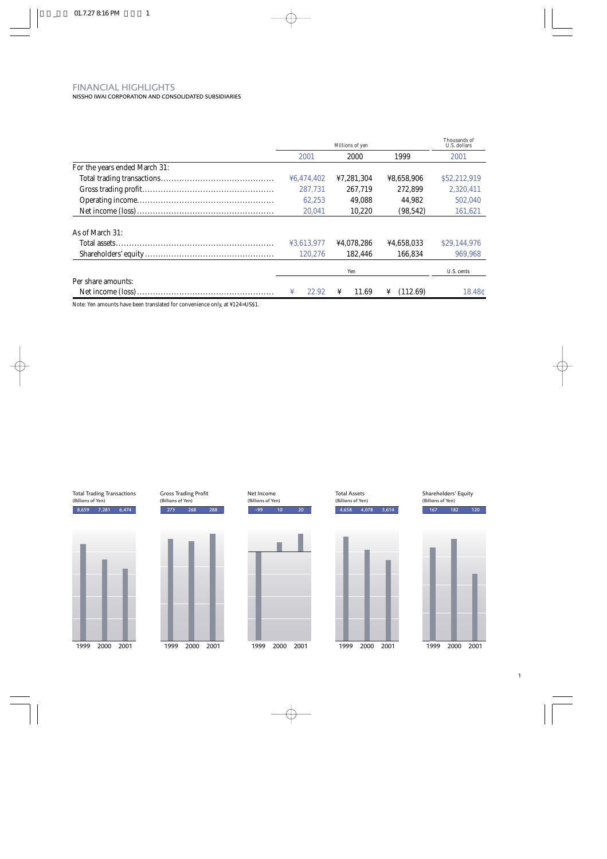## FINANCIAL HIGHLIGHTS

NISSHO IWAI CORPORATION AND CONSOLIDATED SUBSIDIARIES

|                               | Millions of yen |            |               | Thousands of<br>U.S. dollars |  |
|-------------------------------|-----------------|------------|---------------|------------------------------|--|
|                               | 2001            | 2000       | 1999          | 2001                         |  |
| For the years ended March 31: |                 |            |               |                              |  |
|                               | ¥6,474,402      | ¥7,281,304 | ¥8,658,906    | \$52,212,919                 |  |
|                               | 287.731         | 267.719    | 272.899       | 2,320,411                    |  |
|                               | 62,253          | 49.088     | 44.982        | 502.040                      |  |
|                               | 20.041          | 10.220     | (98, 542)     | 161,621                      |  |
| As of March 31:               |                 |            |               |                              |  |
|                               | ¥3.613.977      | ¥4.078.286 | ¥4.658.033    | \$29,144,976                 |  |
|                               | 120.276         | 182.446    | 166.834       | 969.968                      |  |
|                               |                 | Yen        |               | U.S. cents                   |  |
| Per share amounts:            |                 |            |               |                              |  |
|                               | 22.92<br>¥      | ¥<br>11.69 | (112.69)<br>¥ | 18.48¢                       |  |

Note: Yen amounts have been translated for convenience only, at ¥124=US\$1.

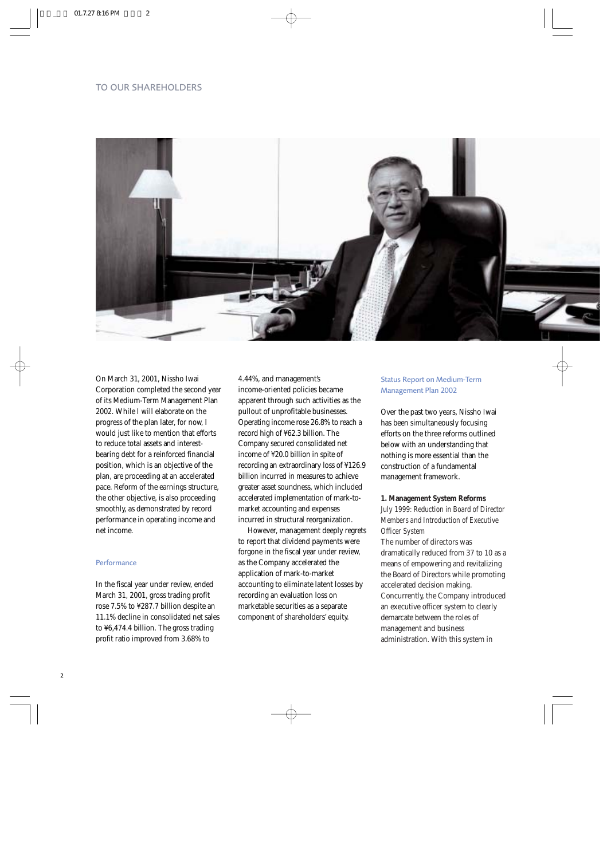### TO OUR SHAREHOLDERS



On March 31, 2001, Nissho Iwai Corporation completed the second year of its Medium-Term Management Plan 2002. While I will elaborate on the progress of the plan later, for now, I would just like to mention that efforts to reduce total assets and interestbearing debt for a reinforced financial position, which is an objective of the plan, are proceeding at an accelerated pace. Reform of the earnings structure, the other objective, is also proceeding smoothly, as demonstrated by record performance in operating income and net income.

### Performance

In the fiscal year under review, ended March 31, 2001, gross trading profit rose 7.5% to ¥287.7 billion despite an 11.1% decline in consolidated net sales to ¥6,474.4 billion. The gross trading profit ratio improved from 3.68% to

4.44%, and management's income-oriented policies became apparent through such activities as the pullout of unprofitable businesses. Operating income rose 26.8% to reach a record high of ¥62.3 billion. The Company secured consolidated net income of ¥20.0 billion in spite of recording an extraordinary loss of ¥126.9 billion incurred in measures to achieve greater asset soundness, which included accelerated implementation of mark-tomarket accounting and expenses incurred in structural reorganization.

However, management deeply regrets to report that dividend payments were forgone in the fiscal year under review, as the Company accelerated the application of mark-to-market accounting to eliminate latent losses by recording an evaluation loss on marketable securities as a separate component of shareholders' equity.

### Status Report on Medium-Term Management Plan 2002

Over the past two years, Nissho Iwai has been simultaneously focusing efforts on the three reforms outlined below with an understanding that nothing is more essential than the construction of a fundamental management framework.

### **1. Management System Reforms** *July 1999: Reduction in Board of Director Members and Introduction of Executive Officer System*

The number of directors was dramatically reduced from 37 to 10 as a means of empowering and revitalizing the Board of Directors while promoting accelerated decision making. Concurrently, the Company introduced an executive officer system to clearly demarcate between the roles of management and business administration. With this system in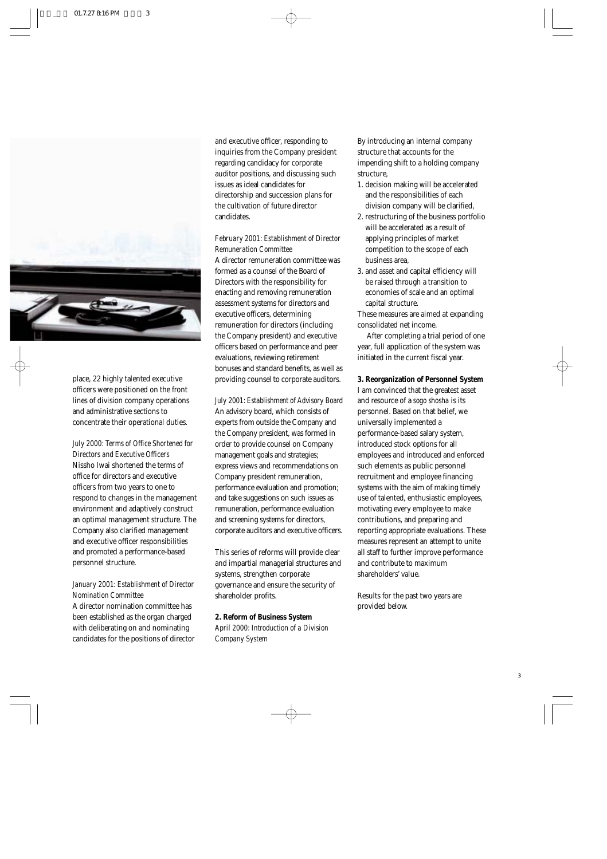

place, 22 highly talented executive officers were positioned on the front lines of division company operations and administrative sections to concentrate their operational duties.

*July 2000: Terms of Office Shortened for Directors and Executive Officers* Nissho Iwai shortened the terms of office for directors and executive officers from two years to one to respond to changes in the management environment and adaptively construct an optimal management structure. The Company also clarified management and executive officer responsibilities and promoted a performance-based personnel structure.

### *January 2001: Establishment of Director Nomination Committee*

A director nomination committee has been established as the organ charged with deliberating on and nominating candidates for the positions of director and executive officer, responding to inquiries from the Company president regarding candidacy for corporate auditor positions, and discussing such issues as ideal candidates for directorship and succession plans for the cultivation of future director candidates.

*February 2001: Establishment of Director Remuneration Committee*

A director remuneration committee was formed as a counsel of the Board of Directors with the responsibility for enacting and removing remuneration assessment systems for directors and executive officers, determining remuneration for directors (including the Company president) and executive officers based on performance and peer evaluations, reviewing retirement bonuses and standard benefits, as well as providing counsel to corporate auditors.

*July 2001: Establishment of Advisory Board* An advisory board, which consists of experts from outside the Company and the Company president, was formed in order to provide counsel on Company management goals and strategies; express views and recommendations on Company president remuneration, performance evaluation and promotion; and take suggestions on such issues as remuneration, performance evaluation and screening systems for directors, corporate auditors and executive officers.

This series of reforms will provide clear and impartial managerial structures and systems, strengthen corporate governance and ensure the security of shareholder profits.

**2. Reform of Business System** *April 2000: Introduction of a Division Company System*

By introducing an internal company structure that accounts for the impending shift to a holding company structure,

- 1. decision making will be accelerated and the responsibilities of each division company will be clarified,
- 2. restructuring of the business portfolio will be accelerated as a result of applying principles of market competition to the scope of each business area,
- 3. and asset and capital efficiency will be raised through a transition to economies of scale and an optimal capital structure.

These measures are aimed at expanding consolidated net income.

After completing a trial period of one year, full application of the system was initiated in the current fiscal year.

**3. Reorganization of Personnel System** I am convinced that the greatest asset and resource of a *sogo shosha* is its personnel. Based on that belief, we universally implemented a performance-based salary system, introduced stock options for all employees and introduced and enforced such elements as public personnel recruitment and employee financing systems with the aim of making timely use of talented, enthusiastic employees, motivating every employee to make contributions, and preparing and reporting appropriate evaluations. These measures represent an attempt to unite all staff to further improve performance and contribute to maximum shareholders' value.

Results for the past two years are provided below.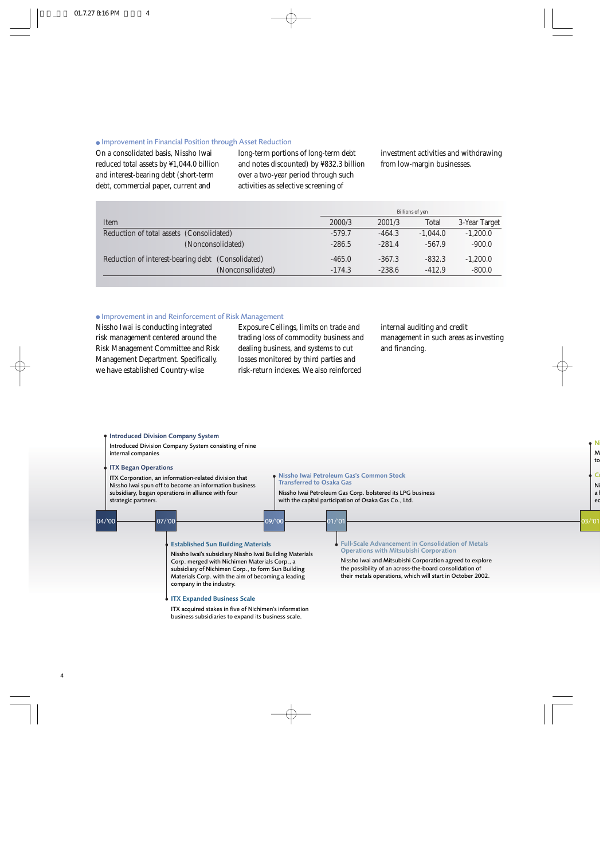#### ● Improvement in Financial Position through Asset Reduction

On a consolidated basis, Nissho Iwai reduced total assets by ¥1,044.0 billion and interest-bearing debt (short-term debt, commercial paper, current and

long-term portions of long-term debt and notes discounted) by ¥832.3 billion over a two-year period through such activities as selective screening of

investment activities and withdrawing from low-margin businesses.

|                                                   |          | Billions of yen |              |               |
|---------------------------------------------------|----------|-----------------|--------------|---------------|
| Item                                              | 2000/3   | 2001/3          | <b>Total</b> | 3-Year Target |
| Reduction of total assets (Consolidated)          | $-579.7$ | $-464.3$        | $-1.044.0$   | $-1,200.0$    |
| (Nonconsolidated)                                 | $-286.5$ | $-281.4$        | $-567.9$     | $-900.0$      |
| Reduction of interest-bearing debt (Consolidated) | $-465.0$ | $-367.3$        | $-832.3$     | $-1,200.0$    |
| (Nonconsolidated)                                 | $-174.3$ | $-238.6$        | $-412.9$     | $-800.0$      |
|                                                   |          |                 |              |               |

### ● Improvement in and Reinforcement of Risk Management

Nissho Iwai is conducting integrated risk management centered around the Risk Management Committee and Risk Management Department. Specifically, we have established Country-wise

Exposure Ceilings, limits on trade and trading loss of commodity business and dealing business, and systems to cut losses monitored by third parties and risk-return indexes. We also reinforced

internal auditing and credit management in such areas as investing and financing.

### Introduced Division Company System

Introduced Division Company System consisting of nine internal companies

### ITX Began Operations

ITX Corporation, an information-related division that Nissho Iwai spun off to become an information business subsidiary, began operations in alliance with four strategic partners.

#### Nissho Iwai Petroleum Gas's Common Stock Transferred to Osaka Gas

Nissho Iwai Petroleum Gas Corp. bolstered its LPG business with the capital participation of Osaka Gas Co., Ltd.

| 104/00 | 07/00<br>09/'00                                                                                                                                                                                                                                                                               | 01/'01                                                                                                                                                                                                                                                                                  |
|--------|-----------------------------------------------------------------------------------------------------------------------------------------------------------------------------------------------------------------------------------------------------------------------------------------------|-----------------------------------------------------------------------------------------------------------------------------------------------------------------------------------------------------------------------------------------------------------------------------------------|
|        | <b>Established Sun Building Materials</b><br>Nissho Iwai's subsidiary Nissho Iwai Building Materials<br>Corp. merged with Nichimen Materials Corp., a<br>subsidiary of Nichimen Corp., to form Sun Building<br>Materials Corp. with the aim of becoming a leading<br>company in the industry. | Eull-Scale Advancement in Consolidation of Metals<br><b>Operations with Mitsubishi Corporation</b><br>Nissho Iwai and Mitsubishi Corporation agreed to explore<br>the possibility of an across-the-board consolidation of<br>their metals operations, which will start in October 2002. |
|        | ITX Expanded Business Scale<br>ITX acquired stakes in five of Nichimen's information<br>business subsidiaries to expand its business scale.                                                                                                                                                   |                                                                                                                                                                                                                                                                                         |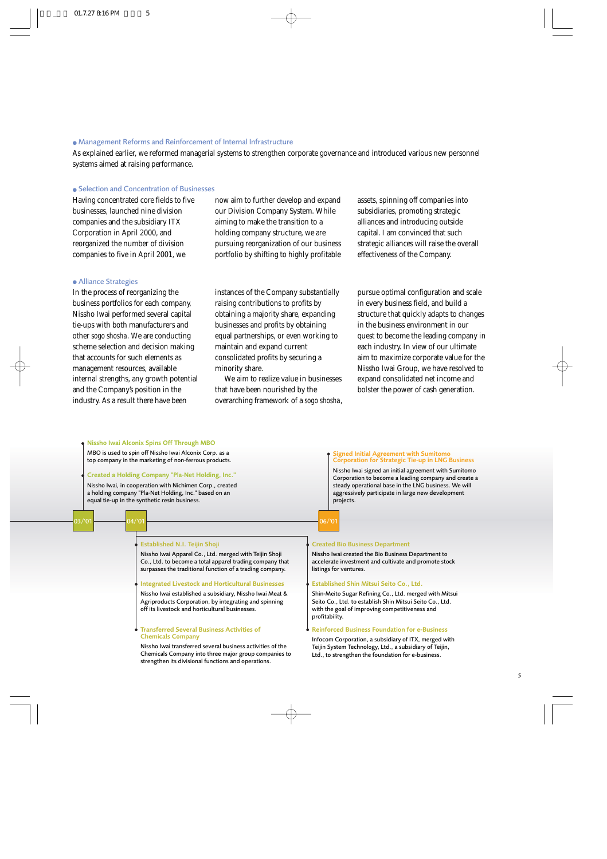#### ● Management Reforms and Reinforcement of Internal Infrastructure

As explained earlier, we reformed managerial systems to strengthen corporate governance and introduced various new personnel systems aimed at raising performance.

### ● Selection and Concentration of Businesses

Having concentrated core fields to five businesses, launched nine division companies and the subsidiary ITX Corporation in April 2000, and reorganized the number of division companies to five in April 2001, we

now aim to further develop and expand our Division Company System. While aiming to make the transition to a holding company structure, we are pursuing reorganization of our business portfolio by shifting to highly profitable assets, spinning off companies into subsidiaries, promoting strategic alliances and introducing outside capital. I am convinced that such strategic alliances will raise the overall effectiveness of the Company.

#### ● Alliance Strategies

In the process of reorganizing the business portfolios for each company, Nissho Iwai performed several capital tie-ups with both manufacturers and other *sogo shosha*. We are conducting scheme selection and decision making that accounts for such elements as management resources, available internal strengths, any growth potential and the Company's position in the industry. As a result there have been

instances of the Company substantially raising contributions to profits by obtaining a majority share, expanding businesses and profits by obtaining equal partnerships, or even working to maintain and expand current consolidated profits by securing a minority share.

We aim to realize value in businesses that have been nourished by the overarching framework of a *sogo shosha*, pursue optimal configuration and scale in every business field, and build a structure that quickly adapts to changes in the business environment in our quest to become the leading company in each industry. In view of our ultimate aim to maximize corporate value for the Nissho Iwai Group, we have resolved to expand consolidated net income and bolster the power of cash generation.

#### 03/'01 06/'01 Created Bio Business Department Nissho Iwai created the Bio Business Department to accelerate investment and cultivate and promote stock listings for ventures. Established Shin Mitsui Seito Co., Ltd. Shin-Meito Sugar Refining Co., Ltd. merged with Mitsui Seito Co., Ltd. to establish Shin Mitsui Seito Co., Ltd. with the goal of improving competitiveness and profitability. Reinforced Business Foundation for e-Business Infocom Corporation, a subsidiary of ITX, merged with Teijin System Technology, Ltd., a subsidiary of Teijin, Ltd., to strengthen the foundation for e-business. Established N.I. Teijin Shoji Nissho Iwai Apparel Co., Ltd. merged with Teijin Shoji Co., Ltd. to become a total apparel trading company that surpasses the traditional function of a trading company. Integrated Livestock and Horticultural Businesses Nissho Iwai established a subsidiary, Nissho Iwai Meat & Agriproducts Corporation, by integrating and spinning off its livestock and horticultural businesses. Transferred Several Business Activities of Chemicals Company Nissho Iwai transferred several business activities of the Chemicals Company into three major group companies to strengthen its divisional functions and operations. Nissho Iwai Alconix Spins Off Through MBO MBO is used to spin off Nissho Iwai Alconix Corp. as a top company in the marketing of non-ferrous products. Created a Holding Company "Pla-Net Holding, Inc." Nissho Iwai, in cooperation with Nichimen Corp., created a holding company "Pla-Net Holding, Inc." based on an equal tie-up in the synthetic resin business. Signed Initial Agreement with Sumitomo Corporation for Strategic Tie-up in LNG Business Nissho Iwai signed an initial agreement with Sumitomo Corporation to become a leading company and create a steady operational base in the LNG business. We will aggressively participate in large new development projects.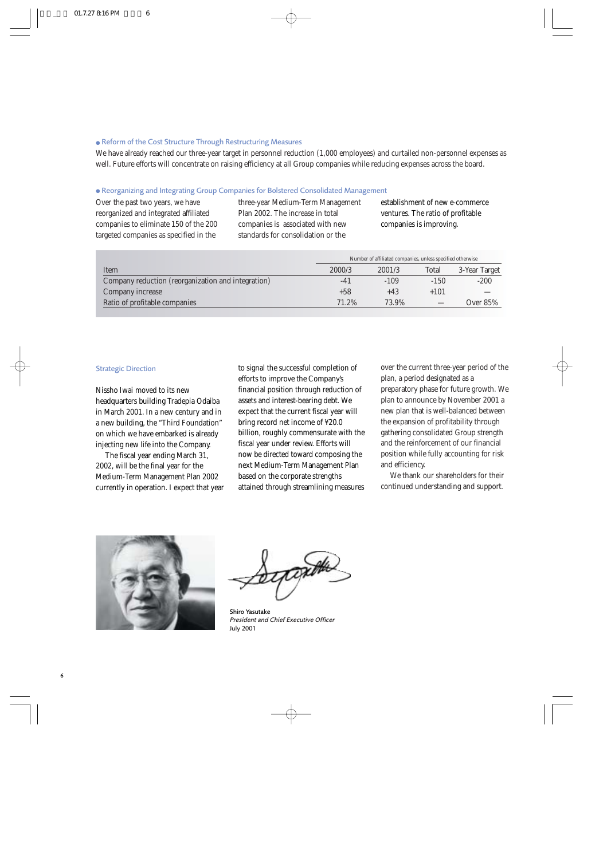### ● Reform of the Cost Structure Through Restructuring Measures

We have already reached our three-year target in personnel reduction (1,000 employees) and curtailed non-personnel expenses as well. Future efforts will concentrate on raising efficiency at all Group companies while reducing expenses across the board.

### ● Reorganizing and Integrating Group Companies for Bolstered Consolidated Management

Over the past two years, we have reorganized and integrated affiliated companies to eliminate 150 of the 200 targeted companies as specified in the

three-year Medium-Term Management Plan 2002. The increase in total companies is associated with new standards for consolidation or the

establishment of new e-commerce ventures. The ratio of profitable companies is improving.

|                                                    | Number of affiliated companies, unless specified otherwise |        |        |               |
|----------------------------------------------------|------------------------------------------------------------|--------|--------|---------------|
| Item                                               | 2000/3                                                     | 2001/3 | Total  | 3-Year Target |
| Company reduction (reorganization and integration) | -41                                                        | $-109$ | $-150$ | $-200$        |
| Company increase                                   | $+58$                                                      | $+43$  | $+101$ |               |
| Ratio of profitable companies                      | 71.2%                                                      | 73.9%  |        | Over 85%      |

### Strategic Direction

Nissho Iwai moved to its new headquarters building Tradepia Odaiba in March 2001. In a new century and in a new building, the "Third Foundation" on which we have embarked is already injecting new life into the Company.

The fiscal year ending March 31, 2002, will be the final year for the Medium-Term Management Plan 2002 currently in operation. I expect that year to signal the successful completion of efforts to improve the Company's financial position through reduction of assets and interest-bearing debt. We expect that the current fiscal year will bring record net income of ¥20.0 billion, roughly commensurate with the fiscal year under review. Efforts will now be directed toward composing the next Medium-Term Management Plan based on the corporate strengths attained through streamlining measures

over the current three-year period of the plan, a period designated as a

preparatory phase for future growth. We plan to announce by November 2001 a new plan that is well-balanced between the expansion of profitability through gathering consolidated Group strength and the reinforcement of our financial position while fully accounting for risk and efficiency.

We thank our shareholders for their continued understanding and support.



Shiro Yasutake *President and Chief Executive Officer* July 2001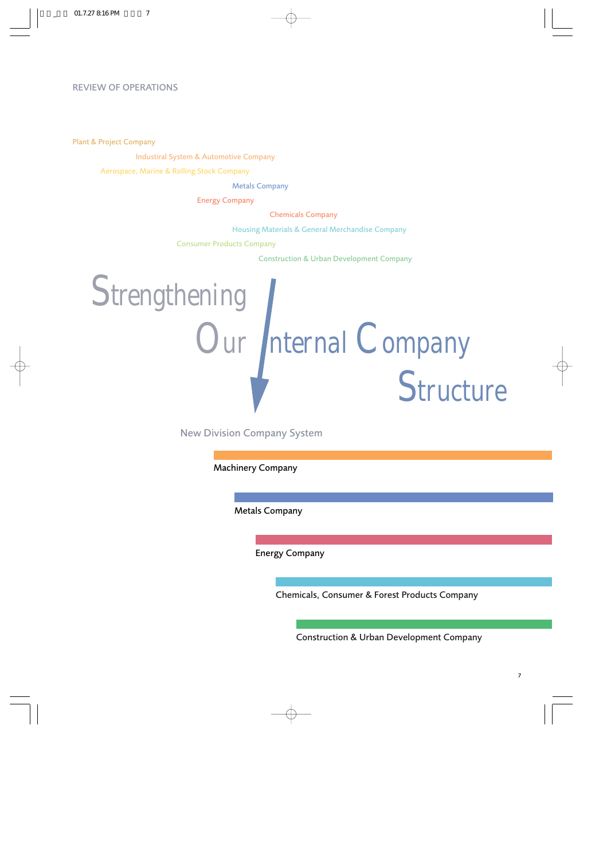## REVIEW OF OPERATIONS

Plant & Project Company

Industiral System & Automotive Company

Aerospace, Marine & Rolling Stock Company

Metals Company

Energy Company

Chemicals Company

Housing Materials & General Merchandise Company

Consumer Products Company

Construction & Urban Development Company



New Division Company System

Machinery Company

Metals Company

Energy Company

Chemicals, Consumer & Forest Products Company

Construction & Urban Development Company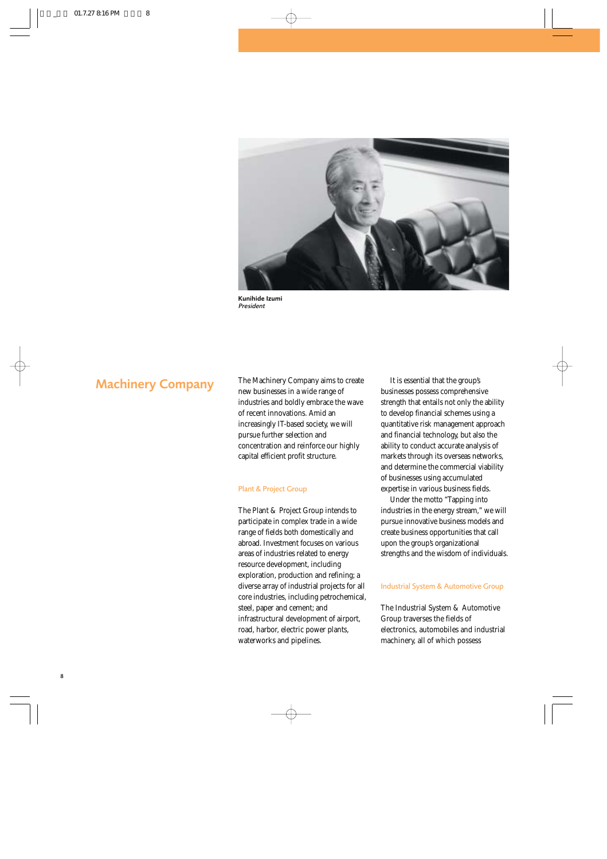

Kunihide Izumi *President*

Machinery Company The Machinery Company aims to create new businesses in a wide range of industries and boldly embrace the wave of recent innovations. Amid an increasingly IT-based society, we will pursue further selection and concentration and reinforce our highly capital efficient profit structure.

#### Plant & Project Group

The Plant & Project Group intends to participate in complex trade in a wide range of fields both domestically and abroad. Investment focuses on various areas of industries related to energy resource development, including exploration, production and refining; a diverse array of industrial projects for all core industries, including petrochemical, steel, paper and cement; and infrastructural development of airport, road, harbor, electric power plants, waterworks and pipelines.

It is essential that the group's businesses possess comprehensive strength that entails not only the ability to develop financial schemes using a quantitative risk management approach and financial technology, but also the ability to conduct accurate analysis of markets through its overseas networks, and determine the commercial viability of businesses using accumulated expertise in various business fields.

Under the motto "Tapping into industries in the energy stream," we will pursue innovative business models and create business opportunities that call upon the group's organizational strengths and the wisdom of individuals.

### Industrial System & Automotive Group

The Industrial System & Automotive Group traverses the fields of electronics, automobiles and industrial machinery, all of which possess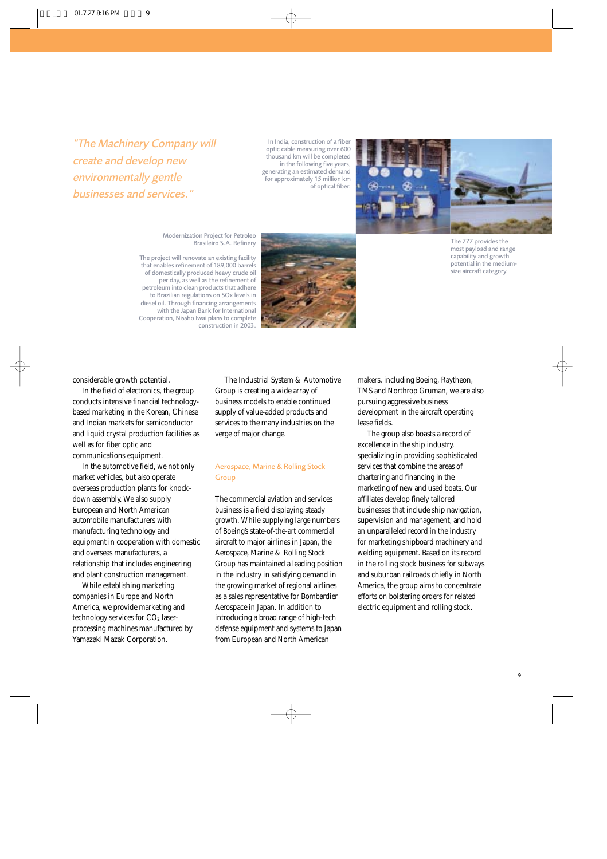*"The Machinery Company will create and develop new environmentally gentle businesses and services."*

In India, construction of a fiber optic cable measuring over 600 thousand km will be completed in the following five years, generating an estimated demand for approximately 15 million km of optical fiber.



Modernization Project for Petroleo Brasileiro S.A. Refinery

The project will renovate an existing facility that enables refinement of 189,000 barrels of domestically produced heavy crude oil per day, as well as the refinement of petroleum into clean products that adhere to Brazilian regulations on SOx levels in diesel oil. Through financing arrangements with the Japan Bank for International Cooperation, Nissho Iwai plans to complete construction in 2003.



The 777 provides the most payload and range capability and growth potential in the mediumsize aircraft category.

considerable growth potential.

In the field of electronics, the group conducts intensive financial technologybased marketing in the Korean, Chinese and Indian markets for semiconductor and liquid crystal production facilities as well as for fiber optic and communications equipment.

In the automotive field, we not only market vehicles, but also operate overseas production plants for knockdown assembly. We also supply European and North American automobile manufacturers with manufacturing technology and equipment in cooperation with domestic and overseas manufacturers, a relationship that includes engineering and plant construction management.

While establishing marketing companies in Europe and North America, we provide marketing and technology services for CO<sub>2</sub> laserprocessing machines manufactured by Yamazaki Mazak Corporation.

The Industrial System & Automotive Group is creating a wide array of business models to enable continued supply of value-added products and services to the many industries on the verge of major change.

### Aerospace, Marine & Rolling Stock **Group**

The commercial aviation and services business is a field displaying steady growth. While supplying large numbers of Boeing's state-of-the-art commercial aircraft to major airlines in Japan, the Aerospace, Marine & Rolling Stock Group has maintained a leading position in the industry in satisfying demand in the growing market of regional airlines as a sales representative for Bombardier Aerospace in Japan. In addition to introducing a broad range of high-tech defense equipment and systems to Japan from European and North American

makers, including Boeing, Raytheon, TMS and Northrop Gruman, we are also pursuing aggressive business development in the aircraft operating lease fields.

The group also boasts a record of excellence in the ship industry, specializing in providing sophisticated services that combine the areas of chartering and financing in the marketing of new and used boats. Our affiliates develop finely tailored businesses that include ship navigation, supervision and management, and hold an unparalleled record in the industry for marketing shipboard machinery and welding equipment. Based on its record in the rolling stock business for subways and suburban railroads chiefly in North America, the group aims to concentrate efforts on bolstering orders for related electric equipment and rolling stock.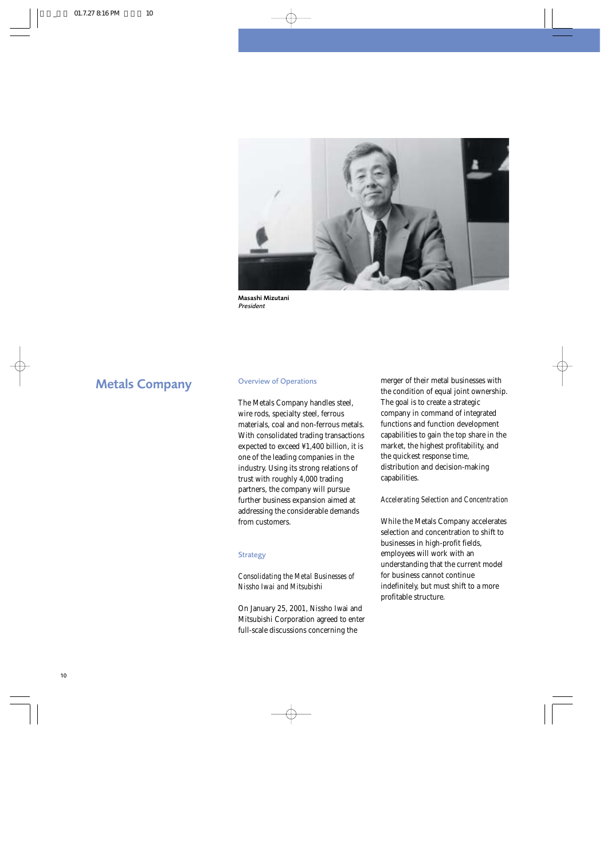

Masashi Mizutani *President*

# Metals Company Overview of Operations

The Metals Company handles steel, wire rods, specialty steel, ferrous materials, coal and non-ferrous metals. With consolidated trading transactions expected to exceed ¥1,400 billion, it is one of the leading companies in the industry. Using its strong relations of trust with roughly 4,000 trading partners, the company will pursue further business expansion aimed at addressing the considerable demands from customers.

### **Strategy**

### *Consolidating the Metal Businesses of Nissho Iwai and Mitsubishi*

On January 25, 2001, Nissho Iwai and Mitsubishi Corporation agreed to enter full-scale discussions concerning the

merger of their metal businesses with the condition of equal joint ownership. The goal is to create a strategic company in command of integrated functions and function development capabilities to gain the top share in the market, the highest profitability, and the quickest response time, distribution and decision-making capabilities.

### *Accelerating Selection and Concentration*

While the Metals Company accelerates selection and concentration to shift to businesses in high-profit fields, employees will work with an understanding that the current model for business cannot continue indefinitely, but must shift to a more profitable structure.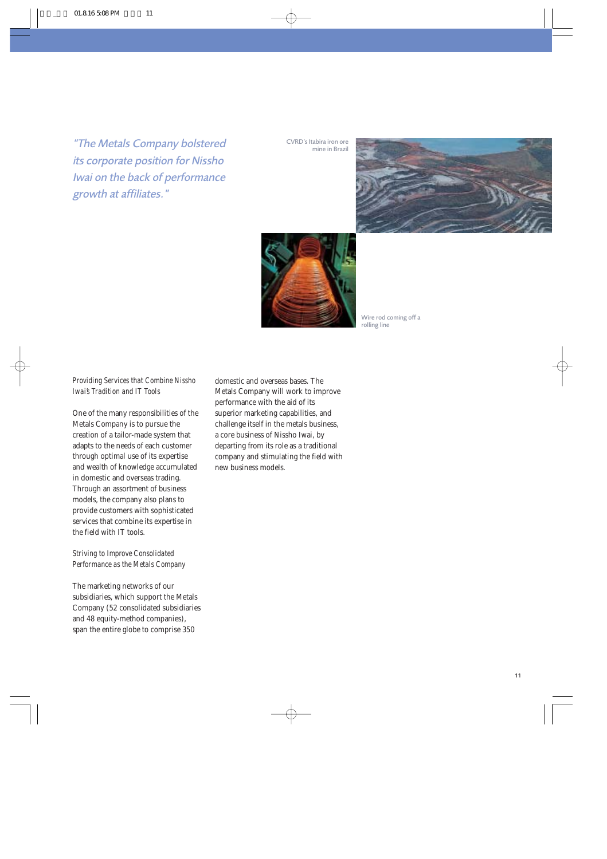*"The Metals Company bolstered its corporate position for Nissho Iwai on the back of performance growth at affiliates."*

CVRD's Itabira iron ore mine in Brazil





Wire rod coming off a rolling line

### *Providing Services that Combine Nissho Iwai's Tradition and IT Tools*

One of the many responsibilities of the Metals Company is to pursue the creation of a tailor-made system that adapts to the needs of each customer through optimal use of its expertise and wealth of knowledge accumulated in domestic and overseas trading. Through an assortment of business models, the company also plans to provide customers with sophisticated services that combine its expertise in the field with IT tools.

### *Striving to Improve Consolidated Performance as the Metals Company*

The marketing networks of our subsidiaries, which support the Metals Company (52 consolidated subsidiaries and 48 equity-method companies), span the entire globe to comprise 350

domestic and overseas bases. The Metals Company will work to improve performance with the aid of its superior marketing capabilities, and challenge itself in the metals business, a core business of Nissho Iwai, by departing from its role as a traditional company and stimulating the field with new business models.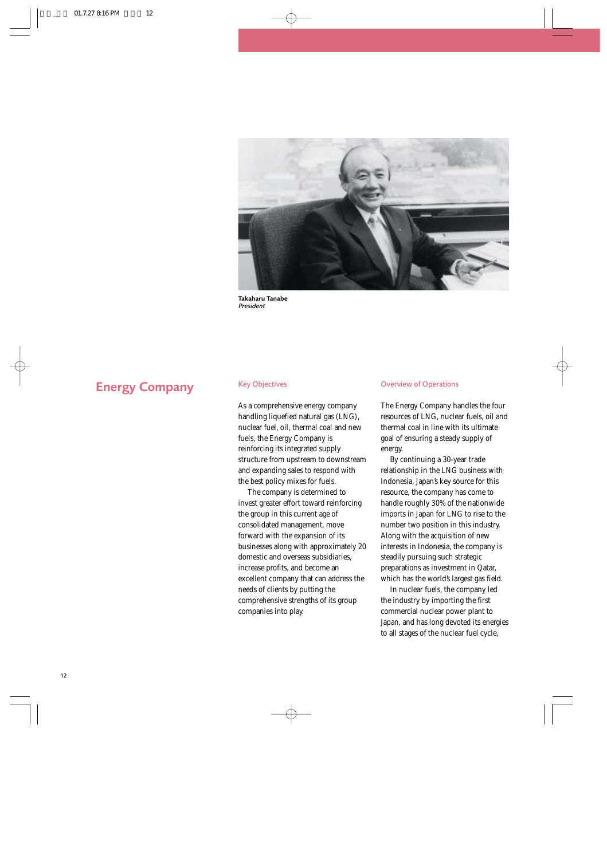

Takaharu Tanabe *President*

# **Energy Company** Key Objectives

As a comprehensive energy company handling liquefied natural gas (LNG). nuclear fuel, oil, thermal coal and new fuels, the Energy Company is reinforcing its integrated supply structure from upstream to downstream and expanding sales to respond with the best policy mixes for fuels.

The company is determined to invest greater effort toward reinforcing the group in this current age of consolidated management, move forward with the expansion of its businesses along with approximately 20 domestic and overseas subsidiaries, increase profits, and become an excellent company that can address the needs of clients by putting the comprehensive strengths of its group companies into play.

### Overview of Operations

The Energy Company handles the four resources of LNG, nuclear fuels, oil and thermal coal in line with its ultimate goal of ensuring a steady supply of energy.

By continuing a 30-year trade relationship in the LNG business with Indonesia, Japan's key source for this resource, the company has come to handle roughly 30% of the nationwide imports in Japan for LNG to rise to the number two position in this industry. Along with the acquisition of new interests in Indonesia, the company is steadily pursuing such strategic preparations as investment in Qatar, which has the world's largest gas field.

In nuclear fuels, the company led the industry by importing the first commercial nuclear power plant to Japan, and has long devoted its energies to all stages of the nuclear fuel cycle,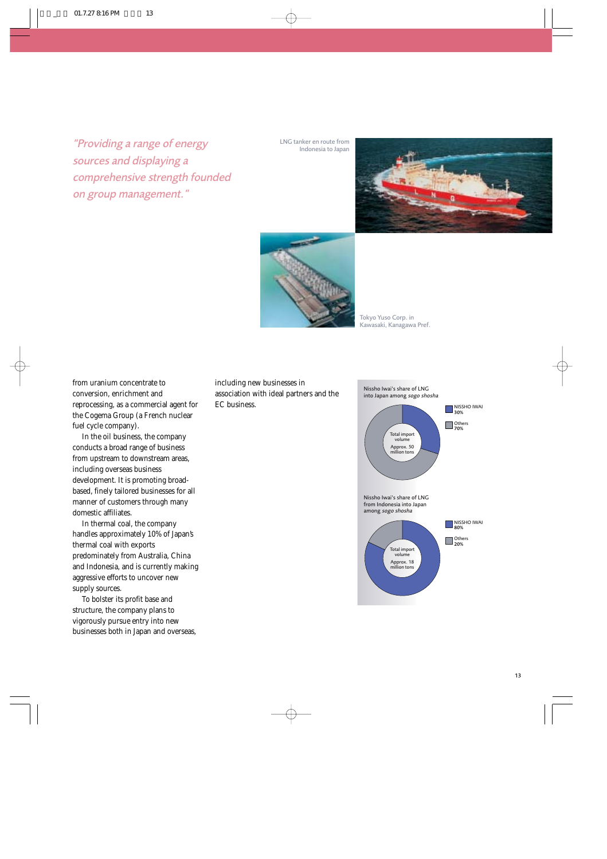*"Providing a range of energy sources and displaying a comprehensive strength founded on group management."*

LNG tanker en route from Indonesia to Japan





Tokyo Yuso Corp. in Kawasaki, Kanagawa Pref.

from uranium concentrate to conversion, enrichment and reprocessing, as a commercial agent for the Cogema Group (a French nuclear fuel cycle company).

In the oil business, the company conducts a broad range of business from upstream to downstream areas, including overseas business development. It is promoting broadbased, finely tailored businesses for all manner of customers through many domestic affiliates.

In thermal coal, the company handles approximately 10% of Japan's thermal coal with exports predominately from Australia, China and Indonesia, and is currently making aggressive efforts to uncover new supply sources.

To bolster its profit base and structure, the company plans to vigorously pursue entry into new businesses both in Japan and overseas, including new businesses in association with ideal partners and the EC business.

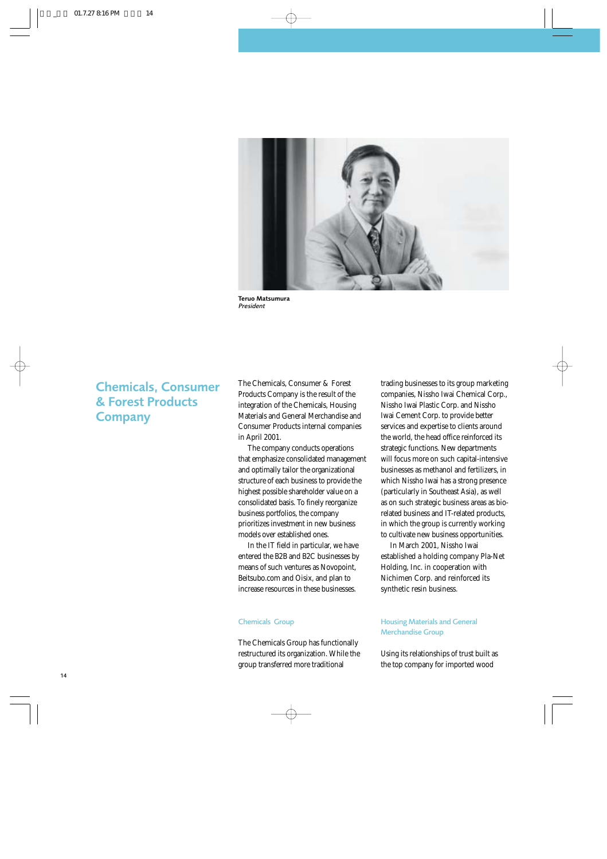

Teruo Matsumura *President*

# Chemicals, Consumer & Forest Products **Company**

The Chemicals, Consumer & Forest Products Company is the result of the integration of the Chemicals, Housing Materials and General Merchandise and Consumer Products internal companies in April 2001.

The company conducts operations that emphasize consolidated management and optimally tailor the organizational structure of each business to provide the highest possible shareholder value on a consolidated basis. To finely reorganize business portfolios, the company prioritizes investment in new business models over established ones.

In the IT field in particular, we have entered the B2B and B2C businesses by means of such ventures as Novopoint, Beitsubo.com and Oisix, and plan to increase resources in these businesses.

### Chemicals Group

The Chemicals Group has functionally restructured its organization. While the group transferred more traditional

trading businesses to its group marketing companies, Nissho Iwai Chemical Corp., Nissho Iwai Plastic Corp. and Nissho Iwai Cement Corp. to provide better services and expertise to clients around the world, the head office reinforced its strategic functions. New departments will focus more on such capital-intensive businesses as methanol and fertilizers, in which Nissho Iwai has a strong presence (particularly in Southeast Asia), as well as on such strategic business areas as biorelated business and IT-related products, in which the group is currently working to cultivate new business opportunities.

In March 2001, Nissho Iwai established a holding company Pla-Net Holding, Inc. in cooperation with Nichimen Corp. and reinforced its synthetic resin business.

### Housing Materials and General Merchandise Group

Using its relationships of trust built as the top company for imported wood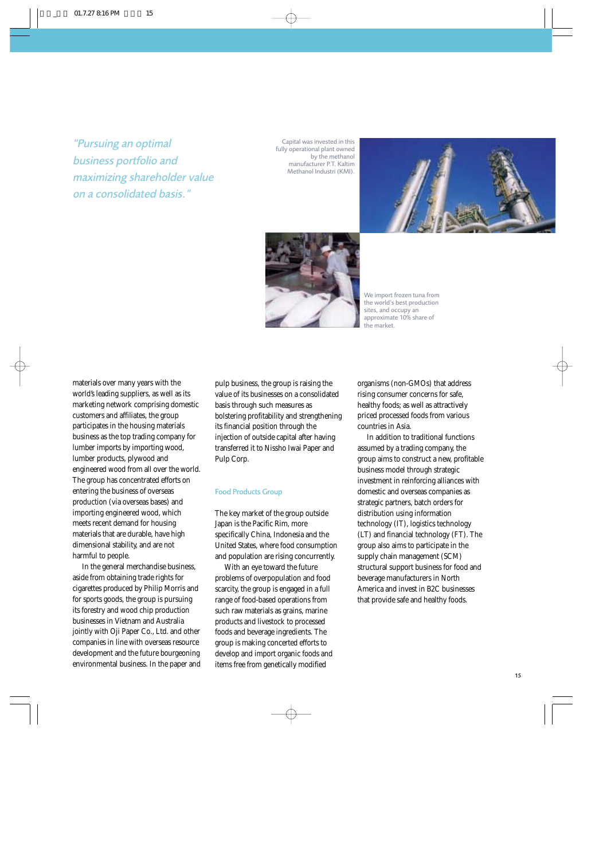*"Pursuing an optimal business portfolio and maximizing shareholder value on a consolidated basis."*

Capital was invested in this fully operational plant owned by the methanol manufacturer P.T. Kaltim Methanol Industri (KMI).





We import frozen tuna from the world's best production sites, and occupy an approximate 10% share of the market.

materials over many years with the world's leading suppliers, as well as its marketing network comprising domestic customers and affiliates, the group participates in the housing materials business as the top trading company for lumber imports by importing wood, lumber products, plywood and engineered wood from all over the world. The group has concentrated efforts on entering the business of overseas production (via overseas bases) and importing engineered wood, which meets recent demand for housing materials that are durable, have high dimensional stability, and are not harmful to people.

In the general merchandise business, aside from obtaining trade rights for cigarettes produced by Philip Morris and for sports goods, the group is pursuing its forestry and wood chip production businesses in Vietnam and Australia jointly with Oji Paper Co., Ltd. and other companies in line with overseas resource development and the future bourgeoning environmental business. In the paper and

pulp business, the group is raising the value of its businesses on a consolidated basis through such measures as bolstering profitability and strengthening its financial position through the injection of outside capital after having transferred it to Nissho Iwai Paper and Pulp Corp.

#### Food Products Group

The key market of the group outside Japan is the Pacific Rim, more specifically China, Indonesia and the United States, where food consumption and population are rising concurrently.

With an eye toward the future problems of overpopulation and food scarcity, the group is engaged in a full range of food-based operations from such raw materials as grains, marine products and livestock to processed foods and beverage ingredients. The group is making concerted efforts to develop and import organic foods and items free from genetically modified

organisms (non-GMOs) that address rising consumer concerns for safe, healthy foods; as well as attractively priced processed foods from various countries in Asia.

In addition to traditional functions assumed by a trading company, the group aims to construct a new, profitable business model through strategic investment in reinforcing alliances with domestic and overseas companies as strategic partners, batch orders for distribution using information technology (IT), logistics technology (LT) and financial technology (FT). The group also aims to participate in the supply chain management (SCM) structural support business for food and beverage manufacturers in North America and invest in B2C businesses that provide safe and healthy foods.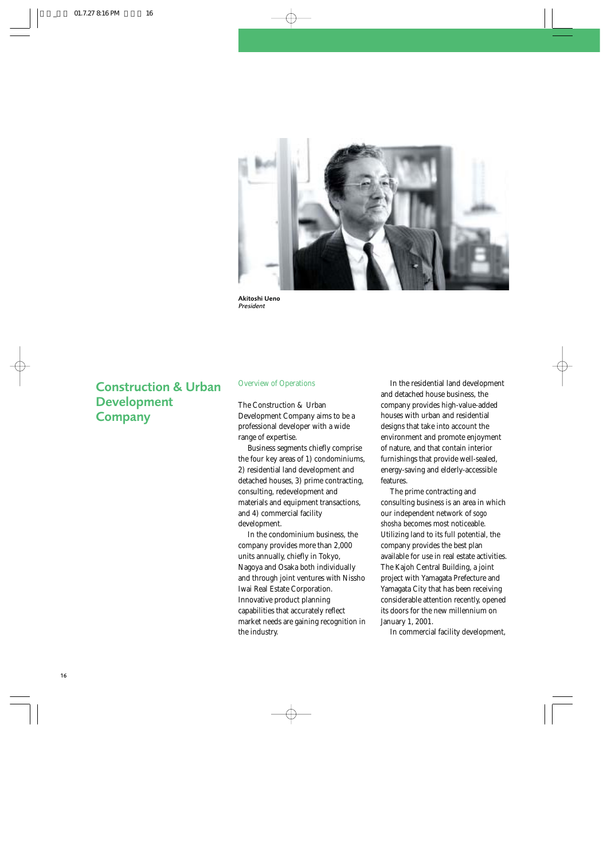

Akitoshi Ueno *President*

# Construction & Urban Development **Company**

### Overview of Operations

The Construction & Urban Development Company aims to be a professional developer with a wide range of expertise.

Business segments chiefly comprise the four key areas of 1) condominiums, 2) residential land development and detached houses, 3) prime contracting, consulting, redevelopment and materials and equipment transactions, and 4) commercial facility development.

In the condominium business, the company provides more than 2,000 units annually, chiefly in Tokyo, Nagoya and Osaka both individually and through joint ventures with Nissho Iwai Real Estate Corporation. Innovative product planning capabilities that accurately reflect market needs are gaining recognition in the industry.

In the residential land development and detached house business, the company provides high-value-added houses with urban and residential designs that take into account the environment and promote enjoyment of nature, and that contain interior furnishings that provide well-sealed, energy-saving and elderly-accessible features.

The prime contracting and consulting business is an area in which our independent network of *sogo shosha* becomes most noticeable. Utilizing land to its full potential, the company provides the best plan available for use in real estate activities. The Kajoh Central Building, a joint project with Yamagata Prefecture and Yamagata City that has been receiving considerable attention recently, opened its doors for the new millennium on January 1, 2001.

In commercial facility development,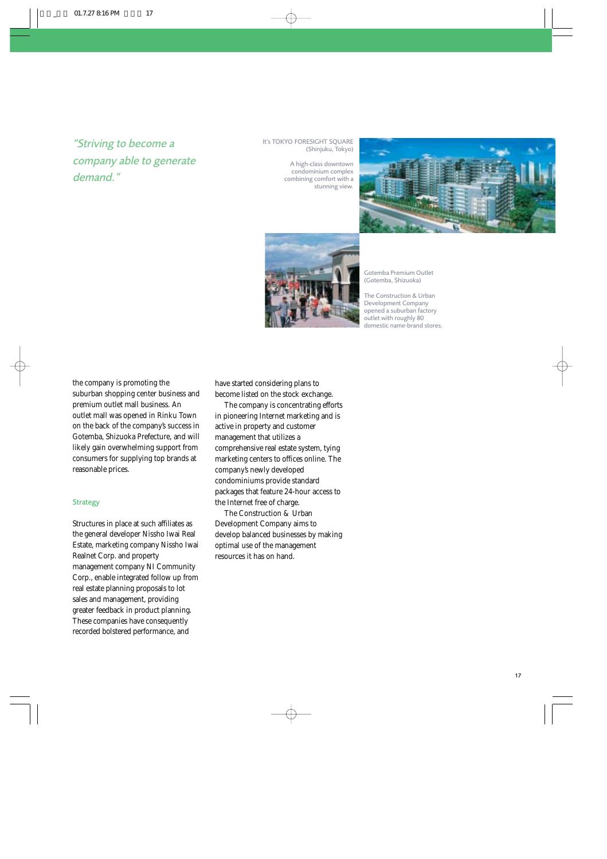# *"Striving to become a company able to generate demand."*

#### It's TOKYO FORESIGHT SOUARE (Shinjuku, Tokyo)

A high-class downtown condominium complex combining comfort with a stunning view.





Gotemba Premium Outlet (Gotemba, Shizuoka)

The Construction & Urban Development Company opened a suburban factory outlet with roughly 80 domestic name-brand stores.

the company is promoting the suburban shopping center business and premium outlet mall business. An outlet mall was opened in Rinku Town on the back of the company's success in Gotemba, Shizuoka Prefecture, and will likely gain overwhelming support from consumers for supplying top brands at reasonable prices.

### **Strategy**

Structures in place at such affiliates as the general developer Nissho Iwai Real Estate, marketing company Nissho Iwai Realnet Corp. and property management company NI Community Corp., enable integrated follow up from real estate planning proposals to lot sales and management, providing greater feedback in product planning. These companies have consequently recorded bolstered performance, and

have started considering plans to become listed on the stock exchange.

The company is concentrating efforts in pioneering Internet marketing and is active in property and customer management that utilizes a comprehensive real estate system, tying marketing centers to offices online. The company's newly developed condominiums provide standard packages that feature 24-hour access to the Internet free of charge.

The Construction & Urban Development Company aims to develop balanced businesses by making optimal use of the management resources it has on hand.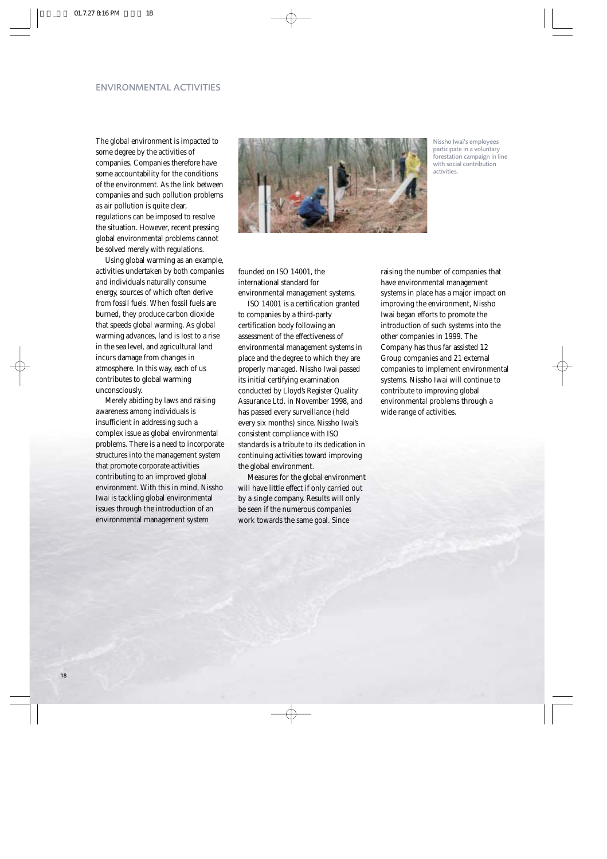### ENVIRONMENTAL ACTIVITIES

The global environment is impacted to some degree by the activities of companies. Companies therefore have some accountability for the conditions of the environment. As the link between companies and such pollution problems as air pollution is quite clear, regulations can be imposed to resolve the situation. However, recent pressing global environmental problems cannot be solved merely with regulations.

Using global warming as an example, activities undertaken by both companies and individuals naturally consume energy, sources of which often derive from fossil fuels. When fossil fuels are burned, they produce carbon dioxide that speeds global warming. As global warming advances, land is lost to a rise in the sea level, and agricultural land incurs damage from changes in atmosphere. In this way, each of us contributes to global warming unconsciously.

Merely abiding by laws and raising awareness among individuals is insufficient in addressing such a complex issue as global environmental problems. There is a need to incorporate structures into the management system that promote corporate activities contributing to an improved global environment. With this in mind, Nissho Iwai is tackling global environmental issues through the introduction of an environmental management system



Nissho Iwai's employees participate in a voluntary forestation campaign in line with social contribution activities.

founded on ISO 14001, the international standard for environmental management systems.

ISO 14001 is a certification granted to companies by a third-party certification body following an assessment of the effectiveness of environmental management systems in place and the degree to which they are properly managed. Nissho Iwai passed its initial certifying examination conducted by Lloyd's Register Quality Assurance Ltd. in November 1998, and has passed every surveillance (held every six months) since. Nissho Iwai's consistent compliance with ISO standards is a tribute to its dedication in continuing activities toward improving the global environment.

Measures for the global environment will have little effect if only carried out by a single company. Results will only be seen if the numerous companies work towards the same goal. Since

raising the number of companies that have environmental management systems in place has a major impact on improving the environment, Nissho Iwai began efforts to promote the introduction of such systems into the other companies in 1999. The Company has thus far assisted 12 Group companies and 21 external companies to implement environmental systems. Nissho Iwai will continue to contribute to improving global environmental problems through a wide range of activities.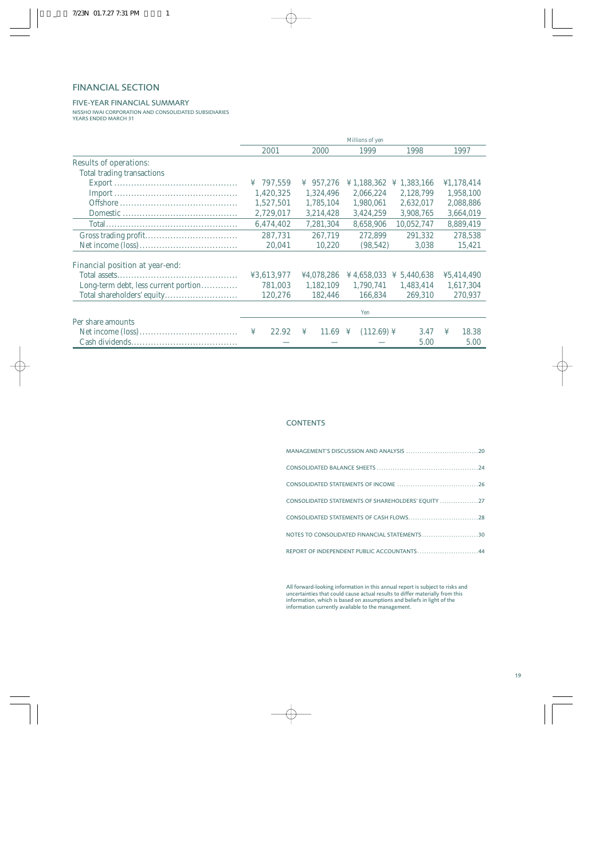## FINANCIAL SECTION

### FIVE-YEAR FINANCIAL SUMMARY

NISSHO IWAI CORPORATION AND CONSOLIDATED SUBSIDIARIES YEARS ENDED MARCH 31

|                                                                                                                                                                                                                                                                                                                                                                                                                                                | Millions of yen |                       |                                                                 |                         |            |  |
|------------------------------------------------------------------------------------------------------------------------------------------------------------------------------------------------------------------------------------------------------------------------------------------------------------------------------------------------------------------------------------------------------------------------------------------------|-----------------|-----------------------|-----------------------------------------------------------------|-------------------------|------------|--|
|                                                                                                                                                                                                                                                                                                                                                                                                                                                | 2001            | 2000                  | 1999                                                            | 1998                    | 1997       |  |
| <b>Results of operations:</b>                                                                                                                                                                                                                                                                                                                                                                                                                  |                 |                       |                                                                 |                         |            |  |
| Total trading transactions                                                                                                                                                                                                                                                                                                                                                                                                                     |                 |                       |                                                                 |                         |            |  |
|                                                                                                                                                                                                                                                                                                                                                                                                                                                | 797,559<br>¥    | $\frac{1}{2}$ 957.276 | ¥ 1,188,362                                                     | $\frac{1}{2}$ 1,383,166 | ¥1,178,414 |  |
| $\textbf{Import}\dots\hspace{-1.5mm}\ldots\hspace{-1.5mm}\ldots\hspace{-1.5mm}\ldots\hspace{-1.5mm}\ldots\hspace{-1.5mm}\ldots\hspace{-1.5mm}\ldots\hspace{-1.5mm}\ldots\hspace{-1.5mm}\ldots\hspace{-1.5mm}\ldots\hspace{-1.5mm}\ldots\hspace{-1.5mm}\ldots\hspace{-1.5mm}\ldots\hspace{-1.5mm}\ldots\hspace{-1.5mm}\ldots\hspace{-1.5mm}\ldots\hspace{-1.5mm}\ldots\hspace{-1.5mm}\ldots\hspace{-1.5mm}\ldots\hspace{-1.5mm}\ldots\hspace{-$ | 1,420,325       | 1,324,496             | 2,066,224                                                       | 2.128.799               | 1,958,100  |  |
|                                                                                                                                                                                                                                                                                                                                                                                                                                                | 1,527,501       | 1,785,104             | 1,980,061                                                       | 2,632,017               | 2,088,886  |  |
|                                                                                                                                                                                                                                                                                                                                                                                                                                                | 2,729,017       | 3,214,428             | 3,424,259                                                       | 3,908,765               | 3,664,019  |  |
|                                                                                                                                                                                                                                                                                                                                                                                                                                                | 6,474,402       | 7,281,304             | 8,658,906                                                       | 10,052,747              | 8,889,419  |  |
|                                                                                                                                                                                                                                                                                                                                                                                                                                                | 287,731         | 267.719               | 272,899                                                         | 291,332                 | 278,538    |  |
|                                                                                                                                                                                                                                                                                                                                                                                                                                                | 20,041          | 10,220                | (98, 542)                                                       | 3,038                   | 15,421     |  |
| <b>Financial position at year-end:</b>                                                                                                                                                                                                                                                                                                                                                                                                         |                 |                       |                                                                 |                         |            |  |
|                                                                                                                                                                                                                                                                                                                                                                                                                                                | ¥3,613,977      | ¥4,078,286            | $\text{\textsterling} 4,658,033 \text{\textsterling} 5,440,638$ |                         | ¥5,414,490 |  |
| Long-term debt, less current portion                                                                                                                                                                                                                                                                                                                                                                                                           | 781,003         | 1,182,109             | 1,790,741                                                       | 1,483,414               | 1,617,304  |  |
|                                                                                                                                                                                                                                                                                                                                                                                                                                                | 120,276         | 182,446               | 166,834                                                         | 269,310                 | 270,937    |  |
|                                                                                                                                                                                                                                                                                                                                                                                                                                                |                 |                       | Yen                                                             |                         |            |  |
| Per share amounts                                                                                                                                                                                                                                                                                                                                                                                                                              |                 |                       |                                                                 |                         |            |  |
|                                                                                                                                                                                                                                                                                                                                                                                                                                                | 22.92<br>¥      | ¥<br>11.69 ¥          | $(112.69)$ ¥                                                    | 3.47                    | ¥<br>18.38 |  |
|                                                                                                                                                                                                                                                                                                                                                                                                                                                |                 |                       |                                                                 | 5.00                    | 5.00       |  |

### **CONTENTS**

| CONSOLIDATED STATEMENTS OF SHAREHOLDERS' EOUITY 27 |  |
|----------------------------------------------------|--|
| CONSOLIDATED STATEMENTS OF CASH FLOWS28            |  |
| NOTES TO CONSOLIDATED FINANCIAL STATEMENTS30       |  |
| REPORT OF INDEPENDENT PUBLIC ACCOUNTANTS44         |  |

All forward-looking information in this annual report is subject to risks and uncertainties that could cause actual results to differ materially from this information, which is based on assumptions and beliefs in light of the information currently available to the management.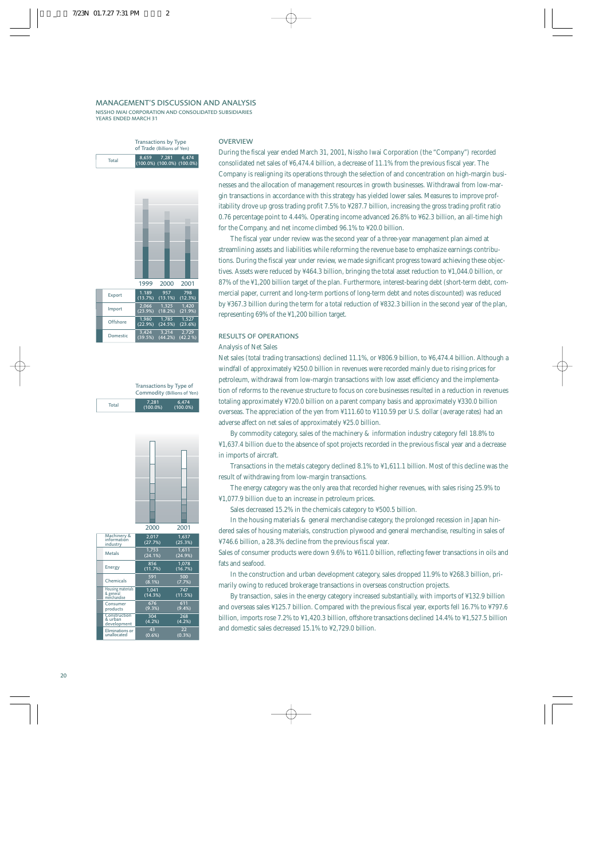#### MANAGEMENT'S DISCUSSION AND ANALYSIS

NISSHO IWAI CORPORATION AND CONSOLIDATED SUBSIDIARIES YEARS ENDED MARCH 31

### Transactions by Type of Trade (Billions of Yen) 8,659 7,281 6,474 (100.0%) (100.0%) (100.0%) Total



|       | Transactions by Type of<br>Commodity (Billions of Yen) |                      |
|-------|--------------------------------------------------------|----------------------|
| Total | 7.281<br>$(100.0\%)$                                   | 6.474<br>$(100.0\%)$ |

(39.5%) (44.2%) (42.2 %)



|                                                      | 2000             | 2001             |
|------------------------------------------------------|------------------|------------------|
| Machinery &<br>information<br>industry               | 2,017<br>(27.7%) | 1.637<br>(25.3%) |
| Metals                                               | 1.753<br>(24.1%) | 1.611<br>(24.9%) |
| Energy                                               | 856<br>(11.7%)   | 1.078<br>(16.7%) |
| Chemicals                                            | 591<br>(8.1%)    | 500<br>(7.7%)    |
| <b>Housing materials</b><br>& general<br>merchandise | 1.041<br>(14.3%) | 747<br>(11.5%)   |
| Consumer<br>products                                 | 676<br>(9.3%)    | 611<br>(9.4%)    |
| Construction<br>& urban<br>development               | 304<br>(4.2%)    | 268<br>$(4.2\%)$ |
| Eliminations or<br>unallocated                       | 43<br>(0.6%)     | 22<br>(0.3%)     |

#### **OVERVIEW**

During the fiscal year ended March 31, 2001, Nissho Iwai Corporation (the "Company") recorded consolidated net sales of ¥6,474.4 billion, a decrease of 11.1% from the previous fiscal year. The Company is realigning its operations through the selection of and concentration on high-margin businesses and the allocation of management resources in growth businesses. Withdrawal from low-margin transactions in accordance with this strategy has yielded lower sales. Measures to improve profitability drove up gross trading profit 7.5% to ¥287.7 billion, increasing the gross trading profit ratio 0.76 percentage point to 4.44%. Operating income advanced 26.8% to ¥62.3 billion, an all-time high for the Company, and net income climbed 96.1% to ¥20.0 billion.

The fiscal year under review was the second year of a three-year management plan aimed at streamlining assets and liabilities while reforming the revenue base to emphasize earnings contributions. During the fiscal year under review, we made significant progress toward achieving these objectives. Assets were reduced by ¥464.3 billion, bringing the total asset reduction to ¥1,044.0 billion, or 87% of the ¥1,200 billion target of the plan. Furthermore, interest-bearing debt (short-term debt, commercial paper, current and long-term portions of long-term debt and notes discounted) was reduced by ¥367.3 billion during the term for a total reduction of ¥832.3 billion in the second year of the plan, representing 69% of the ¥1,200 billion target.

### RESULTS OF OPERATIONS

#### Analysis of Net Sales

Net sales (total trading transactions) declined 11.1%, or ¥806.9 billion, to ¥6,474.4 billion. Although a windfall of approximately ¥250.0 billion in revenues were recorded mainly due to rising prices for petroleum, withdrawal from low-margin transactions with low asset efficiency and the implementation of reforms to the revenue structure to focus on core businesses resulted in a reduction in revenues totaling approximately ¥720.0 billion on a parent company basis and approximately ¥330.0 billion overseas. The appreciation of the yen from ¥111.60 to ¥110.59 per U.S. dollar (average rates) had an adverse affect on net sales of approximately ¥25.0 billion.

By commodity category, sales of the machinery & information industry category fell 18.8% to ¥1,637.4 billion due to the absence of spot projects recorded in the previous fiscal year and a decrease in imports of aircraft.

Transactions in the metals category declined 8.1% to ¥1,611.1 billion. Most of this decline was the result of withdrawing from low-margin transactions.

The energy category was the only area that recorded higher revenues, with sales rising 25.9% to ¥1,077.9 billion due to an increase in petroleum prices.

Sales decreased 15.2% in the chemicals category to ¥500.5 billion.

In the housing materials & general merchandise category, the prolonged recession in Japan hindered sales of housing materials, construction plywood and general merchandise, resulting in sales of ¥746.6 billion, a 28.3% decline from the previous fiscal year.

Sales of consumer products were down 9.6% to ¥611.0 billion, reflecting fewer transactions in oils and fats and seafood.

In the construction and urban development category, sales dropped 11.9% to ¥268.3 billion, primarily owing to reduced brokerage transactions in overseas construction projects.

By transaction, sales in the energy category increased substantially, with imports of ¥132.9 billion and overseas sales ¥125.7 billion. Compared with the previous fiscal year, exports fell 16.7% to ¥797.6 billion, imports rose 7.2% to ¥1,420.3 billion, offshore transactions declined 14.4% to ¥1,527.5 billion and domestic sales decreased 15.1% to ¥2,729.0 billion.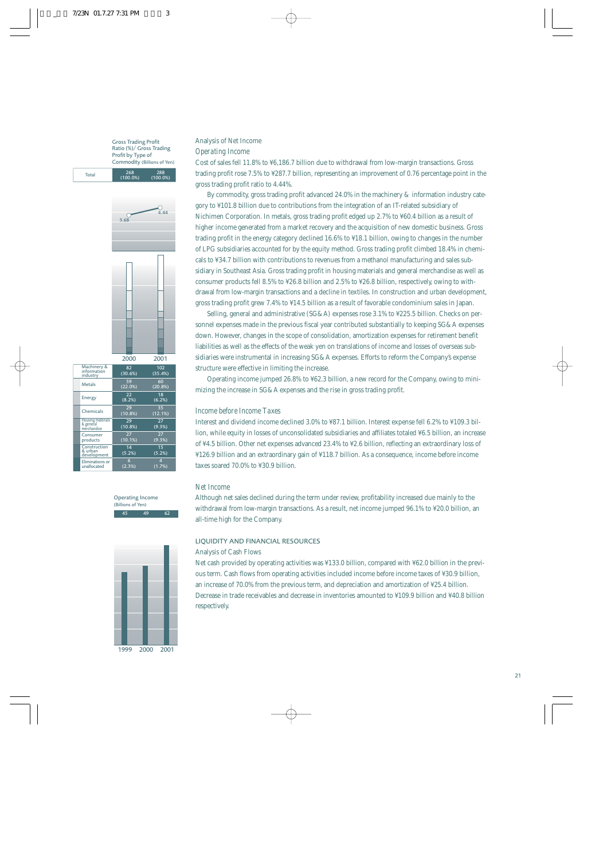Gross Trading Profit Ratio (%)/ Gross Trading Profit by Type of Commodity (Billions of Yen)

268 288 (100.0%) (100.0%)

Total



|                                                      | 2000          | 2001           |
|------------------------------------------------------|---------------|----------------|
| Machinery &<br>information<br>industry               | 82<br>(30.6%) | 102<br>(35.4%) |
| Metals                                               | 59<br>(22.0%) | 60<br>(20.8%)  |
| Energy                                               | 22<br>(8.2%)  | 18<br>(6.2%)   |
| Chemicals                                            | 29<br>(10.8%) | 35<br>(12.1%)  |
| <b>Housing materials</b><br>& general<br>merchandise | 29<br>(10.8%) | 27<br>(9.3%)   |
| Consumer<br>products                                 | 27<br>(10.1%) | 27<br>(9.3%)   |
| Construction<br>& urban<br>development               | 14<br>(5.2%)  | 15<br>(5.2%)   |
| <b>Eliminations or</b><br>unallocated                | 6<br>(2.3%)   | 4<br>(1.7%)    |

45 49 62 Operating Income (Billions of Yen)



### Analysis of Net Income *Operating Income*

Cost of sales fell 11.8% to ¥6,186.7 billion due to withdrawal from low-margin transactions. Gross trading profit rose 7.5% to ¥287.7 billion, representing an improvement of 0.76 percentage point in the gross trading profit ratio to 4.44%.

By commodity, gross trading profit advanced 24.0% in the machinery & information industry category to ¥101.8 billion due to contributions from the integration of an IT-related subsidiary of Nichimen Corporation. In metals, gross trading profit edged up 2.7% to ¥60.4 billion as a result of higher income generated from a market recovery and the acquisition of new domestic business. Gross trading profit in the energy category declined 16.6% to ¥18.1 billion, owing to changes in the number of LPG subsidiaries accounted for by the equity method. Gross trading profit climbed 18.4% in chemicals to ¥34.7 billion with contributions to revenues from a methanol manufacturing and sales subsidiary in Southeast Asia. Gross trading profit in housing materials and general merchandise as well as consumer products fell 8.5% to ¥26.8 billion and 2.5% to ¥26.8 billion, respectively, owing to withdrawal from low-margin transactions and a decline in textiles. In construction and urban development, gross trading profit grew 7.4% to ¥14.5 billion as a result of favorable condominium sales in Japan.

Selling, general and administrative (SG&A) expenses rose 3.1% to ¥225.5 billion. Checks on personnel expenses made in the previous fiscal year contributed substantially to keeping SG&A expenses down. However, changes in the scope of consolidation, amortization expenses for retirement benefit liabilities as well as the effects of the weak yen on translations of income and losses of overseas subsidiaries were instrumental in increasing SG&A expenses. Efforts to reform the Company's expense structure were effective in limiting the increase.

Operating income jumped 26.8% to ¥62.3 billion, a new record for the Company, owing to minimizing the increase in SG&A expenses and the rise in gross trading profit.

### *Income before Income Taxes*

Interest and dividend income declined 3.0% to ¥87.1 billion. Interest expense fell 6.2% to ¥109.3 billion, while equity in losses of unconsolidated subsidiaries and affiliates totaled ¥6.5 billion, an increase of ¥4.5 billion. Other net expenses advanced 23.4% to ¥2.6 billion, reflecting an extraordinary loss of ¥126.9 billion and an extraordinary gain of ¥118.7 billion. As a consequence, income before income taxes soared 70.0% to ¥30.9 billion.

### *Net Income*

Although net sales declined during the term under review, profitability increased due mainly to the withdrawal from low-margin transactions. As a result, net income jumped 96.1% to ¥20.0 billion, an all-time high for the Company.

#### LIQUIDITY AND FINANCIAL RESOURCES

#### Analysis of Cash Flows

Net cash provided by operating activities was ¥133.0 billion, compared with ¥62.0 billion in the previous term. Cash flows from operating activities included income before income taxes of ¥30.9 billion, an increase of 70.0% from the previous term, and depreciation and amortization of ¥25.4 billion. Decrease in trade receivables and decrease in inventories amounted to ¥109.9 billion and ¥40.8 billion respectively.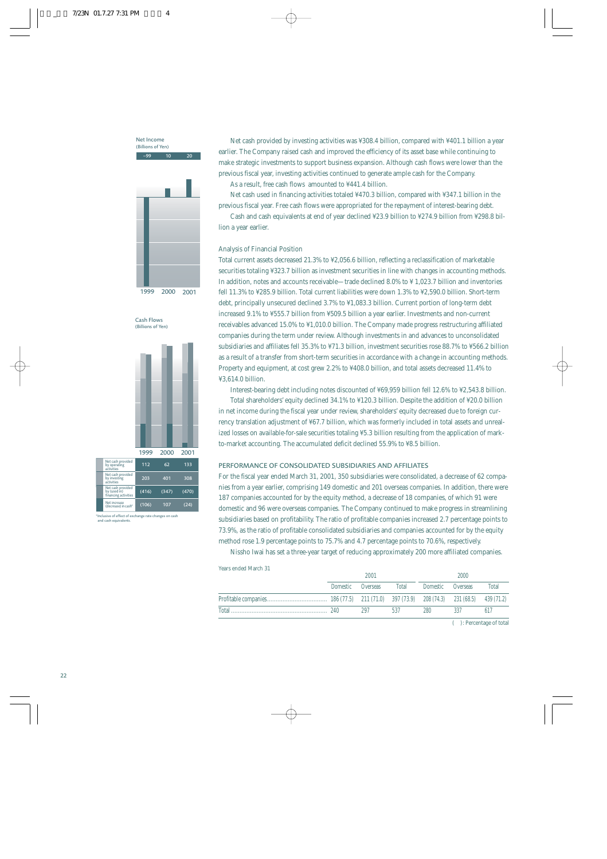$\frac{10}{20}$  20 Net Income (Billions of Yen)



Cash Flows (Billions of Yen)



.<br>Ive of effect of exchange rate changes on cash and cash equival

Net cash provided by investing activities was ¥308.4 billion, compared with ¥401.1 billion a year earlier. The Company raised cash and improved the efficiency of its asset base while continuing to make strategic investments to support business expansion. Although cash flows were lower than the previous fiscal year, investing activities continued to generate ample cash for the Company. As a result, free cash flows amounted to ¥441.4 billion.

Net cash used in financing activities totaled ¥470.3 billion, compared with ¥347.1 billion in the previous fiscal year. Free cash flows were appropriated for the repayment of interest-bearing debt.

Cash and cash equivalents at end of year declined ¥23.9 billion to ¥274.9 billion from ¥298.8 billion a year earlier.

#### Analysis of Financial Position

Total current assets decreased 21.3% to ¥2,056.6 billion, reflecting a reclassification of marketable securities totaling ¥323.7 billion as investment securities in line with changes in accounting methods. In addition, notes and accounts receivable—trade declined 8.0% to ¥ 1,023.7 billion and inventories fell 11.3% to ¥285.9 billion. Total current liabilities were down 1.3% to ¥2,590.0 billion. Short-term debt, principally unsecured declined 3.7% to ¥1,083.3 billion. Current portion of long-term debt increased 9.1% to ¥555.7 billion from ¥509.5 billion a year earlier. Investments and non-current receivables advanced 15.0% to ¥1,010.0 billion. The Company made progress restructuring affiliated companies during the term under review. Although investments in and advances to unconsolidated subsidiaries and affiliates fell 35.3% to ¥71.3 billion, investment securities rose 88.7% to ¥566.2 billion as a result of a transfer from short-term securities in accordance with a change in accounting methods. Property and equipment, at cost grew 2.2% to ¥408.0 billion, and total assets decreased 11.4% to ¥3,614.0 billion.

Interest-bearing debt including notes discounted of ¥69,959 billion fell 12.6% to ¥2,543.8 billion.

Total shareholders' equity declined 34.1% to ¥120.3 billion. Despite the addition of ¥20.0 billion in net income during the fiscal year under review, shareholders' equity decreased due to foreign currency translation adjustment of ¥67.7 billion, which was formerly included in total assets and unrealized losses on available-for-sale securities totaling ¥5.3 billion resulting from the application of markto-market accounting. The accumulated deficit declined 55.9% to ¥8.5 billion.

### PERFORMANCE OF CONSOLIDATED SUBSIDIARIES AND AFFILIATES

For the fiscal year ended March 31, 2001, 350 subsidiaries were consolidated, a decrease of 62 companies from a year earlier, comprising 149 domestic and 201 overseas companies. In addition, there were 187 companies accounted for by the equity method, a decrease of 18 companies, of which 91 were domestic and 96 were overseas companies. The Company continued to make progress in streamlining subsidiaries based on profitability. The ratio of profitable companies increased 2.7 percentage points to 73.9%, as the ratio of profitable consolidated subsidiaries and companies accounted for by the equity method rose 1.9 percentage points to 75.7% and 4.7 percentage points to 70.6%, respectively.

Nissho Iwai has set a three-year target of reducing approximately 200 more affiliated companies.

| Years ended March 31 |  |
|----------------------|--|
|----------------------|--|

| Temp chaca matem | 2001              |     |     | 2000                    |     |       |
|------------------|-------------------|-----|-----|-------------------------|-----|-------|
|                  | Domestic Overseas |     |     | Total Domestic Overseas |     | Total |
|                  |                   |     |     |                         |     |       |
|                  |                   | 297 | 537 | 280                     | 337 | 617   |

( ): Percentage of total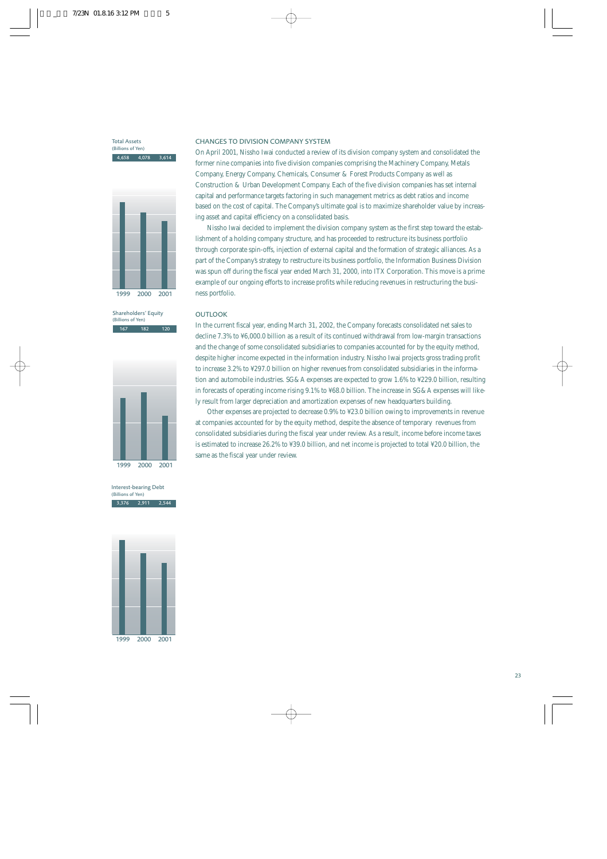4,658 4,078 3,614 Total Assets (Billions of Yen)



167 182 120 Shareholders' Equity (Billions of Yen)



3,376 2,911 2,544 Interest-bearing Debt (Billions of Yen)



1999 2000 2001

#### CHANGES TO DIVISION COMPANY SYSTEM

On April 2001, Nissho Iwai conducted a review of its division company system and consolidated the former nine companies into five division companies comprising the Machinery Company, Metals Company, Energy Company, Chemicals, Consumer & Forest Products Company as well as Construction & Urban Development Company. Each of the five division companies has set internal capital and performance targets factoring in such management metrics as debt ratios and income based on the cost of capital. The Company's ultimate goal is to maximize shareholder value by increasing asset and capital efficiency on a consolidated basis.

Nissho Iwai decided to implement the division company system as the first step toward the establishment of a holding company structure, and has proceeded to restructure its business portfolio through corporate spin-offs, injection of external capital and the formation of strategic alliances. As a part of the Company's strategy to restructure its business portfolio, the Information Business Division was spun off during the fiscal year ended March 31, 2000, into ITX Corporation. This move is a prime example of our ongoing efforts to increase profits while reducing revenues in restructuring the business portfolio.

#### **OUTLOOK**

In the current fiscal year, ending March 31, 2002, the Company forecasts consolidated net sales to decline 7.3% to ¥6,000.0 billion as a result of its continued withdrawal from low-margin transactions and the change of some consolidated subsidiaries to companies accounted for by the equity method, despite higher income expected in the information industry. Nissho Iwai projects gross trading profit to increase 3.2% to ¥297.0 billion on higher revenues from consolidated subsidiaries in the information and automobile industries. SG&A expenses are expected to grow 1.6% to ¥229.0 billion, resulting in forecasts of operating income rising 9.1% to ¥68.0 billion. The increase in SG&A expenses will likely result from larger depreciation and amortization expenses of new headquarters building.

Other expenses are projected to decrease 0.9% to ¥23.0 billion owing to improvements in revenue at companies accounted for by the equity method, despite the absence of temporary revenues from consolidated subsidiaries during the fiscal year under review. As a result, income before income taxes is estimated to increase 26.2% to ¥39.0 billion, and net income is projected to total ¥20.0 billion, the same as the fiscal year under review.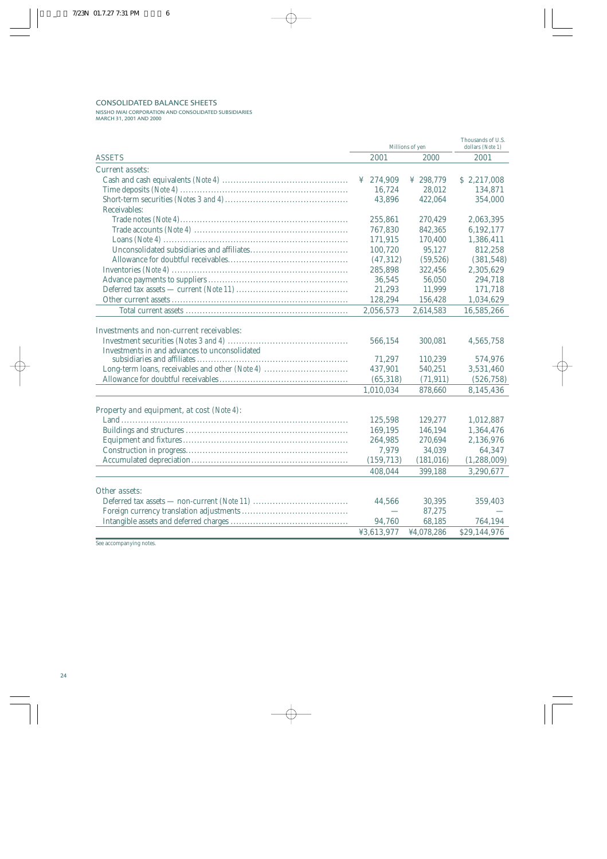### CONSOLIDATED BALANCE SHEETS

NISSHO IWAI CORPORATION AND CONSOLIDATED SUBSIDIARIES MARCH 31, 2001 AND 2000

| Millions of yen                                                                                                                                     |                                                        |                                                       | Thousands of U.S.<br>dollars (Note 1)                        |
|-----------------------------------------------------------------------------------------------------------------------------------------------------|--------------------------------------------------------|-------------------------------------------------------|--------------------------------------------------------------|
| <b>ASSETS</b>                                                                                                                                       | 2001<br>2000                                           |                                                       |                                                              |
| <b>Current assets:</b>                                                                                                                              |                                                        |                                                       |                                                              |
|                                                                                                                                                     | ¥ $274,909$                                            | ¥ 298,779                                             | \$2,217,008                                                  |
|                                                                                                                                                     | 16,724                                                 | 28,012                                                | 134,871                                                      |
|                                                                                                                                                     | 43,896                                                 | 422,064                                               | 354,000                                                      |
| Receivables:                                                                                                                                        |                                                        |                                                       |                                                              |
|                                                                                                                                                     | 255,861                                                | 270,429                                               | 2,063,395                                                    |
|                                                                                                                                                     | 767,830                                                | 842,365                                               | 6,192,177                                                    |
|                                                                                                                                                     | 171,915                                                | 170,400                                               | 1,386,411                                                    |
|                                                                                                                                                     | 100,720                                                | 95,127                                                | 812,258                                                      |
|                                                                                                                                                     | (47, 312)                                              | (59, 526)                                             | (381, 548)                                                   |
|                                                                                                                                                     | 285,898                                                | 322,456                                               | 2,305,629                                                    |
|                                                                                                                                                     | 36,545                                                 | 56,050                                                | 294,718                                                      |
|                                                                                                                                                     | 21,293                                                 | 11,999                                                | 171,718                                                      |
|                                                                                                                                                     | 128,294                                                | 156,428                                               | 1,034,629                                                    |
|                                                                                                                                                     | 2,056,573                                              | 2,614,583                                             | 16,585,266                                                   |
| <b>Investments and non-current receivables:</b><br>Investments in and advances to unconsolidated<br>Long-term loans, receivables and other (Note 4) | 566,154<br>71,297<br>437,901<br>(65, 318)<br>1,010,034 | 300,081<br>110,239<br>540,251<br>(71, 911)<br>878,660 | 4,565,758<br>574,976<br>3,531,460<br>(526, 758)<br>8,145,436 |
|                                                                                                                                                     |                                                        |                                                       |                                                              |
| <b>Property and equipment, at cost (Note 4):</b>                                                                                                    | 125,598                                                | 129,277                                               | 1,012,887                                                    |
|                                                                                                                                                     | 169,195                                                | 146,194                                               | 1,364,476                                                    |
|                                                                                                                                                     | 264,985                                                | 270,694                                               | 2,136,976                                                    |
|                                                                                                                                                     | 7,979                                                  | 34,039                                                | 64,347                                                       |
|                                                                                                                                                     | (159, 713)                                             | (181, 016)                                            | (1, 288, 009)                                                |
|                                                                                                                                                     | 408,044                                                | 399,188                                               | 3,290,677                                                    |
|                                                                                                                                                     |                                                        |                                                       |                                                              |
| <b>Other assets:</b>                                                                                                                                |                                                        |                                                       |                                                              |
|                                                                                                                                                     | 44,566                                                 | 30,395                                                | 359,403                                                      |
|                                                                                                                                                     |                                                        | 87,275                                                |                                                              |
|                                                                                                                                                     | 94,760                                                 | 68,185                                                | 764.194                                                      |
|                                                                                                                                                     | ¥3,613,977                                             | ¥4,078,286                                            | \$29,144,976                                                 |

See accompanying notes.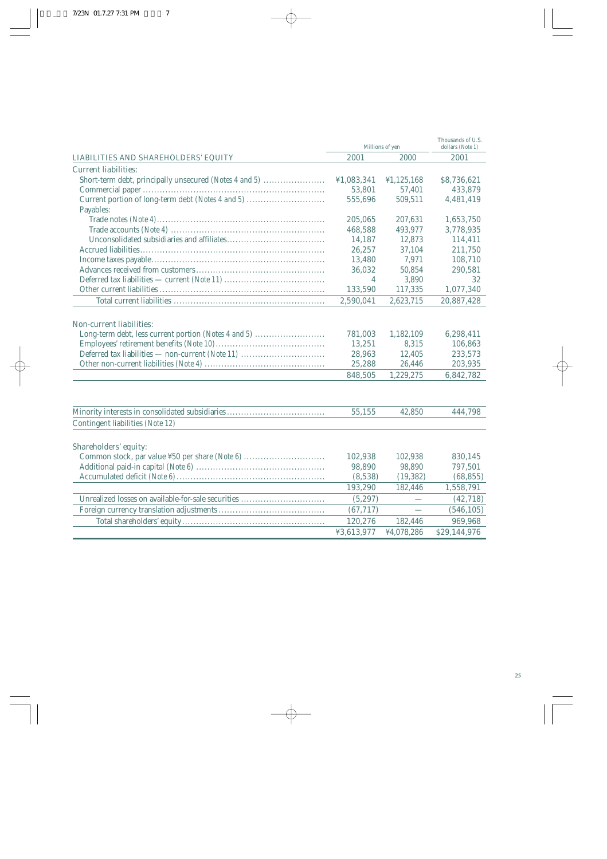| 2001<br>2000<br>2001<br><b>LIABILITIES AND SHAREHOLDERS' EQUITY</b><br><b>Current liabilities:</b><br>Short-term debt, principally unsecured (Notes 4 and 5)<br>¥1,083,341<br>¥1,125,168<br>\$8,736,621<br>53,801<br>57,401<br>433,879<br>Current portion of long-term debt (Notes 4 and 5)<br>509,511<br>555,696<br>4,481,419<br>Payables:<br>205,065<br>207,631<br>1,653,750<br>493,977<br>468,588<br>3,778,935<br>14,187<br>12,873<br>114,411<br>26,257<br>37,104<br>211,750<br>7,971<br>13,480<br>108,710 |
|---------------------------------------------------------------------------------------------------------------------------------------------------------------------------------------------------------------------------------------------------------------------------------------------------------------------------------------------------------------------------------------------------------------------------------------------------------------------------------------------------------------|
|                                                                                                                                                                                                                                                                                                                                                                                                                                                                                                               |
|                                                                                                                                                                                                                                                                                                                                                                                                                                                                                                               |
|                                                                                                                                                                                                                                                                                                                                                                                                                                                                                                               |
|                                                                                                                                                                                                                                                                                                                                                                                                                                                                                                               |
|                                                                                                                                                                                                                                                                                                                                                                                                                                                                                                               |
|                                                                                                                                                                                                                                                                                                                                                                                                                                                                                                               |
|                                                                                                                                                                                                                                                                                                                                                                                                                                                                                                               |
|                                                                                                                                                                                                                                                                                                                                                                                                                                                                                                               |
|                                                                                                                                                                                                                                                                                                                                                                                                                                                                                                               |
|                                                                                                                                                                                                                                                                                                                                                                                                                                                                                                               |
|                                                                                                                                                                                                                                                                                                                                                                                                                                                                                                               |
| 50,854<br>36,032<br>290,581                                                                                                                                                                                                                                                                                                                                                                                                                                                                                   |
| 3,890<br>32<br>4                                                                                                                                                                                                                                                                                                                                                                                                                                                                                              |
| 133,590<br>117,335<br>1,077,340                                                                                                                                                                                                                                                                                                                                                                                                                                                                               |
| 2,590,041<br>2,623,715<br>20,887,428                                                                                                                                                                                                                                                                                                                                                                                                                                                                          |
|                                                                                                                                                                                                                                                                                                                                                                                                                                                                                                               |
| <b>Non-current liabilities:</b>                                                                                                                                                                                                                                                                                                                                                                                                                                                                               |
|                                                                                                                                                                                                                                                                                                                                                                                                                                                                                                               |
| Long-term debt, less current portion (Notes 4 and 5)<br>781,003<br>1,182,109<br>6,298,411                                                                                                                                                                                                                                                                                                                                                                                                                     |
| 13,251<br>8,315<br>106,863                                                                                                                                                                                                                                                                                                                                                                                                                                                                                    |
| Deferred tax liabilities — non-current (Note 11)<br>28,963<br>12,405<br>233,573                                                                                                                                                                                                                                                                                                                                                                                                                               |
| 25,288<br>26,446<br>203,935                                                                                                                                                                                                                                                                                                                                                                                                                                                                                   |
| 848,505<br>1,229,275<br>6,842,782                                                                                                                                                                                                                                                                                                                                                                                                                                                                             |
|                                                                                                                                                                                                                                                                                                                                                                                                                                                                                                               |
| Minority interests in consolidated subsidiaries<br>55,155<br>42,850<br>444,798                                                                                                                                                                                                                                                                                                                                                                                                                                |
| Contingent liabilities (Note 12)                                                                                                                                                                                                                                                                                                                                                                                                                                                                              |
|                                                                                                                                                                                                                                                                                                                                                                                                                                                                                                               |
|                                                                                                                                                                                                                                                                                                                                                                                                                                                                                                               |
| <b>Shareholders' equity:</b>                                                                                                                                                                                                                                                                                                                                                                                                                                                                                  |
| Common stock, par value ¥50 per share (Note 6)<br>102,938<br>102,938<br>830,145                                                                                                                                                                                                                                                                                                                                                                                                                               |
| 98,890<br>98,890<br>797,501                                                                                                                                                                                                                                                                                                                                                                                                                                                                                   |
| (8,538)<br>(19, 382)<br>(68, 855)                                                                                                                                                                                                                                                                                                                                                                                                                                                                             |
| 193,290<br>182,446<br>1,558,791                                                                                                                                                                                                                                                                                                                                                                                                                                                                               |
| Unrealized losses on available-for-sale securities<br>(5,297)<br>(42, 718)                                                                                                                                                                                                                                                                                                                                                                                                                                    |
| (67, 717)<br>(546, 105)                                                                                                                                                                                                                                                                                                                                                                                                                                                                                       |
| 120,276<br>182,446<br>969,968                                                                                                                                                                                                                                                                                                                                                                                                                                                                                 |
| ¥3,613,977<br>¥4,078,286<br>\$29,144,976                                                                                                                                                                                                                                                                                                                                                                                                                                                                      |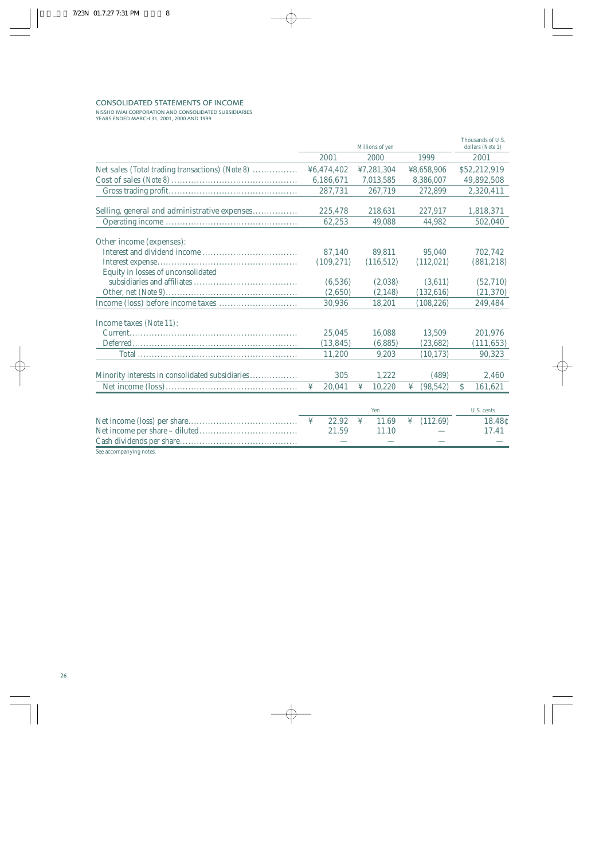### CONSOLIDATED STATEMENTS OF INCOME

NISSHO IWAI CORPORATION AND CONSOLIDATED SUBSIDIARIES YEARS ENDED MARCH 31, 2001, 2000 AND 1999

|                                                        |             | Thousands of U.S.<br>dollars (Note 1) |                |                         |
|--------------------------------------------------------|-------------|---------------------------------------|----------------|-------------------------|
|                                                        | 2001        | 2000                                  | 1999           | 2001                    |
| <b>Net sales</b> (Total trading transactions) (Note 8) | ¥6,474,402  | ¥7,281,304                            | ¥8,658,906     | \$52,212,919            |
|                                                        | 6,186,671   | 7,013,585                             | 8,386,007      | 49,892,508              |
|                                                        | 287,731     | 267,719                               | 272,899        | 2,320,411               |
| Selling, general and administrative expenses           | 225,478     | 218,631                               | 227,917        | 1,818,371               |
|                                                        | 62,253      | 49,088                                | 44.982         | 502,040                 |
| <b>Other income (expenses):</b>                        |             |                                       |                |                         |
|                                                        | 87,140      | 89,811                                | 95,040         | 702,742                 |
|                                                        | (109, 271)  | (116, 512)                            | (112,021)      | (881, 218)              |
| Equity in losses of unconsolidated                     |             |                                       |                |                         |
|                                                        | (6,536)     | (2,038)                               | (3,611)        | (52, 710)               |
|                                                        | (2,650)     | (2, 148)                              | (132, 616)     | (21, 370)               |
|                                                        | 30,936      | 18,201                                | (108, 226)     | 249,484                 |
| <b>Income taxes</b> (Note 11):                         |             |                                       |                |                         |
|                                                        | 25,045      | 16,088                                | 13,509         | 201,976                 |
|                                                        | (13, 845)   | (6,885)                               | (23, 682)      | (111, 653)              |
|                                                        | 11,200      | 9,203                                 | (10, 173)      | 90,323                  |
| Minority interests in consolidated subsidiaries        | 305         | 1,222                                 | (489)          | 2,460                   |
|                                                        | 20,041<br>¥ | 10,220<br>¥                           | ¥<br>(98, 542) | <sup>S</sup><br>161,621 |
|                                                        |             |                                       |                |                         |
|                                                        |             | Yen                                   |                | U.S. cents              |
|                                                        | 22.92<br>¥  | ¥<br>11.69                            | (112.69)<br>¥  | 18.48c                  |
|                                                        | 21.59       | 11.10                                 |                | 17.41                   |
|                                                        |             |                                       |                |                         |

See accompanying notes.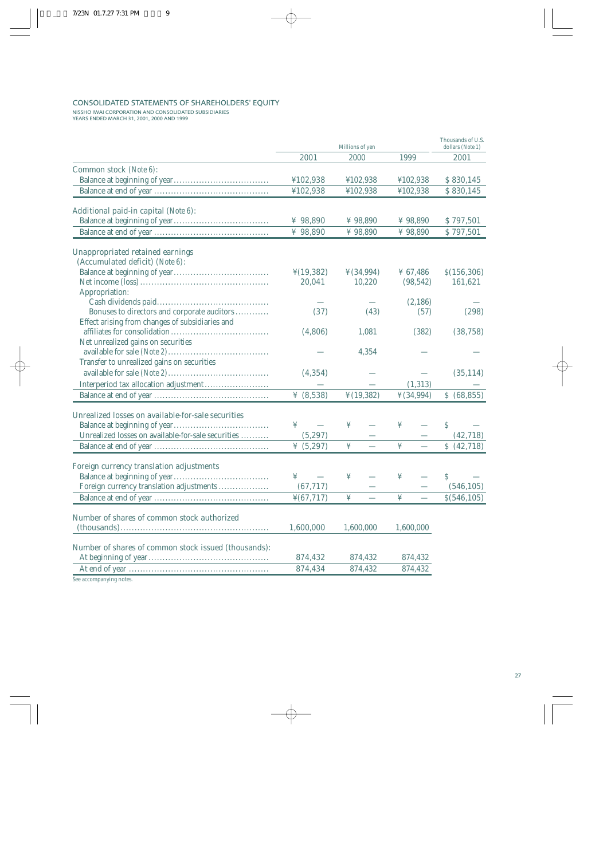### CONSOLIDATED STATEMENTS OF SHAREHOLDERS' EQUITY

NISSHO IWAI CORPORATION AND CONSOLIDATED SUBSIDIARIES YEARS ENDED MARCH 31, 2001, 2000 AND 1999

|                                                                            | Millions of yen        |                       |            | Thousands of U.S.<br>dollars (Note 1) |
|----------------------------------------------------------------------------|------------------------|-----------------------|------------|---------------------------------------|
|                                                                            | 2001                   | 2000                  | 1999       | 2001                                  |
| <b>Common stock</b> (Note 6):                                              |                        |                       |            |                                       |
|                                                                            | ¥102,938               | ¥102,938              | ¥102,938   | \$830,145                             |
|                                                                            | ¥102,938               | ¥102,938              | ¥102,938   | \$830,145                             |
|                                                                            |                        |                       |            |                                       |
| <b>Additional paid-in capital (Note 6):</b>                                |                        |                       |            |                                       |
|                                                                            | ¥ $98,890$             | ¥ 98,890              | ¥ 98,890   | \$797,501                             |
|                                                                            | ¥ 98,890               | ¥ 98,890              | ¥ $98,890$ | \$797,501                             |
|                                                                            |                        |                       |            |                                       |
| <b>Unappropriated retained earnings</b><br>(Accumulated deficit) (Note 6): |                        |                       |            |                                       |
|                                                                            | $\frac{1}{2}(19,382)$  | $\frac{1}{2}(34,994)$ | ¥ 67,486   | \$(156,306)                           |
|                                                                            | 20,041                 | 10,220                | (98, 542)  | 161,621                               |
| Appropriation:                                                             |                        |                       |            |                                       |
|                                                                            |                        |                       | (2,186)    |                                       |
| Bonuses to directors and corporate auditors                                | (37)                   | (43)                  | (57)       | (298)                                 |
| Effect arising from changes of subsidiaries and                            |                        |                       |            |                                       |
|                                                                            | (4,806)                | 1,081                 | (382)      | (38, 758)                             |
| Net unrealized gains on securities                                         |                        |                       |            |                                       |
|                                                                            |                        | 4,354                 |            |                                       |
| Transfer to unrealized gains on securities                                 |                        |                       |            |                                       |
|                                                                            | (4, 354)               |                       |            | (35, 114)                             |
|                                                                            |                        |                       | (1,313)    |                                       |
|                                                                            | ¥ $(8,538)$            | $\frac{1}{2}(19,382)$ | ¥ (34,994) |                                       |
|                                                                            |                        |                       |            | \$ (68, 855)                          |
| <b>Unrealized losses on available-for-sale securities</b>                  |                        |                       |            |                                       |
|                                                                            | ¥                      | ¥                     | ¥          | \$                                    |
| Unrealized losses on available-for-sale securities                         | (5,297)                |                       |            | (42, 718)                             |
|                                                                            | ¥ $(5,297)$            | ¥                     | ¥          | \$ (42,718)                           |
|                                                                            |                        |                       |            |                                       |
| <b>Foreign currency translation adjustments</b>                            |                        |                       |            |                                       |
|                                                                            | ¥                      | ¥                     | ¥          | S                                     |
| Foreign currency translation adjustments                                   | (67, 717)              |                       |            | (546, 105)                            |
|                                                                            | $\frac{1}{2}(67, 717)$ | ¥                     | ¥          | \$(546, 105)                          |
|                                                                            |                        |                       |            |                                       |
| <b>Number of shares of common stock authorized</b>                         |                        |                       |            |                                       |
|                                                                            | 1,600,000              | 1,600,000             | 1,600,000  |                                       |
| <b>Number of shares of common stock issued (thousands):</b>                |                        |                       |            |                                       |
|                                                                            | 874,432                | 874,432               | 874,432    |                                       |
|                                                                            | 874,434                | 874,432               | 874,432    |                                       |
| See accompanying notes.                                                    |                        |                       |            |                                       |
|                                                                            |                        |                       |            |                                       |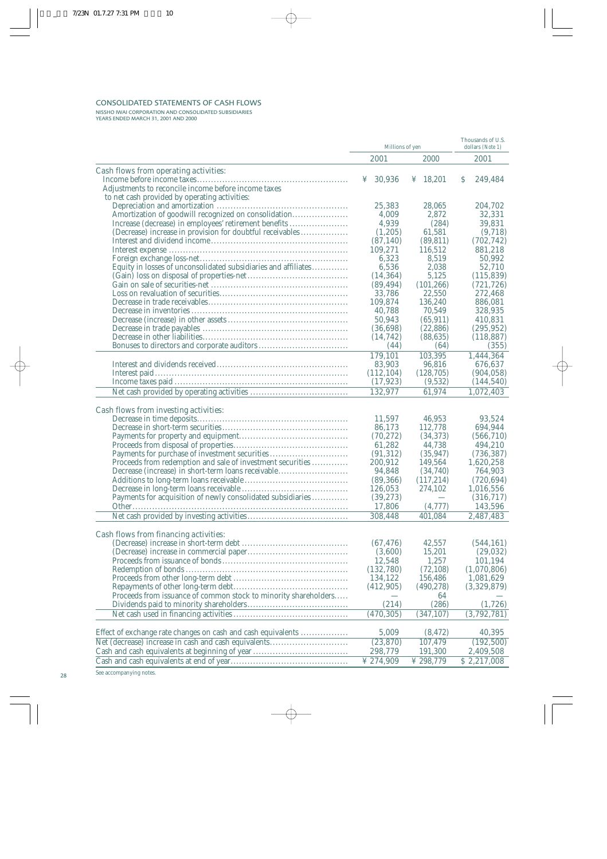### CONSOLIDATED STATEMENTS OF CASH FLOWS

NISSHO IWAI CORPORATION AND CONSOLIDATED SUBSIDIARIES YEARS ENDED MARCH 31, 2001 AND 2000

|                                                                                                        | Millions of yen     | Thousands of U.S.<br>dollars (Note 1) |                          |
|--------------------------------------------------------------------------------------------------------|---------------------|---------------------------------------|--------------------------|
|                                                                                                        | 2001                | 2000                                  | 2001                     |
| <b>Cash flows from operating activities:</b>                                                           |                     |                                       |                          |
|                                                                                                        | 30,936<br>¥         | 18,201<br>¥                           | S<br>249,484             |
| Adjustments to reconcile income before income taxes                                                    |                     |                                       |                          |
| to net cash provided by operating activities:                                                          |                     |                                       |                          |
|                                                                                                        | 25,383              | 28,065                                | 204,702                  |
| Amortization of goodwill recognized on consolidation                                                   | 4,009               | 2,872                                 | 32,331                   |
| Increase (decrease) in employees' retirement benefits                                                  | 4,939               | (284)                                 | 39,831                   |
| (Decrease) increase in provision for doubtful receivables                                              | (1,205)             | 61,581                                | (9,718)                  |
|                                                                                                        | (87, 140)           | (89, 811)                             | (702, 742)               |
|                                                                                                        | 109,271             | 116,512                               | 881,218                  |
|                                                                                                        | 6,323               | 8,519                                 | 50,992                   |
| Equity in losses of unconsolidated subsidiaries and affiliates                                         | 6,536               | 2,038                                 | 52,710                   |
|                                                                                                        | (14, 364)           | 5,125                                 | (115,839)                |
|                                                                                                        | (89, 494)           | (101, 266)                            | (721, 726)               |
|                                                                                                        | 33,786              | 22,550                                | 272,468                  |
|                                                                                                        | 109,874             | 136,240                               | 886,081                  |
|                                                                                                        | 40,788<br>50,943    | 70,549<br>(65, 911)                   | 328,935<br>410,831       |
|                                                                                                        | (36, 698)           | (22, 886)                             |                          |
|                                                                                                        | (14, 742)           | (88, 635)                             | (295, 952)<br>(118, 887) |
|                                                                                                        | (44)                | (64)                                  | (355)                    |
|                                                                                                        | 179,101             | 103,395                               |                          |
|                                                                                                        | 83,903              |                                       | 1,444,364<br>676,637     |
| Interest paid.                                                                                         | (112, 104)          | 96,816<br>(128, 705)                  | (904, 058)               |
|                                                                                                        | (17, 923)           | (9,532)                               | (144, 540)               |
|                                                                                                        | 132,977             | 61,974                                | 1,072,403                |
|                                                                                                        |                     |                                       |                          |
| <b>Cash flows from investing activities:</b>                                                           |                     |                                       |                          |
|                                                                                                        | 11,597              | 46,953                                | 93,524                   |
|                                                                                                        | 86,173              | 112,778                               | 694,944                  |
|                                                                                                        | (70, 272)           | (34, 373)                             | (566, 710)               |
|                                                                                                        | 61,282              | 44,738                                | 494,210                  |
| Payments for purchase of investment securities                                                         | (91, 312)           | (35, 947)                             | (736, 387)               |
| Proceeds from redemption and sale of investment securities                                             | 200,912             | 149,564                               | 1,620,258                |
| Decrease (increase) in short-term loans receivable                                                     | 94,848              | (34,740)                              | 764,903                  |
|                                                                                                        | (89, 366)           | (117,214)                             | (720, 694)               |
|                                                                                                        | 126,053             | 274,102                               | 1,016,556                |
| Payments for acquisition of newly consolidated subsidiaries                                            | (39, 273)           |                                       | (316, 717)               |
|                                                                                                        | 17,806              | (4,777)                               | 143,596                  |
|                                                                                                        | 308,448             | 401,084                               | 2,487,483                |
|                                                                                                        |                     |                                       |                          |
| <b>Cash flows from financing activities:</b>                                                           |                     |                                       |                          |
|                                                                                                        | (67, 476)           | 42,557                                | (544, 161)               |
|                                                                                                        | (3,600)             | 15,201                                | (29, 032)                |
|                                                                                                        | 12,548              | 1,257                                 | 101,194                  |
|                                                                                                        | (132,780)           | (72, 108)                             | (1,070,806)              |
|                                                                                                        | 134,122             | 156,486                               | 1,081,629                |
|                                                                                                        | (412,905)           | (490, 278)                            | (3,329,879)              |
| Proceeds from issuance of common stock to minority shareholders                                        |                     | 64                                    |                          |
|                                                                                                        | (214)               | (286)                                 | (1,726)                  |
|                                                                                                        | (470, 305)          | (347, 107)                            | (3,792,781)              |
|                                                                                                        | 5,009               |                                       |                          |
| Effect of exchange rate changes on cash and cash equivalents                                           |                     | (8, 472)                              | 40,395                   |
| Net (decrease) increase in cash and cash equivalents<br>Cash and cash equivalents at beginning of year | (23,870)<br>298,779 | 107,479<br>191,300                    | (192, 500)<br>2,409,508  |
|                                                                                                        | ¥ 274,909           | ¥ 298,779                             |                          |
|                                                                                                        |                     |                                       | \$2,217,008              |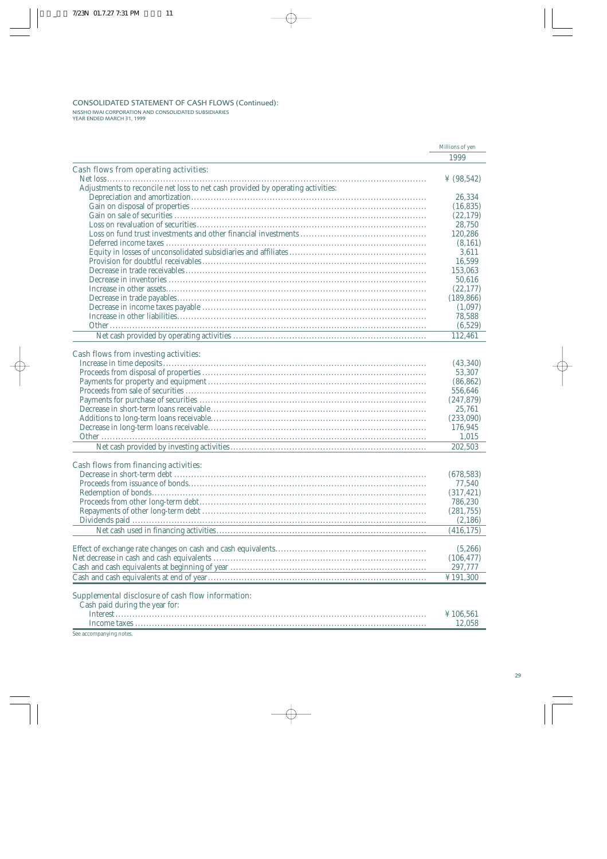## CONSOLIDATED STATEMENT OF CASH FLOWS (Continued): NISSHO IWAI CORPORATION AND CONSOLIDATED SUBSIDIARIES YEAR ENDED MARCH 31, 1999

|                                                                                            | Millions of yen |
|--------------------------------------------------------------------------------------------|-----------------|
|                                                                                            | 1999            |
| <b>Cash flows from operating activities:</b>                                               |                 |
|                                                                                            | ¥ $(98, 542)$   |
| Adjustments to reconcile net loss to net cash provided by operating activities:            |                 |
|                                                                                            | 26,334          |
|                                                                                            | (16, 835)       |
|                                                                                            | (22, 179)       |
|                                                                                            | 28,750          |
|                                                                                            | 120,286         |
|                                                                                            | (8,161)         |
|                                                                                            | 3,611           |
|                                                                                            | 16,599          |
|                                                                                            | 153,063         |
|                                                                                            | 50,616          |
|                                                                                            | (22, 177)       |
|                                                                                            | (189, 866)      |
|                                                                                            | (1,097)         |
|                                                                                            | 78,588          |
|                                                                                            | (6,529)         |
|                                                                                            | 112,461         |
|                                                                                            |                 |
| <b>Cash flows from investing activities:</b>                                               |                 |
|                                                                                            | (43, 340)       |
|                                                                                            | 53,307          |
|                                                                                            | (86, 862)       |
|                                                                                            | 556,646         |
|                                                                                            | (247, 879)      |
|                                                                                            | 25,761          |
|                                                                                            | (233,090)       |
|                                                                                            | 176,945         |
|                                                                                            | 1,015           |
|                                                                                            | 202,503         |
|                                                                                            |                 |
| <b>Cash flows from financing activities:</b>                                               |                 |
|                                                                                            | (678, 583)      |
|                                                                                            | 77,540          |
|                                                                                            | (317, 421)      |
|                                                                                            | 786,230         |
|                                                                                            | (281, 755)      |
|                                                                                            | (2,186)         |
|                                                                                            | (416, 175)      |
|                                                                                            |                 |
|                                                                                            | (5,266)         |
|                                                                                            | (106, 477)      |
|                                                                                            | 297,777         |
|                                                                                            | ¥191,300        |
|                                                                                            |                 |
| <b>Supplemental disclosure of cash flow information:</b><br>Cash paid during the year for: |                 |
| <b>Interest</b>                                                                            | $Y$ 106 561     |

# Interest............................................................................................................... ¥ 106,561 Income taxes ........................................................................................................ 12,058

See accompanying notes.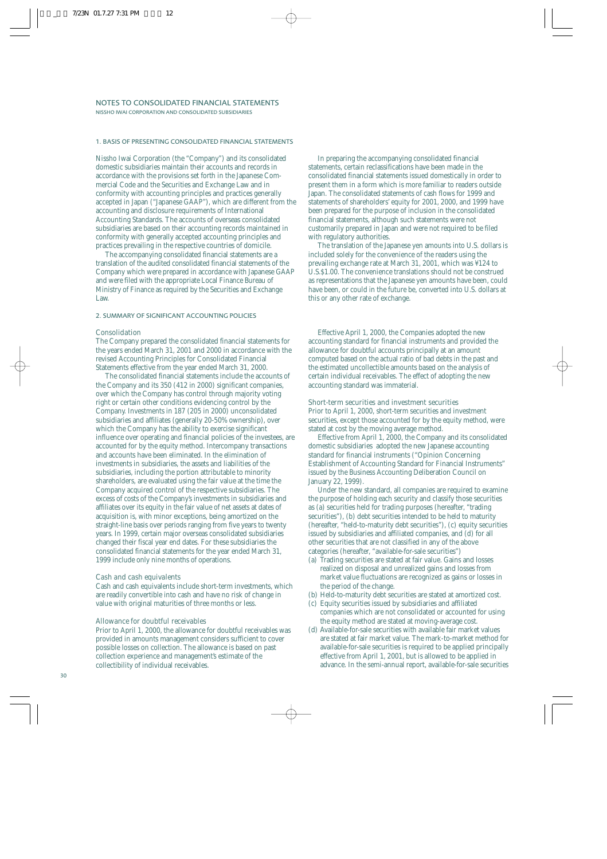#### 1. BASIS OF PRESENTING CONSOLIDATED FINANCIAL STATEMENTS

Nissho Iwai Corporation (the "Company") and its consolidated domestic subsidiaries maintain their accounts and records in accordance with the provisions set forth in the Japanese Commercial Code and the Securities and Exchange Law and in conformity with accounting principles and practices generally accepted in Japan ("Japanese GAAP"), which are different from the accounting and disclosure requirements of International Accounting Standards. The accounts of overseas consolidated subsidiaries are based on their accounting records maintained in conformity with generally accepted accounting principles and practices prevailing in the respective countries of domicile.

The accompanying consolidated financial statements are a translation of the audited consolidated financial statements of the Company which were prepared in accordance with Japanese GAAP and were filed with the appropriate Local Finance Bureau of Ministry of Finance as required by the Securities and Exchange Law.

#### 2. SUMMARY OF SIGNIFICANT ACCOUNTING POLICIES

#### Consolidation

The Company prepared the consolidated financial statements for the years ended March 31, 2001 and 2000 in accordance with the revised Accounting Principles for Consolidated Financial Statements effective from the year ended March 31, 2000.

The consolidated financial statements include the accounts of the Company and its 350 (412 in 2000) significant companies, over which the Company has control through majority voting right or certain other conditions evidencing control by the Company. Investments in 187 (205 in 2000) unconsolidated subsidiaries and affiliates (generally 20-50% ownership), over which the Company has the ability to exercise significant influence over operating and financial policies of the investees, are accounted for by the equity method. Intercompany transactions and accounts have been eliminated. In the elimination of investments in subsidiaries, the assets and liabilities of the subsidiaries, including the portion attributable to minority shareholders, are evaluated using the fair value at the time the Company acquired control of the respective subsidiaries. The excess of costs of the Company's investments in subsidiaries and affiliates over its equity in the fair value of net assets at dates of acquisition is, with minor exceptions, being amortized on the straight-line basis over periods ranging from five years to twenty years. In 1999, certain major overseas consolidated subsidiaries changed their fiscal year end dates. For these subsidiaries the consolidated financial statements for the year ended March 31, 1999 include only nine months of operations.

#### Cash and cash equivalents

Cash and cash equivalents include short-term investments, which are readily convertible into cash and have no risk of change in value with original maturities of three months or less.

### Allowance for doubtful receivables

Prior to April 1, 2000, the allowance for doubtful receivables was provided in amounts management considers sufficient to cover possible losses on collection. The allowance is based on past collection experience and management's estimate of the collectibility of individual receivables.

In preparing the accompanying consolidated financial statements, certain reclassifications have been made in the consolidated financial statements issued domestically in order to present them in a form which is more familiar to readers outside Japan. The consolidated statements of cash flows for 1999 and statements of shareholders' equity for 2001, 2000, and 1999 have been prepared for the purpose of inclusion in the consolidated financial statements, although such statements were not customarily prepared in Japan and were not required to be filed with regulatory authorities.

The translation of the Japanese yen amounts into U.S. dollars is included solely for the convenience of the readers using the prevailing exchange rate at March 31, 2001, which was ¥124 to U.S.\$1.00. The convenience translations should not be construed as representations that the Japanese yen amounts have been, could have been, or could in the future be, converted into U.S. dollars at this or any other rate of exchange.

Effective April 1, 2000, the Companies adopted the new accounting standard for financial instruments and provided the allowance for doubtful accounts principally at an amount computed based on the actual ratio of bad debts in the past and the estimated uncollectible amounts based on the analysis of certain individual receivables. The effect of adopting the new accounting standard was immaterial.

#### Short-term securities and investment securities

Prior to April 1, 2000, short-term securities and investment securities, except those accounted for by the equity method, were stated at cost by the moving average method.

Effective from April 1, 2000, the Company and its consolidated domestic subsidiaries adopted the new Japanese accounting standard for financial instruments ("Opinion Concerning Establishment of Accounting Standard for Financial Instruments" issued by the Business Accounting Deliberation Council on January 22, 1999).

Under the new standard, all companies are required to examine the purpose of holding each security and classify those securities as (a) securities held for trading purposes (hereafter, "trading securities"), (b) debt securities intended to be held to maturity (hereafter, "held-to-maturity debt securities"), (c) equity securities issued by subsidiaries and affiliated companies, and (d) for all other securities that are not classified in any of the above categories (hereafter, "available-for-sale securities")

- (a) Trading securities are stated at fair value. Gains and losses realized on disposal and unrealized gains and losses from market value fluctuations are recognized as gains or losses in the period of the change.
- (b) Held-to-maturity debt securities are stated at amortized cost.
- (c) Equity securities issued by subsidiaries and affiliated companies which are not consolidated or accounted for using the equity method are stated at moving-average cost.
- (d) Available-for-sale securities with available fair market values are stated at fair market value. The mark-to-market method for available-for-sale securities is required to be applied principally effective from April 1, 2001, but is allowed to be applied in advance. In the semi-annual report, available-for-sale securities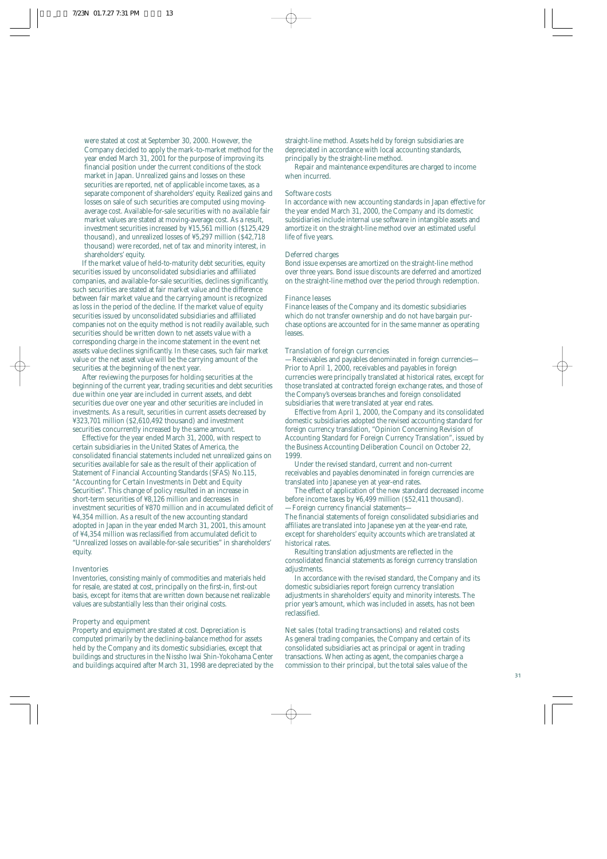were stated at cost at September 30, 2000. However, the Company decided to apply the mark-to-market method for the year ended March 31, 2001 for the purpose of improving its financial position under the current conditions of the stock market in Japan. Unrealized gains and losses on these securities are reported, net of applicable income taxes, as a separate component of shareholders' equity. Realized gains and losses on sale of such securities are computed using movingaverage cost. Available-for-sale securities with no available fair market values are stated at moving-average cost. As a result, investment securities increased by ¥15,561 million (\$125,429 thousand), and unrealized losses of ¥5,297 million (\$42,718 thousand) were recorded, net of tax and minority interest, in shareholders' equity.

If the market value of held-to-maturity debt securities, equity securities issued by unconsolidated subsidiaries and affiliated companies, and available-for-sale securities, declines significantly, such securities are stated at fair market value and the difference between fair market value and the carrying amount is recognized as loss in the period of the decline. If the market value of equity securities issued by unconsolidated subsidiaries and affiliated companies not on the equity method is not readily available, such securities should be written down to net assets value with a corresponding charge in the income statement in the event net assets value declines significantly. In these cases, such fair market value or the net asset value will be the carrying amount of the securities at the beginning of the next year.

After reviewing the purposes for holding securities at the beginning of the current year, trading securities and debt securities due within one year are included in current assets, and debt securities due over one year and other securities are included in investments. As a result, securities in current assets decreased by ¥323,701 million (\$2,610,492 thousand) and investment securities concurrently increased by the same amount.

Effective for the year ended March 31, 2000, with respect to certain subsidiaries in the United States of America, the consolidated financial statements included net unrealized gains on securities available for sale as the result of their application of Statement of Financial Accounting Standards (SFAS) No.115, "Accounting for Certain Investments in Debt and Equity Securities". This change of policy resulted in an increase in short-term securities of ¥8,126 million and decreases in investment securities of ¥870 million and in accumulated deficit of ¥4,354 million. As a result of the new accounting standard adopted in Japan in the year ended March 31, 2001, this amount of ¥4,354 million was reclassified from accumulated deficit to "Unrealized losses on available-for-sale securities" in shareholders' equity.

### Inventories

Inventories, consisting mainly of commodities and materials held for resale, are stated at cost, principally on the first-in, first-out basis, except for items that are written down because net realizable values are substantially less than their original costs.

### Property and equipment

Property and equipment are stated at cost. Depreciation is computed primarily by the declining-balance method for assets held by the Company and its domestic subsidiaries, except that buildings and structures in the Nissho Iwai Shin-Yokohama Center and buildings acquired after March 31, 1998 are depreciated by the straight-line method. Assets held by foreign subsidiaries are depreciated in accordance with local accounting standards, principally by the straight-line method.

Repair and maintenance expenditures are charged to income when incurred.

#### Software costs

In accordance with new accounting standards in Japan effective for the year ended March 31, 2000, the Company and its domestic subsidiaries include internal use software in intangible assets and amortize it on the straight-line method over an estimated useful life of five years.

#### Deferred charges

Bond issue expenses are amortized on the straight-line method over three years. Bond issue discounts are deferred and amortized on the straight-line method over the period through redemption.

#### Finance leases

Finance leases of the Company and its domestic subsidiaries which do not transfer ownership and do not have bargain purchase options are accounted for in the same manner as operating leases.

#### Translation of foreign currencies

—Receivables and payables denominated in foreign currencies— Prior to April 1, 2000, receivables and payables in foreign currencies were principally translated at historical rates, except for those translated at contracted foreign exchange rates, and those of the Company's overseas branches and foreign consolidated subsidiaries that were translated at year end rates.

Effective from April 1, 2000, the Company and its consolidated domestic subsidiaries adopted the revised accounting standard for foreign currency translation, "Opinion Concerning Revision of Accounting Standard for Foreign Currency Translation", issued by the Business Accounting Deliberation Council on October 22, 1999.

Under the revised standard, current and non-current receivables and payables denominated in foreign currencies are translated into Japanese yen at year-end rates.

The effect of application of the new standard decreased income before income taxes by ¥6,499 million (\$52,411 thousand). —Foreign currency financial statements—

The financial statements of foreign consolidated subsidiaries and affiliates are translated into Japanese yen at the year-end rate, except for shareholders' equity accounts which are translated at historical rates.

Resulting translation adjustments are reflected in the consolidated financial statements as foreign currency translation adjustments.

In accordance with the revised standard, the Company and its domestic subsidiaries report foreign currency translation adjustments in shareholders' equity and minority interests. The prior year's amount, which was included in assets, has not been reclassified.

### Net sales (total trading transactions) and related costs

As general trading companies, the Company and certain of its consolidated subsidiaries act as principal or agent in trading transactions. When acting as agent, the companies charge a commission to their principal, but the total sales value of the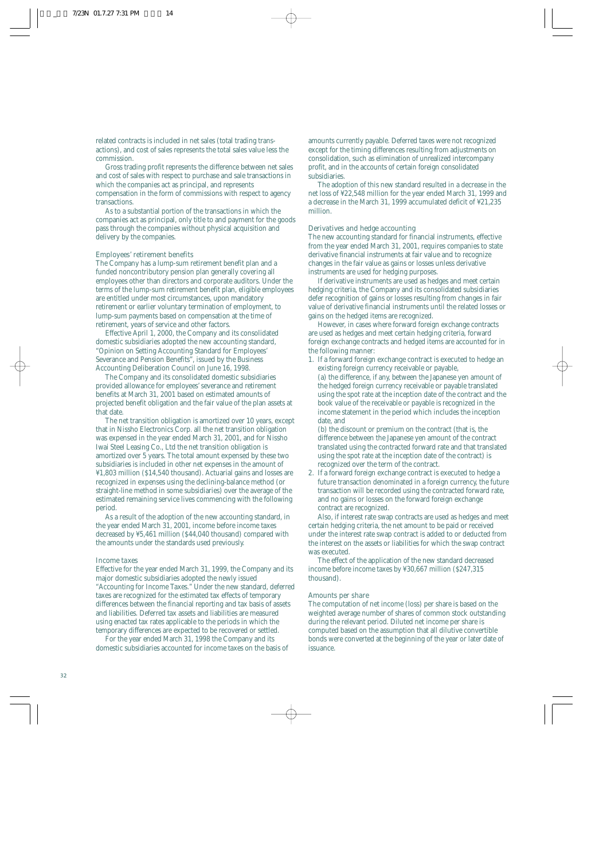related contracts is included in net sales (total trading transactions), and cost of sales represents the total sales value less the commission.

Gross trading profit represents the difference between net sales and cost of sales with respect to purchase and sale transactions in which the companies act as principal, and represents compensation in the form of commissions with respect to agency transactions.

As to a substantial portion of the transactions in which the companies act as principal, only title to and payment for the goods pass through the companies without physical acquisition and delivery by the companies.

### Employees' retirement benefits

The Company has a lump-sum retirement benefit plan and a funded noncontributory pension plan generally covering all employees other than directors and corporate auditors. Under the terms of the lump-sum retirement benefit plan, eligible employees are entitled under most circumstances, upon mandatory retirement or earlier voluntary termination of employment, to lump-sum payments based on compensation at the time of retirement, years of service and other factors.

Effective April 1, 2000, the Company and its consolidated domestic subsidiaries adopted the new accounting standard, "Opinion on Setting Accounting Standard for Employees' Severance and Pension Benefits", issued by the Business Accounting Deliberation Council on June 16, 1998.

The Company and its consolidated domestic subsidiaries provided allowance for employees' severance and retirement benefits at March 31, 2001 based on estimated amounts of projected benefit obligation and the fair value of the plan assets at that date.

The net transition obligation is amortized over 10 years, except that in Nissho Electronics Corp. all the net transition obligation was expensed in the year ended March 31, 2001, and for Nissho Iwai Steel Leasing Co., Ltd the net transition obligation is amortized over 5 years. The total amount expensed by these two subsidiaries is included in other net expenses in the amount of ¥1,803 million (\$14,540 thousand). Actuarial gains and losses are recognized in expenses using the declining-balance method (or straight-line method in some subsidiaries) over the average of the estimated remaining service lives commencing with the following period.

As a result of the adoption of the new accounting standard, in the year ended March 31, 2001, income before income taxes decreased by ¥5,461 million (\$44,040 thousand) compared with the amounts under the standards used previously.

#### Income taxes

Effective for the year ended March 31, 1999, the Company and its major domestic subsidiaries adopted the newly issued "Accounting for Income Taxes." Under the new standard, deferred taxes are recognized for the estimated tax effects of temporary differences between the financial reporting and tax basis of assets and liabilities. Deferred tax assets and liabilities are measured using enacted tax rates applicable to the periods in which the temporary differences are expected to be recovered or settled.

For the year ended March 31, 1998 the Company and its domestic subsidiaries accounted for income taxes on the basis of amounts currently payable. Deferred taxes were not recognized except for the timing differences resulting from adjustments on consolidation, such as elimination of unrealized intercompany profit, and in the accounts of certain foreign consolidated subsidiaries.

The adoption of this new standard resulted in a decrease in the net loss of ¥22,548 million for the year ended March 31, 1999 and a decrease in the March 31, 1999 accumulated deficit of ¥21,235 million.

### Derivatives and hedge accounting

The new accounting standard for financial instruments, effective from the year ended March 31, 2001, requires companies to state derivative financial instruments at fair value and to recognize changes in the fair value as gains or losses unless derivative instruments are used for hedging purposes.

If derivative instruments are used as hedges and meet certain hedging criteria, the Company and its consolidated subsidiaries defer recognition of gains or losses resulting from changes in fair value of derivative financial instruments until the related losses or gains on the hedged items are recognized.

However, in cases where forward foreign exchange contracts are used as hedges and meet certain hedging criteria, forward foreign exchange contracts and hedged items are accounted for in the following manner:

1. If a forward foreign exchange contract is executed to hedge an existing foreign currency receivable or payable,

(a) the difference, if any, between the Japanese yen amount of the hedged foreign currency receivable or payable translated using the spot rate at the inception date of the contract and the book value of the receivable or payable is recognized in the income statement in the period which includes the inception date, and

(b) the discount or premium on the contract (that is, the difference between the Japanese yen amount of the contract translated using the contracted forward rate and that translated using the spot rate at the inception date of the contract) is recognized over the term of the contract.

2. If a forward foreign exchange contract is executed to hedge a future transaction denominated in a foreign currency, the future transaction will be recorded using the contracted forward rate, and no gains or losses on the forward foreign exchange contract are recognized.

Also, if interest rate swap contracts are used as hedges and meet certain hedging criteria, the net amount to be paid or received under the interest rate swap contract is added to or deducted from the interest on the assets or liabilities for which the swap contract was executed.

The effect of the application of the new standard decreased income before income taxes by ¥30,667 million (\$247,315 thousand).

#### Amounts per share

The computation of net income (loss) per share is based on the weighted average number of shares of common stock outstanding during the relevant period. Diluted net income per share is computed based on the assumption that all dilutive convertible bonds were converted at the beginning of the year or later date of issuance.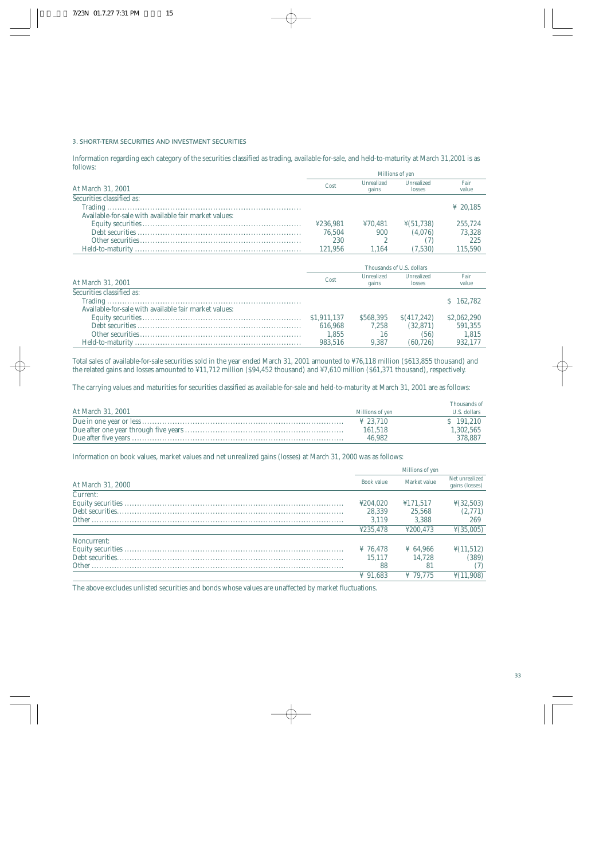#### 3. SHORT-TERM SECURITIES AND INVESTMENT SECURITIES

Information regarding each category of the securities classified as trading, available-for-sale, and held-to-maturity at March 31,2001 is as follows:

|                                                       | Millions of ven |                     |                       |               |  |  |
|-------------------------------------------------------|-----------------|---------------------|-----------------------|---------------|--|--|
| At March 31, 2001                                     | Cost            | Unrealized<br>gains | Unrealized<br>losses  | Fair<br>value |  |  |
| Securities classified as:                             |                 |                     |                       |               |  |  |
|                                                       |                 |                     |                       | ¥ 20.185      |  |  |
| Available-for-sale with available fair market values: |                 |                     |                       |               |  |  |
|                                                       | ¥236.981        | 470.481             | $\frac{1}{2}(51.738)$ | 255.724       |  |  |
|                                                       | 76.504          | 900                 | (4.076)               | 73.328        |  |  |
|                                                       | 230             |                     |                       | 225           |  |  |
|                                                       | 121.956         | 1.164               | (7.530)               | 115.590       |  |  |

|                                                       | Thousands of U.S. dollars |                     |                      |               |  |
|-------------------------------------------------------|---------------------------|---------------------|----------------------|---------------|--|
| At March 31, 2001                                     | Cost                      | Unrealized<br>gains | Unrealized<br>losses | Fair<br>value |  |
| Securities classified as:                             |                           |                     |                      |               |  |
|                                                       |                           |                     |                      | \$162.782     |  |
| Available-for-sale with available fair market values: |                           |                     |                      |               |  |
|                                                       | \$1,911,137               | \$568.395           | S(417.242)           | \$2,062,290   |  |
|                                                       | 616.968                   | 7.258               | (32.871)             | 591.355       |  |
|                                                       | 1.855                     | 16                  | (56)                 | 1.815         |  |
|                                                       | 983.516                   | 9.387               | (60.726)             | 932.177       |  |

Total sales of available-for-sale securities sold in the year ended March 31, 2001 amounted to ¥76,118 million (\$613,855 thousand) and the related gains and losses amounted to ¥11,712 million (\$94,452 thousand) and ¥7,610 million (\$61,371 thousand), respectively.

The carrying values and maturities for securities classified as available-for-sale and held-to-maturity at March 31, 2001 are as follows:

|                   |                      | Thousands of |
|-------------------|----------------------|--------------|
| At March 31, 2001 | Millions of yen      | U.S. dollars |
|                   | $\frac{1}{2}$ 23.710 | $S$ 191.210  |
|                   | 161.518              | 1,302,565    |
|                   | 46.982               | 378,887      |

Information on book values, market values and net unrealized gains (losses) at March 31, 2000 was as follows:

|                   | Millions of yen |              |                                  |
|-------------------|-----------------|--------------|----------------------------------|
| At March 31, 2000 | Book value      | Market value | Net unrealized<br>gains (losses) |
| Current:          |                 |              |                                  |
|                   | ¥204.020        | ¥171.517     | $\frac{1}{2}(32,503)$            |
|                   | 28.339          | 25.568       | (2,771)                          |
|                   | 3.119           | 3.388        | 269                              |
|                   | 4235.478        | ¥200.473     | $\frac{1}{2}(35,005)$            |
| Noncurrent:       |                 |              |                                  |
|                   | ¥ 76.478        | ¥ 64.966     | $\frac{1}{2}(11,512)$            |
|                   | 15.117          | 14.728       | (389)                            |
|                   | 88              | 81           |                                  |
|                   | ¥ 91.683        | ¥ 79.775     | $\frac{1}{2}(11,908)$            |

The above excludes unlisted securities and bonds whose values are unaffected by market fluctuations.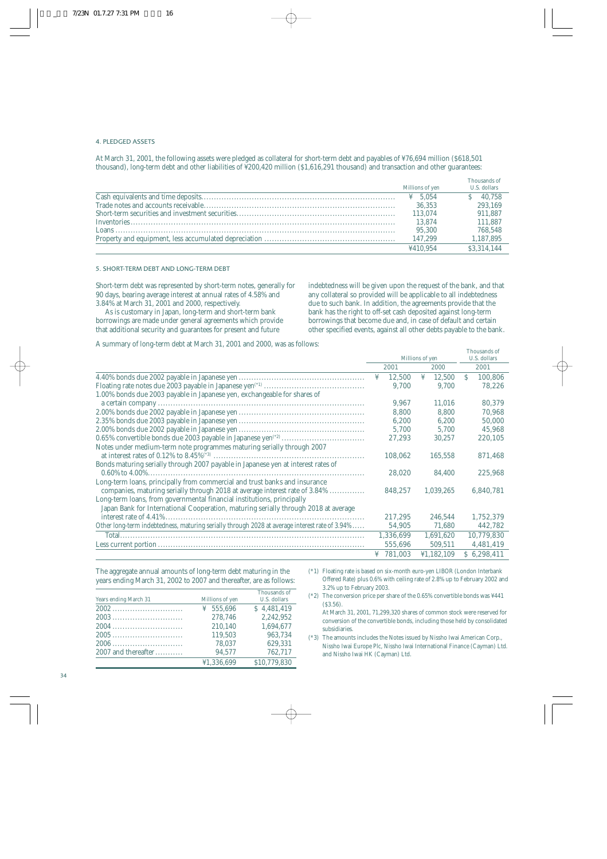#### 4. PLEDGED ASSETS

At March 31, 2001, the following assets were pledged as collateral for short-term debt and payables of ¥76,694 million (\$618,501 thousand), long-term debt and other liabilities of ¥200,420 million (\$1,616,291 thousand) and transaction and other guarantees:

| Millions of yen     | Thousands of<br>U.S. dollars |
|---------------------|------------------------------|
| $\frac{1}{2}$ 5.054 | $S = 40.758$                 |
| 36.353              | 293,169                      |
| 113.074             | 911.887                      |
| 13.874              | 111.887                      |
| 95.300              | 768.548                      |
| 147.299             | 1,187,895                    |
| ¥410.954            | \$3.314.144                  |

#### 5. SHORT-TERM DEBT AND LONG-TERM DEBT

Short-term debt was represented by short-term notes, generally for 90 days, bearing average interest at annual rates of 4.58% and 3.84% at March 31, 2001 and 2000, respectively.

As is customary in Japan, long-term and short-term bank borrowings are made under general agreements which provide that additional security and guarantees for present and future

indebtedness will be given upon the request of the bank, and that any collateral so provided will be applicable to all indebtedness due to such bank. In addition, the agreements provide that the bank has the right to off-set cash deposited against long-term borrowings that become due and, in case of default and certain other specified events, against all other debts payable to the bank.

A summary of long-term debt at March 31, 2001 and 2000, was as follows:

|                                                                                                |      | Millions of yen |      |            | Thousands of<br>U.S. dollars |             |
|------------------------------------------------------------------------------------------------|------|-----------------|------|------------|------------------------------|-------------|
|                                                                                                | 2001 |                 | 2000 |            |                              | 2001        |
|                                                                                                |      |                 |      |            |                              |             |
|                                                                                                | ¥    | 12,500          | ¥    | 12,500     | S                            | 100,806     |
|                                                                                                |      | 9.700           |      | 9.700      |                              | 78,226      |
| 1.00% bonds due 2003 payable in Japanese yen, exchangeable for shares of                       |      |                 |      |            |                              |             |
|                                                                                                |      | 9.967           |      | 11.016     |                              | 80,379      |
|                                                                                                |      | 8,800           |      | 8.800      |                              | 70,968      |
|                                                                                                |      | 6,200           |      | 6,200      |                              | 50,000      |
|                                                                                                |      | 5,700           |      | 5.700      |                              | 45,968      |
|                                                                                                |      | 27,293          |      | 30,257     |                              | 220,105     |
| Notes under medium-term note programmes maturing serially through 2007                         |      |                 |      |            |                              |             |
|                                                                                                |      | 108,062         |      | 165,558    |                              | 871,468     |
| Bonds maturing serially through 2007 payable in Japanese yen at interest rates of              |      |                 |      |            |                              |             |
|                                                                                                |      | 28,020          |      | 84,400     |                              | 225,968     |
| Long-term loans, principally from commercial and trust banks and insurance                     |      |                 |      |            |                              |             |
| companies, maturing serially through 2018 at average interest rate of 3.84%                    |      | 848,257         |      | 1,039,265  |                              | 6,840,781   |
| Long-term loans, from governmental financial institutions, principally                         |      |                 |      |            |                              |             |
| Japan Bank for International Cooperation, maturing serially through 2018 at average            |      |                 |      |            |                              |             |
|                                                                                                |      | 217,295         |      | 246,544    |                              | 1,752,379   |
| Other long-term indebtedness, maturing serially through 2028 at average interest rate of 3.94% |      | 54,905          |      | 71,680     |                              | 442,782     |
|                                                                                                |      | 1,336,699       |      | 1,691,620  |                              | 10,779,830  |
|                                                                                                |      | 555,696         |      | 509,511    |                              | 4,481,419   |
|                                                                                                |      | ¥ $781,003$     |      | ¥1,182,109 |                              | \$6,298,411 |
|                                                                                                |      |                 |      |            |                              |             |

The aggregate annual amounts of long-term debt maturing in the years ending March 31, 2002 to 2007 and thereafter, are as follows:

| Years ending March 31 | Millions of yen | Thousands of<br>U.S. dollars |
|-----------------------|-----------------|------------------------------|
|                       | ¥ $555.696$     | \$4.481.419                  |
|                       | 278.746         | 2.242.952                    |
| 2004                  | 210.140         | 1.694.677                    |
|                       | 119.503         | 963.734                      |
| 2006                  | 78.037          | 629.331                      |
| $2007$ and thereafter | 94.577          | 762.717                      |
|                       | ¥1.336.699      | \$10.779.830                 |

- (\*1) Floating rate is based on six-month euro-yen LIBOR (London Interbank Offered Rate) plus 0.6% with ceiling rate of 2.8% up to February 2002 and 3.2% up to February 2003.
- (\*2) The conversion price per share of the 0.65% convertible bonds was ¥441 (\$3.56).

At March 31, 2001, 71,299,320 shares of common stock were reserved for conversion of the convertible bonds, including those held by consolidated subsidiaries.

(\*3) The amounts includes the Notes issued by Nissho Iwai American Corp., Nissho Iwai Europe Plc, Nissho Iwai International Finance (Cayman) Ltd. and Nissho Iwai HK (Cayman) Ltd.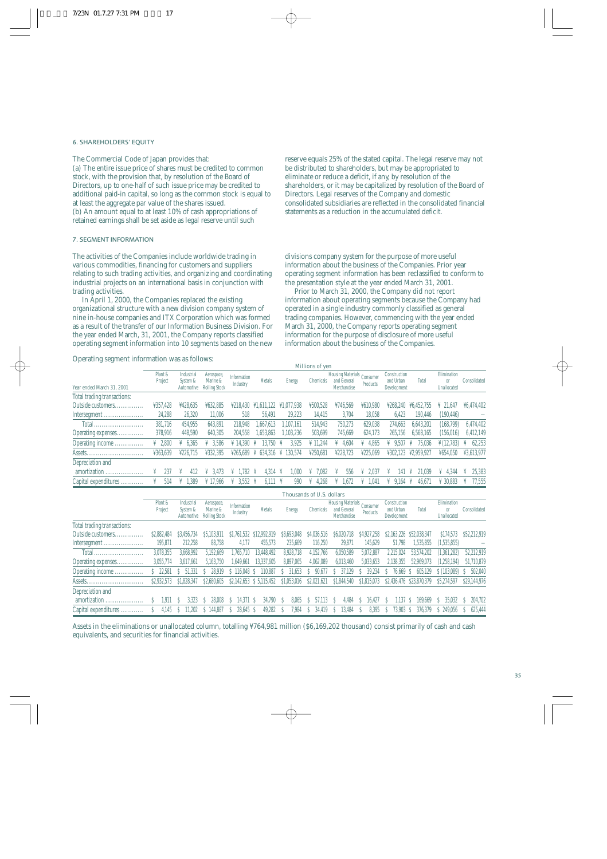#### 6. SHAREHOLDERS' EQUITY

The Commercial Code of Japan provides that: (a) The entire issue price of shares must be credited to common stock, with the provision that, by resolution of the Board of Directors, up to one-half of such issue price may be credited to additional paid-in capital, so long as the common stock is equal to at least the aggregate par value of the shares issued. (b) An amount equal to at least 10% of cash appropriations of retained earnings shall be set aside as legal reserve until such

#### 7. SEGMENT INFORMATION

The activities of the Companies include worldwide trading in various commodities, financing for customers and suppliers relating to such trading activities, and organizing and coordinating industrial projects on an international basis in conjunction with trading activities.

In April 1, 2000, the Companies replaced the existing organizational structure with a new division company system of nine in-house companies and ITX Corporation which was formed as a result of the transfer of our Information Business Division. For the year ended March, 31, 2001, the Company reports classified operating segment information into 10 segments based on the new

Operating segment information was as follows:

reserve equals 25% of the stated capital. The legal reserve may not be distributed to shareholders, but may be appropriated to eliminate or reduce a deficit, if any, by resolution of the shareholders, or it may be capitalized by resolution of the Board of Directors. Legal reserves of the Company and domestic consolidated subsidiaries are reflected in the consolidated financial statements as a reduction in the accumulated deficit.

divisions company system for the purpose of more useful information about the business of the Companies. Prior year operating segment information has been reclassified to conform to the presentation style at the year ended March 31, 2001.

Prior to March 31, 2000, the Company did not report information about operating segments because the Company had operated in a single industry commonly classified as general trading companies. However, commencing with the year ended March 31, 2000, the Company reports operating segment information for the purpose of disclosure of more useful information about the business of the Companies.

| $\tilde{\phantom{a}}$<br>$\tilde{\phantom{a}}$ |                     |                                      |                                                |                         |                                        |                       | Millions of yen      |                                                          |          |                                          |              |                                        |              |
|------------------------------------------------|---------------------|--------------------------------------|------------------------------------------------|-------------------------|----------------------------------------|-----------------------|----------------------|----------------------------------------------------------|----------|------------------------------------------|--------------|----------------------------------------|--------------|
| Year ended March 31, 2001                      | Plant &<br>Project  | Industrial<br>System &<br>Automotive | Aerospace,<br>Marine &<br><b>Rolling Stock</b> | Information<br>Industry | <b>Metals</b>                          | <b>Energy</b>         | Chemicals            | Housing Materials Consumer<br>and General<br>Merchandise | Products | Construction<br>and Urban<br>Development | Total        | Elimination<br>$_{0}$ r<br>Unallocated | Consolidated |
| Total trading transactions:                    |                     |                                      |                                                |                         |                                        |                       |                      |                                                          |          |                                          |              |                                        |              |
| Outside customers.                             | ¥357.428            | ¥428.635                             | ¥632.885                                       | 4218.430                | $\text{\textsterling}1.611.122$        | ¥1.077.938            | ¥500.528             | ¥746.569                                                 | ¥610.980 | ¥268.240                                 | ¥6.452.755   | $\frac{1}{2}$ 21.647                   | ¥6,474,402   |
| Intersegment                                   | 24,288              | 26.320                               | 11.006                                         | 518                     | 56.491                                 | 29.223                | 14.415               | 3.704                                                    | 18.058   | 6.423                                    | 190.446      | (190, 446)                             |              |
|                                                | 381.716             | 454.955                              | 643.891                                        | 218,948                 | .667.613                               | .107.161              | 514.943              | 750.273                                                  | 629.038  | 274.663                                  | 6.643.201    | (168.799)                              | 6,474,402    |
| Operating expenses                             | 378,916             | 448.590                              | 640.305                                        | 204.558                 | .653.863                               | .103.236              | 503.699              | 745.669                                                  | 624.173  | 265.156                                  | 6.568.165    | (156, 016)                             | 6,412,149    |
| Operating income                               | $\frac{1}{4}$ 2.800 | 6.365                                | 3.586                                          | $\frac{1}{2}$ 14.390    | 3.750<br>¥                             | 3,925                 | $\frac{1}{2}$ 11.244 | 4.604                                                    | 4.865    | 9.507                                    | 75.036       | $\frac{1}{2}$ (12.783)                 | 62,253       |
| Assets                                         | ¥363.639            | ¥226.715                             | ¥332.395                                       |                         | $\text{\#}265.689 \text{ \# } 634.316$ | 130.574               | ¥250.681             | ¥228.723                                                 | ¥225.069 | ¥302.123                                 | ¥2.959.927   | ¥654.050                               | ¥3.613.977   |
| Depreciation and                               |                     |                                      |                                                |                         |                                        |                       |                      |                                                          |          |                                          |              |                                        |              |
| amortization                                   | 237                 |                                      | 3.473                                          | .782                    | 4.314<br>$\ddot{\phantom{1}}$          | .000<br>$\ddot{\ast}$ | '.082                | 556                                                      | 2.037    | 141                                      | 21.039       | 4.344<br>¥                             | 25.383       |
| Capital expenditures                           | 514                 | 1.389                                | ¥ 17.966                                       | 3.552 ¥<br>¥            | 6.111 ¥                                | 990                   | 4.268                | 1.672                                                    | 1.041    | 9.164                                    | 46.671<br>—¥ | ¥ 30.883                               | 77.555       |

|                             |                    |                                      |                                                |                         |                          |               | Thousands of U.S. dollars |                                                          |             |                                          |                          |                                             |              |
|-----------------------------|--------------------|--------------------------------------|------------------------------------------------|-------------------------|--------------------------|---------------|---------------------------|----------------------------------------------------------|-------------|------------------------------------------|--------------------------|---------------------------------------------|--------------|
|                             | Plant &<br>Project | Industrial<br>System &<br>Automotive | Aerospace,<br>Marine &<br><b>Rolling Stock</b> | Information<br>Industry | Metals                   | <b>Energy</b> | <b>Chemicals</b>          | Housing Materials Consumer<br>and General<br>Merchandise | Products    | Construction<br>and Urban<br>Development | Total                    | Elimination<br><sub>or</sub><br>Unallocated | Consolidated |
| Total trading transactions: |                    |                                      |                                                |                         |                          |               |                           |                                                          |             |                                          |                          |                                             |              |
| Outside customers.          | \$2,882,484        | \$3,456,734                          | \$5,103,911                                    | \$1,761,532             | \$12,992,919             | \$8.693.048   | \$4.036.516               | S6.020.<br>.718                                          | \$4.927.258 | \$2,163,226                              | \$52,038,347             | \$174,573                                   | \$52,212,919 |
| Intersegment                | 195,871            | 212.258                              | 88.758                                         | 4.177                   | 455.573                  | 235.669       | 116.250                   | 29.871                                                   | 145.629     | 51.798                                   | 1,535,855                | (1,535,855)                                 |              |
|                             | 3,078,355          | 3.668.992                            | 5.192.669                                      | 710<br>1.765.1          | 13.448.492               | 8.928.718     | 4.152.766                 | 6.050.589                                                | 5,072,887   | 2.215.024                                | 53.574.202               | (1,361,282)                                 | 52,212,919   |
| Operating expenses          | 3.055.774          | 3.617.661                            | 5.163.750                                      | 1.649.661               | 13.337.605               | 8,897,065     | 4.062.089                 | 6,013,460                                                | 5,033,653   | 2,138,355                                | 52.969.073               | (1,258,194)                                 | 51,710,879   |
| Operating income            | 22.581             | 51.331                               | 28.919                                         | 116.048                 | 110.887                  | 31.653        | 90.67                     | 37.129                                                   | 39.234      | 76.669                                   | 605.129                  | \$(103.089)                                 | 502.040      |
|                             | \$2,932,573        | \$1,828,347                          | \$2,680,605                                    |                         | \$2,142,653 \$ 5,115,452 | \$1.053.016   | \$2,021,621               | \$1,844,540                                              | \$1,815,073 |                                          | \$2,436,476 \$23,870,379 | \$5,274,597                                 | \$29,144,976 |
| Depreciation and            |                    |                                      |                                                |                         |                          |               |                           |                                                          |             |                                          |                          |                                             |              |
| amortization                | 1.911              | 3.323                                | 28,008                                         | 14.371                  | 34.790<br>-S             | 8.065         | 57.113                    | 4.484                                                    | 16.427      | .137                                     | 169.669                  | 35.032                                      | 204.702      |
| Capital expenditures        | 4.145              | 1.202                                | \$144,887                                      | 28.645 S                | 49,282                   | 7,984         | 34,419                    | 13.484<br>S                                              | 8,395       | 73.903 S                                 | 376.379                  | \$249.056                                   | 625.444      |

Assets in the eliminations or unallocated column, totalling ¥764,981 million (\$6,169,202 thousand) consist primarily of cash and cash equivalents, and securities for financial activities.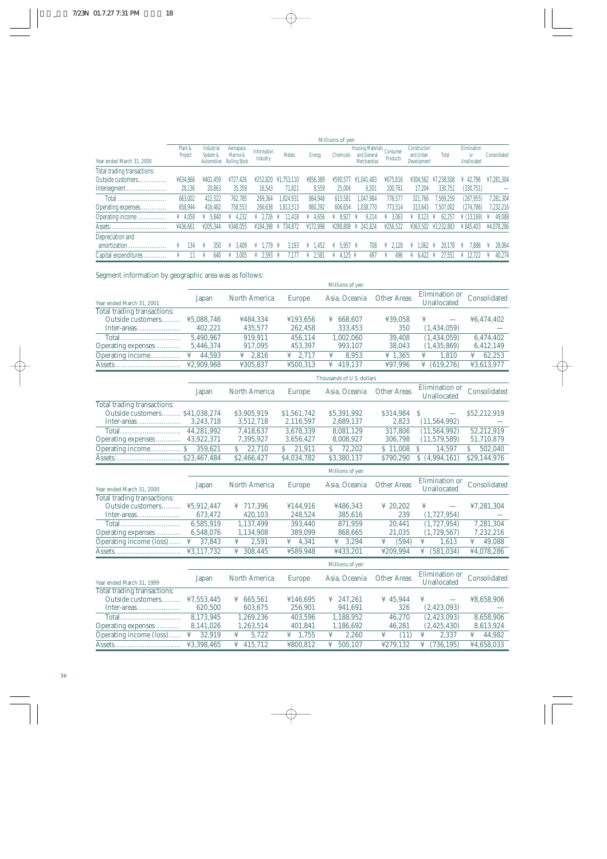|                             |                     |                                      |                                                |                         |                    |               |                  |                                                        |                      |                                          |                 | Millions of yen                              |              |  |  |  |  |  |
|-----------------------------|---------------------|--------------------------------------|------------------------------------------------|-------------------------|--------------------|---------------|------------------|--------------------------------------------------------|----------------------|------------------------------------------|-----------------|----------------------------------------------|--------------|--|--|--|--|--|
| Year ended March 31, 2000   | Plant &<br>Project  | Industrial<br>System &<br>Automotive | Aerospace,<br>Marine &<br><b>Rolling Stock</b> | Information<br>Industry | Metals             | <b>Energy</b> | Chemicals        | <b>Housing Materials</b><br>and General<br>Merchandise | Consumer<br>Products | Construction<br>and Urban<br>Development | Total           | Elimination<br>0 <sup>r</sup><br>Unallocated | Consolidated |  |  |  |  |  |
| Total trading transactions: |                     |                                      |                                                |                         |                    |               |                  |                                                        |                      |                                          |                 |                                              |              |  |  |  |  |  |
| Outside customers           | ¥634.866            | ¥401.459                             | ¥727.426                                       | ¥252.820                | ¥1.753.110         | ¥856,389      | ¥590.577         | ¥1.041.483                                             | ¥675.816             | ¥304.562                                 | .238.508<br>¥7. | 42.796<br>¥                                  | ¥7,281,304   |  |  |  |  |  |
| Intersegment                | 28,136              | 20.863                               | 35,359                                         | 16,543                  | 71.821             | 8,559         | 25.004           | 6.501                                                  | 100.761              | 17.204                                   | 330.751         | (330,751)                                    |              |  |  |  |  |  |
|                             | 663.002             | 422.322                              | 762.785                                        | 269.364                 | 1.824.931          | 864.948       | 615.581          | .047.984                                               | 776,577              | 321.766                                  | 7.569.259       | (287, 955)                                   | 7,281,304    |  |  |  |  |  |
| Operating expenses          | 658.944             | 416.482                              | 758.553                                        | 266.638                 | 1.813.513          | 860.292       | 606.654          | .038.770                                               | 773.514              | 313.643                                  | 7.507.002       | (274.786)                                    | 232,216      |  |  |  |  |  |
| Operating income            | $\frac{1}{4}$ 4.058 | 5.840                                | 4.232                                          | 2.726                   | 1.418<br>¥         | 4.656         | 8.927            | 9.214                                                  | 3.063                | 8.123<br>¥                               | 62.257          | $\frac{1}{2}$ (13.169)                       | 49.088<br>¥  |  |  |  |  |  |
|                             | ¥436.661            | ¥205.344                             | ¥348.055                                       |                         | ¥184.398 ¥ 734.872 | ¥172.898      |                  | ¥288.808 ¥ 241.824                                     | ¥256.522             | ¥363.502                                 | ¥3.232.883      | ¥845.403                                     | ¥4.078.286   |  |  |  |  |  |
| Depreciation and            |                     |                                      |                                                |                         |                    |               |                  |                                                        |                      |                                          |                 |                                              |              |  |  |  |  |  |
| amortization                | 134                 | 350                                  | 3.409                                          | .779                    | 3.193              | .,452<br>¥    | $5.957 \text{ }$ | 708                                                    | 2.128                | .062                                     | 20.178          | 7.886                                        | 28.064       |  |  |  |  |  |
| Capital expenditures<br>.   |                     | 640                                  | 3.005                                          | 2.593                   |                    | 2.581         | 4.125 ¥          | 497                                                    | 496                  | 6.422<br>¥                               | 27.551          | 12.722                                       | 40.274       |  |  |  |  |  |

Segment information by geographic area was as follows:

|                                                                                              |              |                      |                     | Millions of yen           |                    |                               |              |
|----------------------------------------------------------------------------------------------|--------------|----------------------|---------------------|---------------------------|--------------------|-------------------------------|--------------|
| Year ended March 31, 2001                                                                    | Japan        | North America        | <b>Europe</b>       | Asia, Oceania             | <b>Other Areas</b> | Elimination or<br>Unallocated | Consolidated |
| Total trading transactions:                                                                  |              |                      |                     |                           |                    |                               |              |
| Outside customers                                                                            | ¥5,088,746   | ¥484,334             | ¥193,656            | ¥ 668,607                 | ¥39,058            | ¥                             | ¥6,474,402   |
| $\label{eq:inter-area} \textbf{Inter-areas}.\dots \dots \dots \dots \dots \dots \dots \dots$ | 402,221      | 435,577              | 262,458             | 333,453                   | 350                | (1,434,059)                   |              |
|                                                                                              | 5,490,967    | 919,911              | 456,114             | 1,002,060                 | 39,408             | (1,434,059)                   | 6,474,402    |
| Operating expenses                                                                           | 5,446,374    | 917,095              | 453,397             | 993,107                   | 38,043             | (1,435,869)                   | 6,412,149    |
| Operating income                                                                             | ¥<br>44,593  | ¥<br>2,816           | ¥<br>2,717          | ¥<br>8,953                | ¥ 1,365            | ¥<br>1,810                    | ¥<br>62,253  |
|                                                                                              | ¥2,909,968   | ¥305,837             | ¥500,313            | 419,137<br>¥              | ¥97,996            | (619, 276)<br>¥               | ¥3,613,977   |
|                                                                                              |              |                      |                     | Thousands of U.S. dollars |                    |                               |              |
|                                                                                              | Japan        | North America        | <b>Europe</b>       | Asia, Oceania             | <b>Other Areas</b> | Elimination or<br>Unallocated | Consolidated |
| Total trading transactions:                                                                  |              |                      |                     |                           |                    |                               |              |
| Outside customers \$41,038,274                                                               |              | \$3,905,919          | \$1,561,742         | \$5,391,992               | \$314,984          | S<br>$\overline{\phantom{0}}$ | \$52,212,919 |
| Inter-areas                                                                                  | 3,243,718    | 3,512,718            | 2,116,597           | 2,689,137                 | 2,823              | (11, 564, 992)                |              |
|                                                                                              | 44,281,992   | 7,418,637            | 3,678,339           | 8,081,129                 | 317,806            | (11, 564, 992)                | 52,212,919   |
| Operating expenses  43,922,371                                                               |              | 7,395,927            | 3,656,427           | 8,008,927                 | 306,798            | (11,579,589)                  | 51,710,879   |
|                                                                                              | 359,621      | S<br>22,710          | 21,911<br>S         | 72,202<br>Š.              | \$11,008           | \$.<br>14,597                 | Ŝ<br>502,040 |
|                                                                                              | \$23,467,484 | \$2,466,427          | \$4,034,782         | \$3,380,137               | \$790,290          | \$(4,994,161)                 | \$29,144,976 |
|                                                                                              |              |                      |                     | Millions of yen           |                    |                               |              |
| Year ended March 31, 2000                                                                    | Japan        | <b>North America</b> | <b>Europe</b>       | Asia, Oceania             | <b>Other Areas</b> | Elimination or<br>Unallocated | Consolidated |
| Total trading transactions:                                                                  |              |                      |                     |                           |                    |                               |              |
| Outside customers                                                                            | ¥5,912,447   | ¥ 717,396            | ¥144,916            | ¥486,343                  | ¥ $20,202$         | ¥                             | ¥7,281,304   |
| Inter-areas                                                                                  | 673,472      | 420,103              | 248,524             | 385,616                   | 239                | (1,727,954)                   |              |
|                                                                                              | 6,585,919    | 1,137,499            | 393,440             | 871,959                   | 20,441             | (1,727,954)                   | 7,281,304    |
| Operating expenses                                                                           | 6,548,076    | 1,134,908            | 389,099             | 868,665                   | 21,035             | (1,729,567)                   | 7,232,216    |
| Operating income (loss)                                                                      | 37,843<br>¥  | 2,591<br>¥           | $\frac{1}{4}$ 4,341 | ¥<br>3,294                | ¥<br>(594)         | ¥<br>1,613                    | ¥<br>49,088  |
|                                                                                              | ¥3,117,732   | 308,445<br>¥         | ¥589,948            | ¥433,201                  | ¥209,994           | ¥<br>(581, 034)               | ¥4,078,286   |
|                                                                                              |              |                      |                     | Millions of yen           |                    |                               |              |
| Year ended March 31, 1999                                                                    | Japan        | <b>North America</b> | <b>Europe</b>       | Asia, Oceania             | <b>Other Areas</b> | Elimination or<br>Unallocated | Consolidated |
| Total trading transactions:                                                                  |              |                      |                     |                           |                    |                               |              |
| Outside customers                                                                            | ¥7,553,445   | ¥ 665,561            | ¥146,695            | ¥ 247,261                 | ¥ $45,944$         | ¥<br>$\overline{\phantom{m}}$ | ¥8,658,906   |
| Inter-areas                                                                                  | 620,500      | 603,675              | 256,901             | 941,691                   | 326                | (2,423,093)                   |              |
|                                                                                              | 8,173,945    | 1,269,236            | 403,596             | 1,188,952                 | 46,270             | (2,423,093)                   | 8,658,906    |
| Operating expenses                                                                           | 8,141,026    | 1,263,514            | 401,841             | 1,186,692                 | 46,281             | (2,425,430)                   | 8,613,924    |
| Operating income (loss)                                                                      | ¥<br>32,919  | ¥<br>5,722           | 1,755<br>¥          | ¥<br>2,260                | ¥<br>(11)          | ¥<br>2,337                    | ¥<br>44,982  |
|                                                                                              | ¥3,398,465   | 415,712<br>¥         | ¥800,812            | ¥<br>500,107              | ¥279,132           | ¥<br>(736, 195)               | ¥4,658,033   |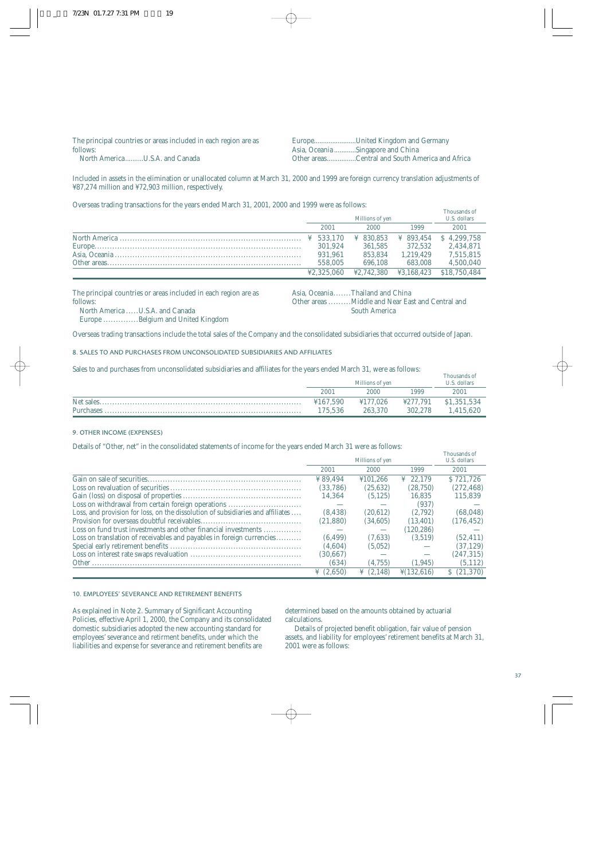| The principal countries or areas included in each region are as | EuropeUnited Kingdom and Germany                |
|-----------------------------------------------------------------|-------------------------------------------------|
| follows:                                                        | Asia, Oceania Singapore and China               |
| North AmericaU.S.A. and Canada                                  | Other areasCentral and South America and Africa |

Included in assets in the elimination or unallocated column at March 31, 2000 and 1999 are foreign currency translation adjustments of ¥87,274 million and ¥72,903 million, respectively.

Overseas trading transactions for the years ended March 31, 2001, 2000 and 1999 were as follows:

| Millions of ven       |                       |                       | THOUSAIRS OF<br>U.S. dollars |
|-----------------------|-----------------------|-----------------------|------------------------------|
| 2001                  | 2000                  | 1999                  | 2001                         |
| $\frac{1}{2}$ 533.170 | $\frac{1}{2}$ 830.853 | $\frac{1}{2}$ 893.454 | \$4.299.758                  |
| 301.924               | 361.585               | 372.532               | 2.434.871                    |
| 931.961               | 853.834               | 1.219.429             | 7.515.815                    |
| 558,005               | 696.108               | 683.008               | 4.500.040                    |
| ¥2.325.060            | ¥2.742.380            | ¥3.168.423            | \$18,750,484                 |

The principal countries or areas included in each region are as follows: North America ..... U.S.A. and Canada

Asia, Oceania.......Thailand and China

Other areas .........Middle and Near East and Central and South America

Thousands of

Europe ..............Belgium and United Kingdom

Overseas trading transactions include the total sales of the Company and the consolidated subsidiaries that occurred outside of Japan.

8. SALES TO AND PURCHASES FROM UNCONSOLIDATED SUBSIDIARIES AND AFFILIATES

Sales to and purchases from unconsolidated subsidiaries and affiliates for the years ended March 31, were as follows:

|          | Millions of ven |          | Thousands of<br>U.S. dollars |
|----------|-----------------|----------|------------------------------|
| 2001     | 2000            | 1999     | 2001                         |
| ¥167.590 | ¥177.026        | ¥277.791 | \$1,351,534                  |
| 175.536  | 263,370         | 302.278  | 1.415.620                    |

9. OTHER INCOME (EXPENSES)

Details of "Other, net" in the consolidated statements of income for the years ended March 31 were as follows:

|                                                                                 | Millions of yen       |              |                          | Thousands of<br>U.S. dollars |
|---------------------------------------------------------------------------------|-----------------------|--------------|--------------------------|------------------------------|
|                                                                                 | 2001                  | 2000         | 1999                     | 2001                         |
|                                                                                 | ¥89.494               | ¥101.266     | ¥ 22.179                 | S 721.726                    |
|                                                                                 | (33.786)              | (25, 632)    | (28,750)                 | (272, 468)                   |
|                                                                                 | 14.364                | (5.125)      | 16.835                   | 115.839                      |
| Loss on withdrawal from certain foreign operations                              |                       |              | (937)                    |                              |
| Loss, and provision for loss, on the dissolution of subsidiaries and affiliates | (8, 438)              | (20.612)     | (2.792)                  | (68,048)                     |
|                                                                                 | (21.880)              | (34.605)     | (13.401)                 | (176, 452)                   |
| Loss on fund trust investments and other financial investments                  | --                    |              | (120, 286)               |                              |
| Loss on translation of receivables and payables in foreign currencies           | (6.499)               | (7.633)      | (3.519)                  | (52.411)                     |
|                                                                                 | (4.604)               | (5,052)      |                          | (37, 129)                    |
|                                                                                 | (30, 667)             |              | $\overline{\phantom{a}}$ | (247, 315)                   |
|                                                                                 | (634)                 | (4.755)      | (1, 945)                 | (5,112)                      |
|                                                                                 | $\frac{1}{2}$ (2,650) | (2.148)<br>¥ | $\frac{1}{2}(132.616)$   | \$(21,370)                   |

### 10. EMPLOYEES' SEVERANCE AND RETIREMENT BENEFITS

As explained in Note 2. Summary of Significant Accounting Policies, effective April 1, 2000, the Company and its consolidated domestic subsidiaries adopted the new accounting standard for employees' severance and retirment benefits, under which the liabilities and expense for severance and retirement benefits are

determined based on the amounts obtained by actuarial calculations.

Details of projected benefit obligation, fair value of pension assets, and liability for employees' retirement benefits at March 31, 2001 were as follows: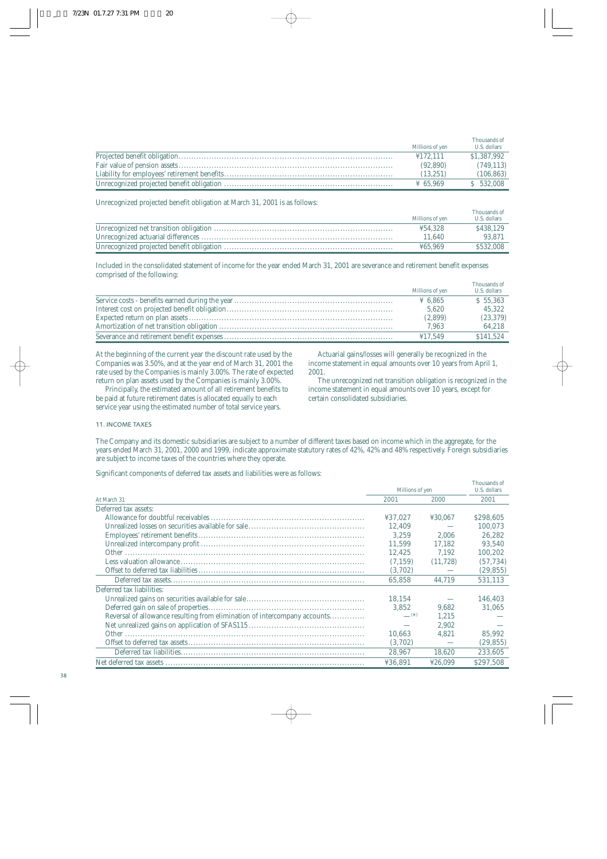|                      | Thousands of |
|----------------------|--------------|
| Millions of yen      | U.S. dollars |
| 4172.111             | \$1,387,992  |
| (92.890)             | (749, 113)   |
| (13.251)             | (106, 863)   |
| $\frac{1}{2}$ 65.969 | $S$ 532,008  |

Unrecognized projected benefit obligation at March 31, 2001 is as follows:

| Millions of ven | Thousands of<br>U.S. dollars |
|-----------------|------------------------------|
| 454.328         | \$438.129                    |
| 11.640          | 93.871                       |
| 465.969         | \$532,008                    |

Included in the consolidated statement of income for the year ended March 31, 2001 are severance and retirement benefit expenses comprised of the following:

|                 | Thousands of |
|-----------------|--------------|
| Millions of yen | U.S. dollars |
| ¥ 6.865         | \$55.363     |
| 5.620           | 45.322       |
| (2,899)         | (23, 379)    |
| 7.963           | 64.218       |
| 417.549         | \$141.524    |

At the beginning of the current year the discount rate used by the Companies was 3.50%, and at the year end of March 31, 2001 the rate used by the Companies is mainly 3.00%. The rate of expected return on plan assets used by the Companies is mainly 3.00%.

Principally, the estimated amount of all retirement benefits to be paid at future retirement dates is allocated equally to each service year using the estimated number of total service years.

Actuarial gains/losses will generally be recognized in the income statement in equal amounts over 10 years from April 1, 2001.

The unrecognized net transition obligation is recognized in the income statement in equal amounts over 10 years, except for certain consolidated subsidiaries.

Thousands of

#### 11. INCOME TAXES

The Company and its domestic subsidiaries are subject to a number of different taxes based on income which in the aggregate, for the years ended March 31, 2001, 2000 and 1999, indicate approximate statutory rates of 42%, 42% and 48% respectively. Foreign subsidiaries are subject to income taxes of the countries where they operate.

Significant components of deferred tax assets and liabilities were as follows:

|                                                                           |                 |           | тноизаниз оп |
|---------------------------------------------------------------------------|-----------------|-----------|--------------|
|                                                                           | Millions of yen |           | U.S. dollars |
| At March 31                                                               | 2001            | 2000      | 2001         |
| Deferred tax assets:                                                      |                 |           |              |
|                                                                           | ¥37.027         | ¥30.067   | \$298,605    |
|                                                                           | 12,409          |           | 100.073      |
|                                                                           | 3.259           | 2.006     | 26,282       |
|                                                                           | 11.599          | 17.182    | 93.540       |
|                                                                           | 12.425          | 7.192     | 100.202      |
|                                                                           | (7.159)         | (11, 728) | (57, 734)    |
|                                                                           | (3,702)         |           | (29, 855)    |
|                                                                           | 65,858          | 44.719    | 531.113      |
| Deferred tax liabilities:                                                 |                 |           |              |
|                                                                           | 18.154          |           | 146.403      |
|                                                                           | 3,852           | 9.682     | 31,065       |
| Reversal of allowance resulting from elimination of intercompany accounts | $ ^{(*)}$       | 1.215     |              |
|                                                                           |                 | 2.902     |              |
|                                                                           | 10.663          | 4.821     | 85,992       |
|                                                                           | (3,702)         |           | (29, 855)    |
|                                                                           | 28,967          | 18.620    | 233,605      |
|                                                                           | ¥36.891         | ¥26.099   | \$297,508    |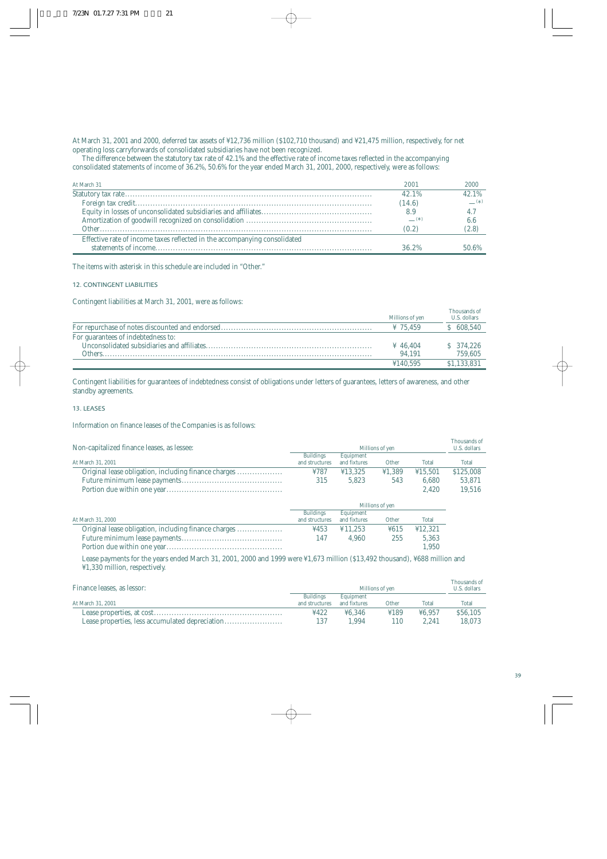At March 31, 2001 and 2000, deferred tax assets of ¥12,736 million (\$102,710 thousand) and ¥21,475 million, respectively, for net operating loss carryforwards of consolidated subsidiaries have not been recognized.

The difference between the statutory tax rate of 42.1% and the effective rate of income taxes reflected in the accompanying consolidated statements of income of 36.2%, 50.6% for the year ended March 31, 2001, 2000, respectively, were as follows:

| At March 31                                                               | 2001     | 2000     |
|---------------------------------------------------------------------------|----------|----------|
|                                                                           | 42.1%    | 42.1%    |
|                                                                           | (14.6)   | $(\ast)$ |
|                                                                           |          | 4.7      |
|                                                                           | $(\ast)$ | 6.6      |
|                                                                           | (0.2)    | (2.8)    |
| Effective rate of income taxes reflected in the accompanying consolidated |          |          |
|                                                                           | 36.2%    | 50.6%    |

The items with asterisk in this schedule are included in "Other."

#### 12. CONTINGENT LIABILITIES

Contingent liabilities at March 31, 2001, were as follows:

|                                    | Millions of yen      | Thousands of<br>U.S. dollars |
|------------------------------------|----------------------|------------------------------|
|                                    | $\frac{1}{2}$ 75.459 | \$ 608,540                   |
| For guarantees of indebtedness to: |                      |                              |
|                                    | $\frac{1}{4}$ 46.404 | \$374,226                    |
| Others.                            | 94.191               | 759.605                      |
|                                    | 4140.595             | \$1.133.831                  |

Contingent liabilities for guarantees of indebtedness consist of obligations under letters of guarantees, letters of awareness, and other standby agreements.

#### 13. LEASES

Information on finance leases of the Companies is as follows:

| Non-capitalized finance leases, as lessee:                                                                                                                                                                                                                                                                                                                                                                                                                                                                             | Millions of yen                    |                           |                 |         | Thousands of<br>U.S. dollars |
|------------------------------------------------------------------------------------------------------------------------------------------------------------------------------------------------------------------------------------------------------------------------------------------------------------------------------------------------------------------------------------------------------------------------------------------------------------------------------------------------------------------------|------------------------------------|---------------------------|-----------------|---------|------------------------------|
| At March 31, 2001                                                                                                                                                                                                                                                                                                                                                                                                                                                                                                      | <b>Buildings</b><br>and structures | Equipment<br>and fixtures | Other           | Total   | Total                        |
| Original lease obligation, including finance charges                                                                                                                                                                                                                                                                                                                                                                                                                                                                   | ¥787                               | ¥13.325                   | 41,389          | ¥15.501 | \$125,008                    |
| $\begin{minipage}[c]{0.9\linewidth} Future minimum lease payments. \end{minipage} \begin{minipage}[c]{0.9\linewidth} \textit{ne} \textit{not} \textit{not} \textit{not} \textit{not} \textit{not} \textit{not} \textit{not} \textit{not} \textit{not} \textit{not} \textit{not} \textit{not} \textit{not} \textit{not} \textit{not} \textit{not} \textit{not} \textit{not} \textit{not} \textit{not} \textit{not} \textit{not} \textit{not} \textit{not} \textit{not} \textit{not} \textit{not} \textit{not} \textit{$ | 315                                | 5.823                     | 543             | 6.680   | 53,871                       |
|                                                                                                                                                                                                                                                                                                                                                                                                                                                                                                                        |                                    |                           |                 | 2.420   | 19.516                       |
|                                                                                                                                                                                                                                                                                                                                                                                                                                                                                                                        |                                    |                           | Millions of yen |         |                              |
|                                                                                                                                                                                                                                                                                                                                                                                                                                                                                                                        | <b>Buildings</b>                   | Equipment                 |                 |         |                              |
| At March 31, 2000                                                                                                                                                                                                                                                                                                                                                                                                                                                                                                      | and structures                     | and fixtures              | Other           | Total   |                              |
| Original lease obligation, including finance charges                                                                                                                                                                                                                                                                                                                                                                                                                                                                   | 4453                               | ¥11.253                   | ¥615            | ¥12.321 |                              |
|                                                                                                                                                                                                                                                                                                                                                                                                                                                                                                                        | 147                                | 4.960                     | 255             | 5,363   |                              |
|                                                                                                                                                                                                                                                                                                                                                                                                                                                                                                                        |                                    |                           |                 | 1.950   |                              |

Lease payments for the years ended March 31, 2001, 2000 and 1999 were ¥1,673 million (\$13,492 thousand), ¥688 million and ¥1,330 million, respectively.

| Finance leases, as lessor:                      | Millions of ven  |              |       |        | Thousands of<br>U.S. dollars |
|-------------------------------------------------|------------------|--------------|-------|--------|------------------------------|
|                                                 | <b>Buildings</b> | Equipment    |       |        |                              |
| At March 31, 2001                               | and structures   | and fixtures | Other | Total  | Total                        |
|                                                 | ¥422             | 46.346       | 4189  | 46.957 | \$56,105                     |
| Lease properties, less accumulated depreciation |                  | .994         |       | 2.241  | 18.073                       |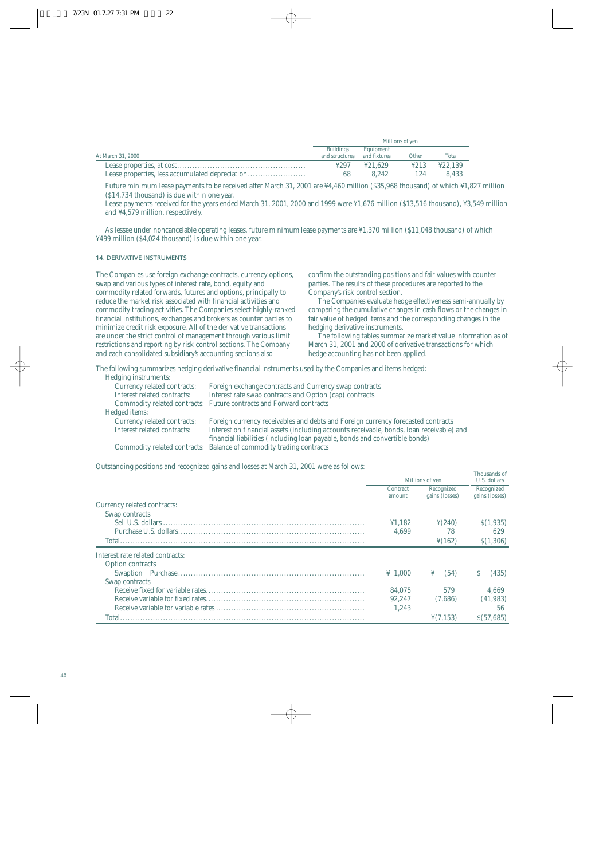|                   | Millions of yen  |              |       |         |
|-------------------|------------------|--------------|-------|---------|
|                   | <b>Buildings</b> | Equipment    |       |         |
| At March 31, 2000 | and structures   | and fixtures | Other | Total   |
|                   | 4297             | ¥21.629      | 4213  | ¥22.139 |
|                   | 68               | 8.242        | 124   | 8.433   |

Future minimum lease payments to be received after March 31, 2001 are ¥4,460 million (\$35,968 thousand) of which ¥1,827 million (\$14,734 thousand) is due within one year.

Lease payments received for the years ended March 31, 2001, 2000 and 1999 were ¥1,676 million (\$13,516 thousand), ¥3,549 million and ¥4,579 million, respectively.

As lessee under noncancelable operating leases, future minimum lease payments are ¥1,370 million (\$11,048 thousand) of which ¥499 million (\$4,024 thousand) is due within one year.

### 14. DERIVATIVE INSTRUMENTS

The Companies use foreign exchange contracts, currency options, swap and various types of interest rate, bond, equity and commodity related forwards, futures and options, principally to reduce the market risk associated with financial activities and commodity trading activities. The Companies select highly-ranked financial institutions, exchanges and brokers as counter parties to minimize credit risk exposure. All of the derivative transactions are under the strict control of management through various limit restrictions and reporting by risk control sections. The Company and each consolidated subsidiary's accounting sections also

confirm the outstanding positions and fair values with counter parties. The results of these procedures are reported to the Company's risk control section.

The Companies evaluate hedge effectiveness semi-annually by comparing the cumulative changes in cash flows or the changes in fair value of hedged items and the corresponding changes in the hedging derivative instruments.

The following tables summarize market value information as of March 31, 2001 and 2000 of derivative transactions for which hedge accounting has not been applied.

Thousands of

The following summarizes hedging derivative financial instruments used by the Companies and items hedged:

| Hedging instruments:        |                                                                                          |
|-----------------------------|------------------------------------------------------------------------------------------|
| Currency related contracts: | Foreign exchange contracts and Currency swap contracts                                   |
| Interest related contracts: | Interest rate swap contracts and Option (cap) contracts                                  |
|                             | Commodity related contracts: Future contracts and Forward contracts                      |
| Hedged items:               |                                                                                          |
| Currency related contracts: | Foreign currency receivables and debts and Foreign currency forecasted contracts         |
| Interest related contracts: | Interest on financial assets (including accounts receivable, bonds, loan receivable) and |
|                             | financial liabilities (including loan payable, bonds and convertible bonds)              |
|                             | Commodity related contracts: Balance of commodity trading contracts                      |
|                             |                                                                                          |

Outstanding positions and recognized gains and losses at March 31, 2001 were as follows:

|                                  | Millions of yen     |                      | U.S. dollars   |
|----------------------------------|---------------------|----------------------|----------------|
|                                  | Contract            | Recognized           | Recognized     |
|                                  | amount              | gains (losses)       | gains (losses) |
| Currency related contracts:      |                     |                      |                |
| Swap contracts                   |                     |                      |                |
|                                  | 41.182              | $\frac{1}{2}(240)$   | S(1,935)       |
|                                  | 4.699               | 78                   | 629            |
| Total                            |                     | $\frac{1}{2}(162)$   | \$(1,306)      |
| Interest rate related contracts: |                     |                      |                |
| <b>Option contracts</b>          |                     |                      |                |
|                                  | $\frac{1}{2}$ 1.000 | ¥<br>(54)            | (435)          |
| Swap contracts                   |                     |                      |                |
|                                  | 84.075              | 579                  | 4.669          |
|                                  | 92.247              | (7,686)              | (41, 983)      |
|                                  | 1.243               |                      | 56             |
| Total.                           |                     | $\frac{1}{2}(7.153)$ | S(57,685)      |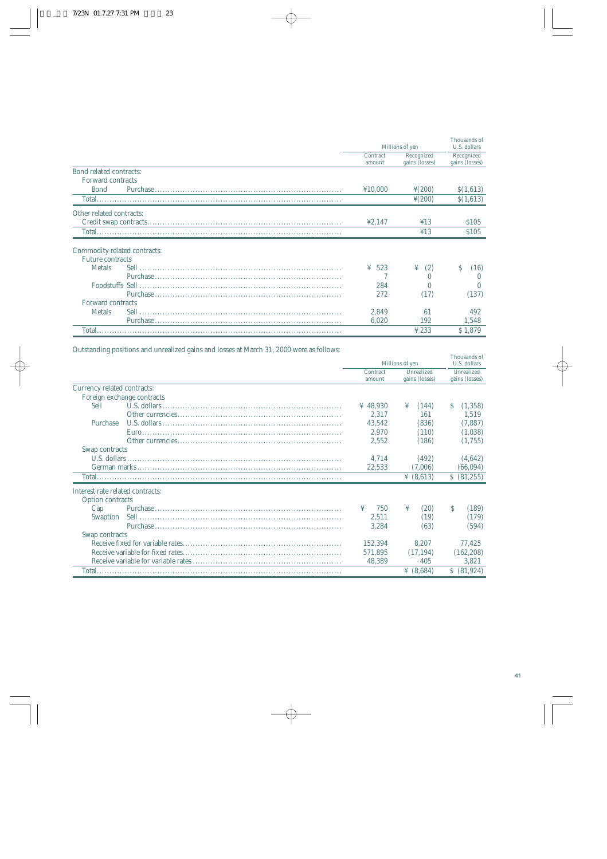|                                |                 |                    | Thousands of   |  |
|--------------------------------|-----------------|--------------------|----------------|--|
|                                | Millions of yen |                    | U.S. dollars   |  |
|                                | Contract        | Recognized         | Recognized     |  |
|                                | amount          | gains (losses)     | gains (losses) |  |
| <b>Bond related contracts:</b> |                 |                    |                |  |
| Forward contracts              |                 |                    |                |  |
| <b>Bond</b>                    | ¥10.000         | $\frac{1}{2}(200)$ | \$(1,613)      |  |
|                                |                 | $\frac{1}{2}(200)$ | \$(1,613)      |  |
| Other related contracts:       |                 |                    |                |  |
|                                | 42.147          | 413                | <b>S105</b>    |  |
|                                |                 | 413                | \$105          |  |
|                                |                 |                    |                |  |
| Commodity related contracts:   |                 |                    |                |  |
| <b>Future contracts</b>        |                 |                    |                |  |
| <b>Metals</b>                  | 523<br>¥        | (2)<br>¥           | S<br>(16)      |  |
|                                |                 | $\Omega$           |                |  |
|                                | 284             | $\Omega$           | $\Omega$       |  |
|                                | 272             | (17)               | (137)          |  |
| <b>Forward contracts</b>       |                 |                    |                |  |
| <b>Metals</b>                  | 2.849           | 61                 | 492            |  |
|                                | 6,020           | 192                | 1,548          |  |
|                                |                 | $\frac{1}{2}$ 233  | \$1.879        |  |

Outstanding positions and unrealized gains and losses at March 31, 2000 were as follows:

|                                  |                            |                    |                 |                              |              | Thousands of<br>U.S. dollars |  |
|----------------------------------|----------------------------|--------------------|-----------------|------------------------------|--------------|------------------------------|--|
|                                  |                            |                    | Millions of yen |                              |              |                              |  |
|                                  |                            | Contract<br>amount |                 | Unrealized<br>gains (losses) |              | Unrealized<br>gains (losses) |  |
| Currency related contracts:      |                            |                    |                 |                              |              |                              |  |
|                                  | Foreign exchange contracts |                    |                 |                              |              |                              |  |
| Sell                             | U.S. dollars               | ¥ 48,930           | ¥               | (144)                        | S.           | (1,358)                      |  |
|                                  |                            | 2.317              |                 | 161                          |              | 1,519                        |  |
| Purchase                         |                            | 43.542             |                 | (836)                        |              | (7,887)                      |  |
|                                  |                            | 2.970              |                 | (110)                        |              | (1,038)                      |  |
|                                  |                            | 2.552              |                 | (186)                        |              | (1,755)                      |  |
| Swap contracts                   |                            |                    |                 |                              |              |                              |  |
| U.S. dollars.                    |                            | 4.714              |                 | (492)                        |              | (4,642)                      |  |
|                                  |                            | 22,533             |                 | (7,006)                      |              | (66,094)                     |  |
|                                  |                            |                    |                 | $\frac{1}{2}$ (8,613)        |              | \$ (81,255)                  |  |
| Interest rate related contracts: |                            |                    |                 |                              |              |                              |  |
| <b>Option contracts</b>          |                            |                    |                 |                              |              |                              |  |
| Cap                              |                            | 750<br>¥           | ¥               | (20)                         | <sup>S</sup> | (189)                        |  |
| Swaption                         |                            | 2,511              |                 | (19)                         |              | (179)                        |  |
|                                  |                            | 3,284              |                 | (63)                         |              | (594)                        |  |
| Swap contracts                   |                            |                    |                 |                              |              |                              |  |
|                                  |                            | 152,394            |                 | 8.207                        |              | 77.425                       |  |
|                                  |                            | 571,895            |                 | (17.194)                     |              | (162, 208)                   |  |
|                                  |                            | 48,389             |                 | 405                          |              | 3,821                        |  |
|                                  |                            |                    |                 | $\frac{1}{2}$ (8.684)        |              | \$ (81,924)                  |  |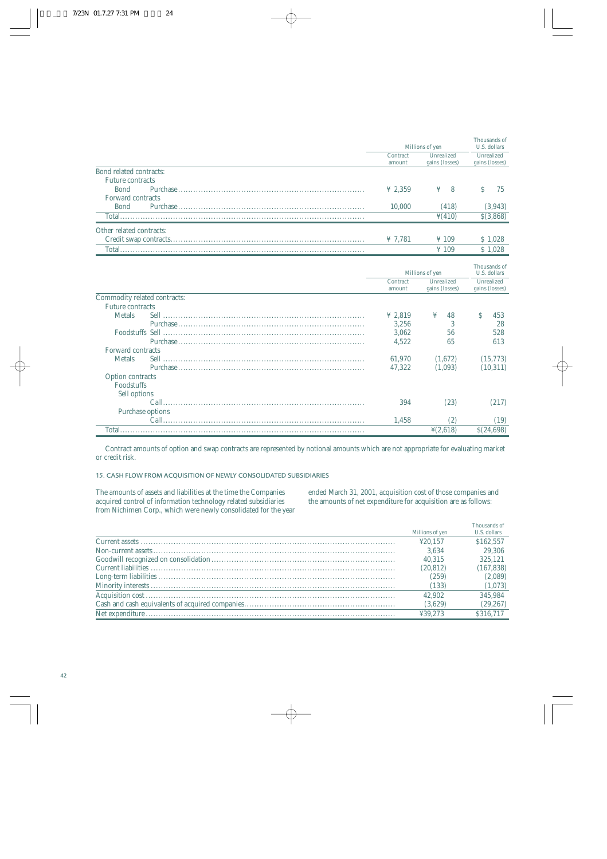|                                | Millions of yen    |                              | Thousands of<br>U.S. dollars |  |
|--------------------------------|--------------------|------------------------------|------------------------------|--|
|                                | Contract<br>amount | Unrealized<br>gains (losses) | Unrealized<br>gains (losses) |  |
| <b>Bond related contracts:</b> |                    |                              |                              |  |
| <b>Future contracts</b>        |                    |                              |                              |  |
| <b>Bond</b>                    | ¥ 2,359            | ¥<br>8                       | <sup>S</sup><br>75           |  |
| <b>Forward contracts</b>       |                    |                              |                              |  |
| <b>Bond</b>                    | 10.000             | (418)                        | (3,943)                      |  |
|                                |                    | $\frac{1}{2}(410)$           | $$$ $(3,868)$                |  |
| Other related contracts:       |                    |                              |                              |  |
|                                | ¥ $7,781$          | $\frac{1}{2}$ 109            | \$1,028                      |  |
|                                |                    | $\frac{1}{2}$ 109            | \$1,028                      |  |
|                                |                    |                              |                              |  |
|                                |                    | Millions of yen              | Thousands of<br>U.S. dollars |  |
|                                | Contract           | Unrealized                   | Unrealized                   |  |
|                                | amount             | gains (losses)               | gains (losses)               |  |
| Commodity related contracts:   |                    |                              |                              |  |
| <b>Future contracts</b>        |                    |                              |                              |  |
| <b>Metals</b>                  | ¥ 2,819            | ¥<br>48                      | Ś<br>453                     |  |
|                                | 3,256              | 3                            | 28                           |  |
|                                | 3,062              | 56                           | 528                          |  |
|                                | 4,522              | 65                           | 613                          |  |
| Forward contracts              |                    |                              |                              |  |
| <b>Metals</b>                  | 61,970             | (1,672)                      | (15, 773)                    |  |
|                                | 47,322             | (1,093)                      | (10, 311)                    |  |
| <b>Option contracts</b>        |                    |                              |                              |  |
| Foodstuffs                     |                    |                              |                              |  |
| Sell options                   |                    |                              |                              |  |
|                                | 394                | (23)                         | (217)                        |  |
| Purchase options               |                    |                              |                              |  |
|                                | 1,458              | (2)                          | (19)                         |  |
|                                |                    | $\frac{1}{2}(2,618)$         | \$(24,698)                   |  |

Contract amounts of option and swap contracts are represented by notional amounts which are not appropriate for evaluating market or credit risk.

15. CASH FLOW FROM ACQUISITION OF NEWLY CONSOLIDATED SUBSIDIARIES

The amounts of assets and liabilities at the time the Companies acquired control of information technology related subsidiaries from Nichimen Corp., which were newly consolidated for the year ended March 31, 2001, acquisition cost of those companies and the amounts of net expenditure for acquisition are as follows:

| Millions of yen | Thousands of<br>U.S. dollars |
|-----------------|------------------------------|
| 420.157         | \$162,557                    |
| 3.634           | 29,306                       |
| 40.315          | 325.121                      |
| (20, 812)       | (167, 838)                   |
| (259)           | (2,089)                      |
| (133)           | (1,073)                      |
| 42.902          | 345.984                      |
| (3,629)         | (29, 267)                    |
| ¥39.273         | \$316,717                    |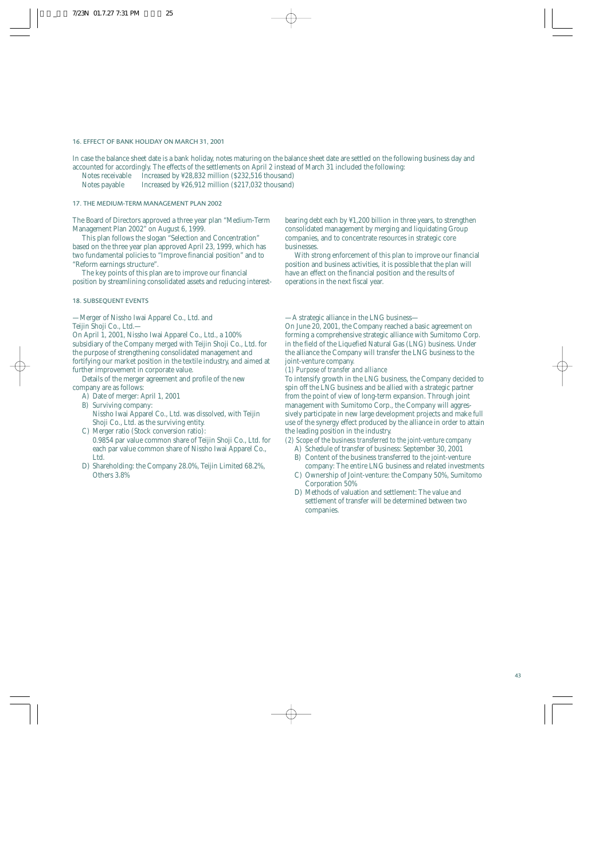#### 16. EFFECT OF BANK HOLIDAY ON MARCH 31, 2001

In case the balance sheet date is a bank holiday, notes maturing on the balance sheet date are settled on the following business day and accounted for accordingly. The effects of the settlements on April 2 instead of March 31 included the following:

- Notes receivable Increased by ¥28,832 million (\$232,516 thousand)<br>Notes payable Increased by ¥26,912 million (\$217,032 thousand)
- Increased by ¥26,912 million (\$217,032 thousand)

### 17. THE MEDIUM-TERM MANAGEMENT PLAN 2002

The Board of Directors approved a three year plan "Medium-Term Management Plan 2002" on August 6, 1999.

This plan follows the slogan "Selection and Concentration" based on the three year plan approved April 23, 1999, which has two fundamental policies to "Improve financial position" and to "Reform earnings structure".

The key points of this plan are to improve our financial position by streamlining consolidated assets and reducing interest-

#### 18. SUBSEQUENT EVENTS

—Merger of Nissho Iwai Apparel Co., Ltd. and Teijin Shoji Co., Ltd.—

On April 1, 2001, Nissho Iwai Apparel Co., Ltd., a 100% subsidiary of the Company merged with Teijin Shoji Co., Ltd. for the purpose of strengthening consolidated management and fortifying our market position in the textile industry, and aimed at further improvement in corporate value.

Details of the merger agreement and profile of the new company are as follows:

- A) Date of merger: April 1, 2001
- B) Surviving company: Nissho Iwai Apparel Co., Ltd. was dissolved, with Teijin Shoji Co., Ltd. as the surviving entity.
- C) Merger ratio (Stock conversion ratio):
- 0.9854 par value common share of Teijin Shoji Co., Ltd. for each par value common share of Nissho Iwai Apparel Co., Ltd.
- D) Shareholding: the Company 28.0%, Teijin Limited 68.2%, Others 3.8%

bearing debt each by ¥1,200 billion in three years, to strengthen consolidated management by merging and liquidating Group companies, and to concentrate resources in strategic core businesses.

With strong enforcement of this plan to improve our financial position and business activities, it is possible that the plan will have an effect on the financial position and the results of operations in the next fiscal year.

—A strategic alliance in the LNG business—

On June 20, 2001, the Company reached a basic agreement on forming a comprehensive strategic alliance with Sumitomo Corp. in the field of the Liquefied Natural Gas (LNG) business. Under the alliance the Company will transfer the LNG business to the joint-venture company.

*(1) Purpose of transfer and alliance*

To intensify growth in the LNG business, the Company decided to spin off the LNG business and be allied with a strategic partner from the point of view of long-term expansion. Through joint management with Sumitomo Corp., the Company will aggressively participate in new large development projects and make full use of the synergy effect produced by the alliance in order to attain the leading position in the industry.

*(2) Scope of the business transferred to the joint-venture company*

- A) Schedule of transfer of business: September 30, 2001
- B) Content of the business transferred to the joint-venture company: The entire LNG business and related investments
- C) Ownership of Joint-venture: the Company 50%, Sumitomo Corporation 50%
- D) Methods of valuation and settlement: The value and settlement of transfer will be determined between two companies.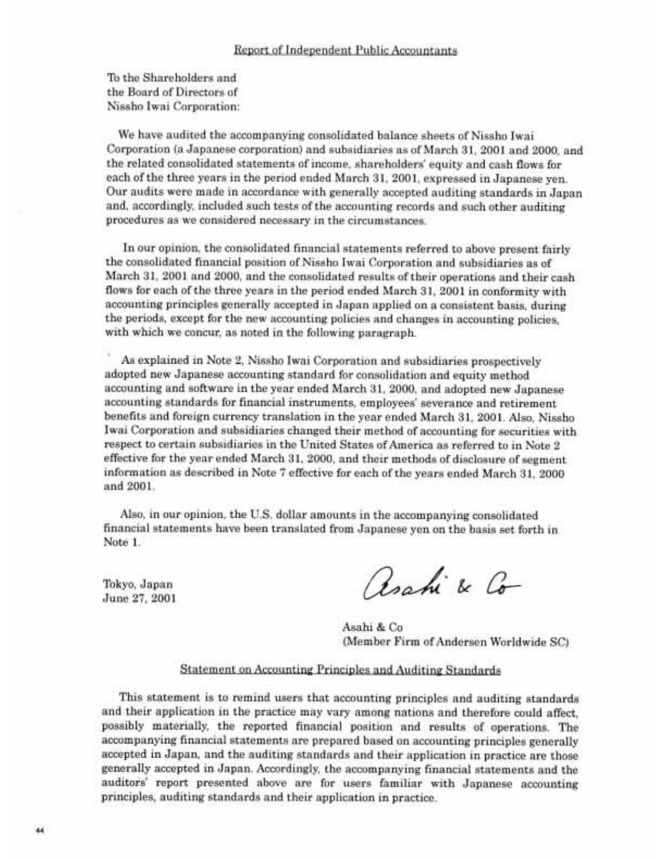To the Shareholders and the Board of Directors of Nissho Iwai Corporation:

We have audited the accompanying consolidated balance sheets of Nissho Iwai Corporation (a Japanese corporation) and subsidiaries as of March 31, 2001 and 2000, and the related consolidated statements of income, shareholders' equity and cash flows for each of the three years in the period ended March 31, 2001, expressed in Japanese yen. Our audits were made in accordance with generally accepted auditing standards in Japan and, accordingly, included such tests of the accounting records and such other auditing procedures as we considered necessary in the circumstances.

In our opinion, the consolidated financial statements referred to above present fairly the consolidated financial position of Nissho Iwai Corporation and subsidiaries as of March 31, 2001 and 2000, and the consolidated results of their operations and their cash flows for each of the three years in the period ended March 31, 2001 in conformity with accounting principles generally accepted in Japan applied on a consistent basis, during the periods, except for the new accounting policies and changes in accounting policies. with which we concur, as noted in the following paragraph.

As explained in Note 2, Nissho Iwai Corporation and subsidiaries prospectively adopted new Japanese accounting standard for consolidation and equity method accounting and software in the year ended March 31, 2000, and adopted new Japanese accounting standards for financial instruments, employees' severance and retirement benefits and foreign currency translation in the year ended March 31, 2001. Also, Nissho Iwai Corporation and subsidiaries changed their method of accounting for securities with respect to certain subsidiaries in the United States of America as referred to in Note 2 effective for the year ended March 31, 2000, and their methods of disclosure of segment information as described in Note 7 effective for each of the years ended March 31, 2000 and 2001.

Also, in our opinion, the U.S. dollar amounts in the accompanying consolidated financial statements have been translated from Japanese yen on the basis set forth in Note 1.

Tokyo, Japan June 27, 2001

Roahi & Co

Asahi & Co (Member Firm of Andersen Worldwide SC)

### Statement on Accounting Principles and Auditing Standards

This statement is to remind users that accounting principles and auditing standards and their application in the practice may vary among nations and therefore could affect. possibly materially, the reported financial position and results of operations. The accompanying financial statements are prepared based on accounting principles generally accepted in Japan, and the auditing standards and their application in practice are those generally accepted in Japan. Accordingly, the accompanying financial statements and the auditors' report presented above are for users familiar with Japanese accounting principles, auditing standards and their application in practice.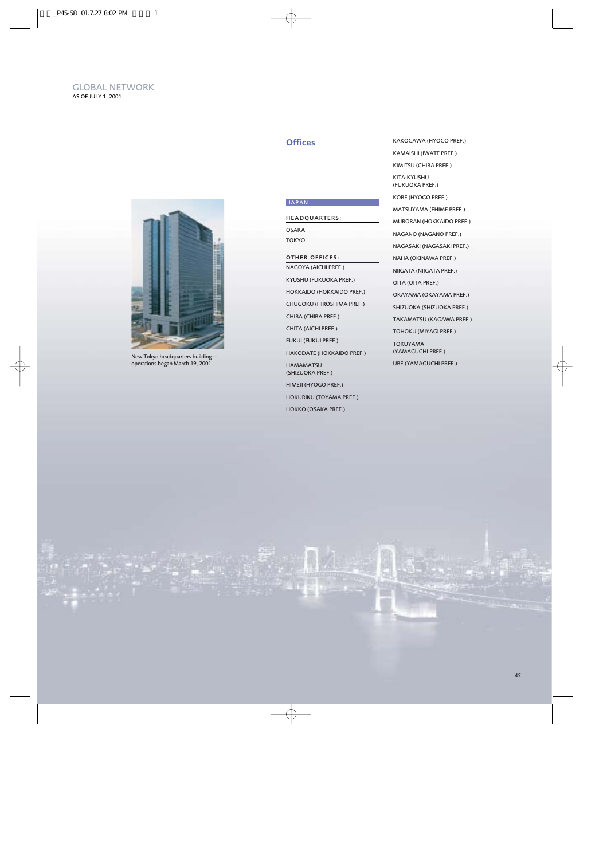

New Tokyo headquarters building operations began March 19, 2001

### **JAPAN**

#### HEADQUARTERS:

OSAKA TOKYO

### OTHER OFFICES:

NAGOYA (AICHI PREF.) KYUSHU (FUKUOKA PREF.) HOKKAIDO (HOKKAIDO PREF.) CHUGOKU (HIROSHIMA PREF.) CHIBA (CHIBA PREF.) CHITA (AICHI PREF.) FUKUI (FUKUI PREF.) HAKODATE (HOKKAIDO PREF.) HAMAMATSU (SHIZUOKA PREF.) HIMEJI (HYOGO PREF.) HOKURIKU (TOYAMA PREF.) HOKKO (OSAKA PREF.)

Offices KAKOGAWA (HYOGO PREF.) KAMAISHI (IWATE PREF.) KIMITSU (CHIBA PREF.) KITA-KYUSHU (FUKUOKA PREF.) KOBE (HYOGO PREF.) MATSUYAMA (EHIME PREF.) MURORAN (HOKKAIDO PREF.) NAGANO (NAGANO PREF.) NAGASAKI (NAGASAKI PREF.) NAHA (OKINAWA PREF.) NIIGATA (NIIGATA PREF.) OITA (OITA PREF.) OKAYAMA (OKAYAMA PREF.) SHIZUOKA (SHIZUOKA PREF.) TAKAMATSU (KAGAWA PREF.) TOHOKU (MIYAGI PREF.) TOKUYAMA (YAMAGUCHI PREF.) UBE (YAMAGUCHI PREF.)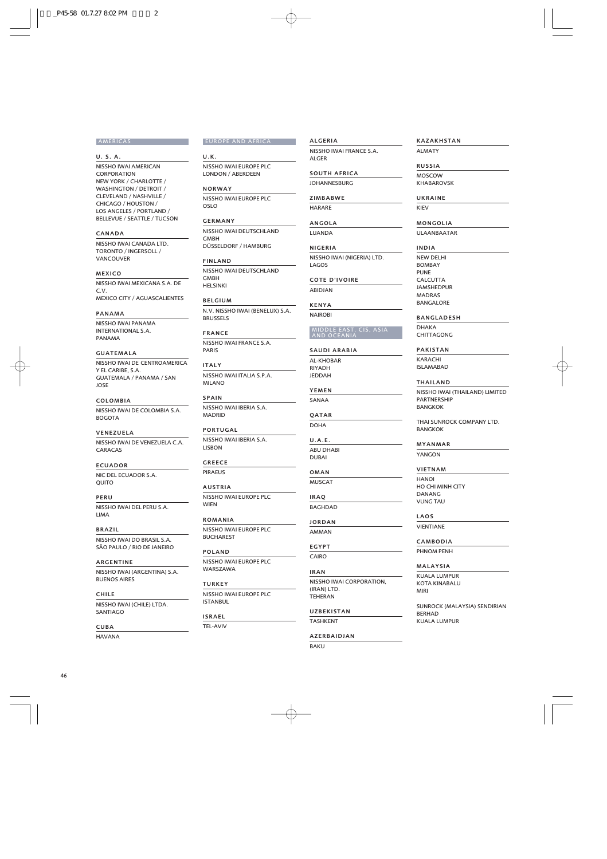#### AMERICAS

U. S. A. NISSHO IWAI AMERICAN CORPORATION NEW YORK / CHARLOTTE / WASHINGTON / DETROIT / CLEVELAND / NASHVILLE / CHICAGO / HOUSTON / LOS ANGELES / PORTLAND /

#### CANADA

NISSHO IWAI CANADA LTD. TORONTO / INGERSOLL / **VANCOUVER** 

BELLEVUE / SEATTLE / TUCSON

#### MEXICO

NISSHO IWAI MEXICANA S.A. DE C.V. MEXICO CITY / AGUASCALIENTES

#### PANAMA

NISSHO IWAI PANAMA INTERNATIONAL S.A. PANAMA

#### GUATEMALA

NISSHO IWAI DE CENTROAMERICA Y EL CARIBE, S.A. GUATEMALA / PANAMA / SAN JOSE

COLOMBIA NISSHO IWAI DE COLOMBIA S.A.

#### VENEZUELA

**BOGOTA** 

NISSHO IWAI DE VENEZUELA C.A. CARACAS

#### ECUADOR

NIC DEL ECUADOR S.A. **OUITO** 

PERU NISSHO IWAI DEL PERU S.A.

# BRAZIL

NISSHO IWAI DO BRASIL S.A. SÃO PAULO / RIO DE JANEIRO

ARGENTINE NISSHO IWAI (ARGENTINA) S.A. BUENOS AIRES

#### CHILE

LIMA

NISSHO IWAI (CHILE) LTDA. SANTIAGO

#### CUBA

HAVANA

#### EUROPE AND AFRICA

U.K. NISSHO IWAI EUROPE PLC LONDON / ABERDEEN

NORWAY NISSHO IWAI EUROPE PLC OSLO

GERMANY NISSHO IWAI DEUTSCHLAND GMBH DÜSSELDORF / HAMBURG

#### FINLAND

NISSHO IWAI DEUTSCHLAND **GMBH** HELSINKI

BELGIUM N.V. NISSHO IWAI (BENELUX) S.A. BRUSSELS

FRANCE NISSHO IWAI FRANCE S.A. PARIS

ITALY NISSHO IWAI ITALIA S.P.A. MILANO

SPAIN NISSHO IWAI IBERIA S.A. MADRID

# PORTUGAL

NISSHO IWAI IBERIA S.A. LISBON

#### GREECE PIRAEUS

AUSTRIA NISSHO IWAI EUROPE PLC WIEN

ROMANIA NISSHO IWAI EUROPE PLC

BUCHAREST

POLAND NISSHO IWAI EUROPE PLC WARSZAWA

**TURKEY** NISSHO IWAI EUROPE PLC ISTANBUL

#### ISRAEL

TEL-AVIV

TASHKENT

AZERBAIDJAN

KAZAKHSTAN

ALMATY

### RUSSIA

MOSCOW KHABAROVSK

### UKRAINE

KIEV

### MONGOLIA

ULAANBAATAR

#### INDIA

NEW DELHI BOMBAY PUNE CALCUTTA JAMSHEDPUR MADRAS BANGALORE

### BANGLADESH

DHAKA **CHITTAGONG** 

#### PAKISTAN

KARACHI ISLAMABAD

#### THAILAND

NISSHO IWAI (THAILAND) LIMITED **PARTNERSHIP** BANGKOK

THAI SUNROCK COMPANY LTD. BANGKOK

#### MYANMAR

YANGON

### VIETNAM

HANOI HO CHI MINH CITY DANANG VUNG TAU

### LAOS

VIENTIANE

#### CAMBODIA

PHNOM PENH

### MALAYSIA

KUALA LUMPUR KOTA KINABALU MIRI

SUNROCK (MALAYSIA) SENDIRIAN **BERHAD** KUALA LUMPUR

#### YEMEN SANAA

ALGERIA

ALG<sub>ER</sub>

LAGOS

NISSHO IWAI FRANCE S.A.

NISSHO IWAI (NIGERIA) LTD.

MIDDLE EAST, CIS, ASIA AND OCEANIA

COTE D'IVOIRE ABIDJAN KENYA NAIROBI

SAUDI ARABIA AL-KHOBAR RIYADH JEDDAH

SOUTH AFRICA JOHANNESBURG ZIMBABWE **HARARE** ANGOLA LUANDA NIGERIA

QATAR

DOHA

U.A.E. ABU DHABI DUBAI

OMAN

MUSCAT

IRAQ

BAGHDAD JORDAN

AMMAN EGYPT

CAIRO

IRAN NISSHO IWAI CORPORATION, (IRAN) LTD. TEHERAN

UZBEKISTAN

BAKU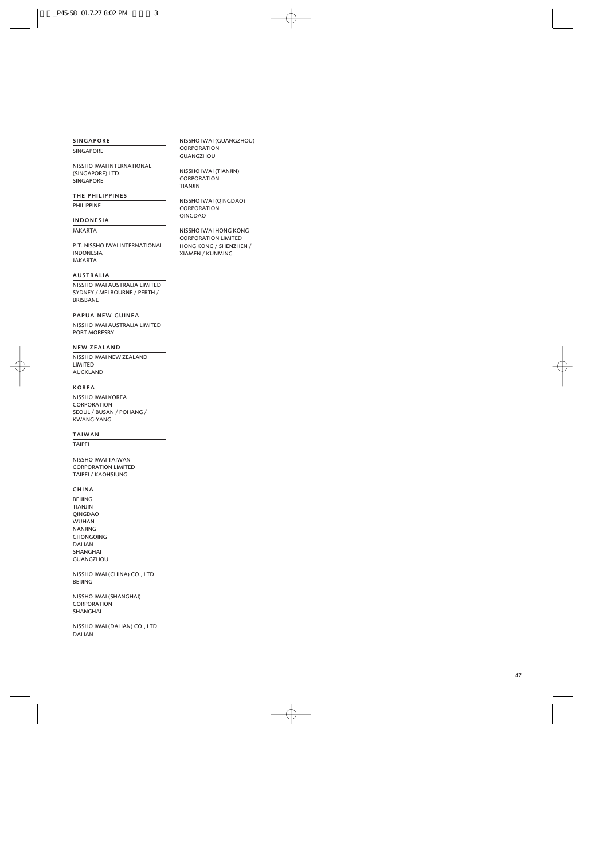#### SINGAPORE

**SINGAPORE** 

NISSHO IWAI INTERNATIONAL (SINGAPORE) LTD. SINGAPORE

#### THE PHILIPPINES

**PHILIPPINE** 

#### INDONESIA

JAKARTA

P.T. NISSHO IWAI INTERNATIONAL INDONESIA JAKARTA

#### AUSTRALIA

NISSHO IWAI AUSTRALIA LIMITED SYDNEY / MELBOURNE / PERTH / BRISBANE

#### PAPUA NEW GUINEA

NISSHO IWAI AUSTRALIA LIMITED PORT MORESBY

#### NEW ZEALAND

NISSHO IWAI NEW ZEALAND LIMITED AUCKLAND

### KOREA

NISSHO IWAI KOREA CORPORATION SEOUL / BUSAN / POHANG / KWANG-YANG

#### TAIWAN

TAIPEI

NISSHO IWAI TAIWAN CORPORATION LIMITED TAIPEI / KAOHSIUNG

### CHINA

BEIJING TIANJIN QINGDAO WUHAN NANJING CHONGQING DALIAN SHANGHAI GUANGZHOU

NISSHO IWAI (CHINA) CO., LTD. BEIJING

NISSHO IWAI (SHANGHAI) **CORPORATION** SHANGHAI

NISSHO IWAI (DALIAN) CO., LTD. DALIAN

NISSHO IWAI (GUANGZHOU) CORPORATION GUANGZHOU

NISSHO IWAI (TIANJIN) CORPORATION TIANJIN

NISSHO IWAI (QINGDAO) CORPORATION QINGDAO

NISSHO IWAI HONG KONG CORPORATION LIMITED HONG KONG / SHENZHEN / XIAMEN / KUNMING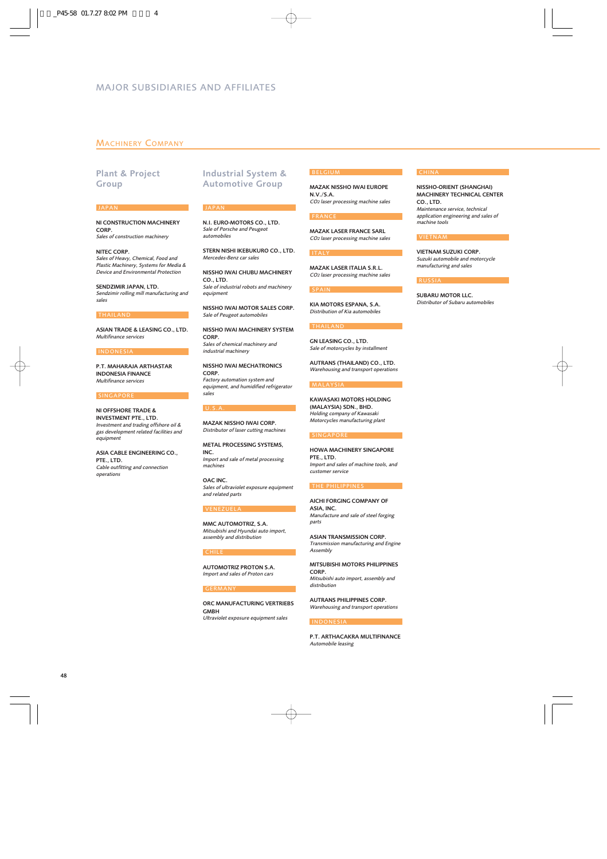### MACHINERY COMPANY

### Plant & Project Group

#### JAPAN

NI CONSTRUCTION MACHINERY CORP. *Sales of construction machinery*

NITEC CORP. *Sales of Heavy, Chemical, Food and Plastic Machinery, Systems for Media & Device and Environmental Protection*

SENDZIMIR JAPAN, LTD. *Sendzimir rolling mill manufacturing and sales*

#### THAILAND

ASIAN TRADE & LEASING CO., LTD. *Multifinance services*

#### INDONESI.

P.T. MAHARAJA ARTHASTAR INDONESIA FINANCE *Multifinance services*

#### **SINGAPORE**

NI OFFSHORE TRADE & INVESTMENT PTE., LTD. *Investment and trading offshore oil & gas development related facilities and equipment*

ASIA CABLE ENGINEERING CO., PTE., LTD. *Cable outfitting and connection operations*

### Industrial System & Automotive Group

#### JAPAN

N.I. EURO-MOTORS CO., LTD. *Sale of Porsche and Peugeot automobiles*

STERN NISHI IKEBUKURO CO., LTD. *Mercedes-Benz car sales*

NISSHO IWAI CHUBU MACHINERY CO., LTD. *Sale of industrial robots and machinery equipment*

NISSHO IWAI MOTOR SALES CORP. *Sale of Peugeot automobiles*

NISSHO IWAI MACHINERY SYSTEM CORP. *Sales of chemical machinery and industrial machinery*

NISSHO IWAI MECHATRONICS CORP. *Factory automation system and equipment, and humidified refrigerator sales*

#### U.S.A.

MAZAK NISSHO IWAI CORP. *Distributor of laser cutting machines*

METAL PROCESSING SYSTEMS, INC. *Import and sale of metal processing machines*

OAC INC. *Sales of ultraviolet exposure equipment and related parts*

#### **VENEZUEL**

MMC AUTOMOTRIZ, S.A. *Mitsubishi and Hyundai auto import, assembly and distribution*

#### **CHILE**

AUTOMOTRIZ PROTON S.A. *Import and sales of Proton cars*

#### GERMANY

ORC MANUFACTURING VERTRIEBS **GMRH** *Ultraviolet exposure equipment sales*

#### BELGIUM

MAZAK NISSHO IWAI EUROPE N.V./S.A. *CO2 laser processing machine sales*

#### FRANCE

MAZAK LASER FRANCE SARL *CO2 laser processing machine sales*

### ITALY

MAZAK LASER ITALIA S.R.L. *CO2 laser processing machine sales*

#### SPAIN

KIA MOTORS ESPANA, S.A. *Distribution of Kia automobiles*

#### THAILAND

GN LEASING CO., LTD. *Sale of motorcycles by installment*

AUTRANS (THAILAND) CO., LTD. *Warehousing and transport operations*

#### MALAYSIA

KAWASAKI MOTORS HOLDING (MALAYSIA) SDN., BHD. *Holding company of Kawasaki Motorcycles manufacturing plant*

#### **SINGAPORE**

HOWA MACHINERY SINGAPORE PTE., LTD. *Import and sales of machine tools, and customer service*

#### THE PHILIPPINES

AICHI FORGING COMPANY OF ASIA, INC. *Manufacture and sale of steel forging parts*

ASIAN TRANSMISSION CORP. *Transmission manufacturing and Engine Assembly*

MITSUBISHI MOTORS PHILIPPINES CORP. *Mitsubishi auto import, assembly and distribution*

AUTRANS PHILIPPINES CORP. *Warehousing and transport operations*

#### INDONESIA

P.T. ARTHACAKRA MULTIFINANCE *Automobile leasing*

## **CHINA**

NISSHO-ORIENT (SHANGHAI) MACHINERY TECHNICAL CENTER CO., LTD. *Maintenance service, technical application engineering and sales of machine tools*

#### **VIETNAM**

VIETNAM SUZUKI CORP. *Suzuki automobile and motorcycle manufacturing and sales*

#### RUSSIA

SUBARU MOTOR LLC. *Distributor of Subaru automobiles*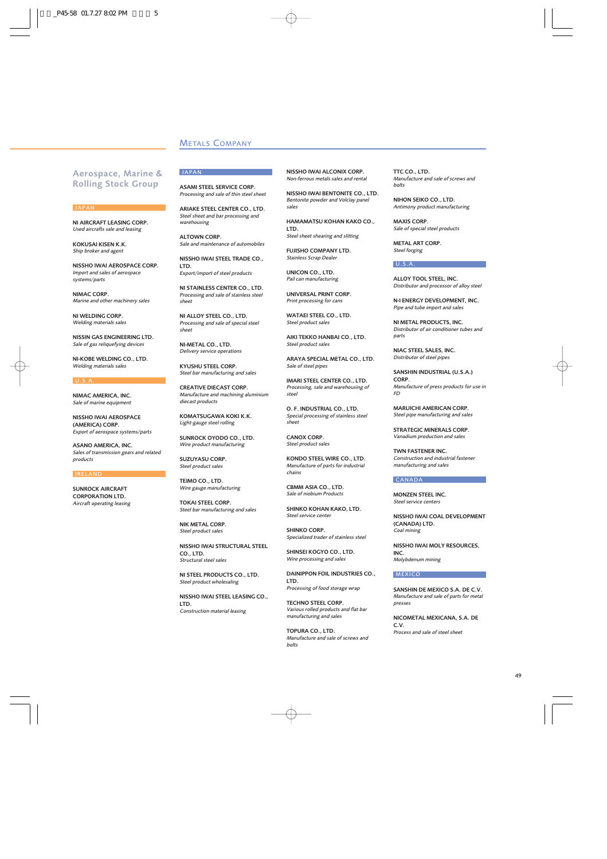### METALS COMPANY

JAPAN

### Aerospace, Marine & Rolling Stock Group

#### JAPAN

NI AIRCRAFT LEASING CORP. *Used aircrafts sale and leasing*

KOKUSAI KISEN K.K. *Ship broker and agent*

NISSHO IWAI AEROSPACE CORP. *Import and sales of aerospace systems/parts*

NIMAC CORP. *Marine and other machinery sales*

NI WELDING CORP. *Welding materials sales*

NISSIN GAS ENGINEERING LTD. *Sale of gas reliquefying devices*

NI-KOBE WELDING CO., LTD. *Welding materials sales*

#### U.S.A.

NIMAC AMERICA, INC. *Sale of marine equipment*

NISSHO IWAI AEROSPACE (AMERICA) CORP. *Export of aerospace systems/parts*

ASANO AMERICA, INC. *Sales of transmission gears and related products*

#### IRELAND

SUNROCK AIRCRAFT CORPORATION LTD. *Aircraft operating leasing* ASAMI STEEL SERVICE CORP. *Processing and sale of thin steel sheet*

ARIAKE STEEL CENTER CO., LTD. *Steel sheet and bar processing and warehousing*

ALTOWN CORP. *Sale and maintenance of automobiles*

NISSHO IWAI STEEL TRADE CO., LTD.

*Export/import of steel products*

NI STAINLESS CENTER CO., LTD. *Processing and sale of stainless steel sheet*

NI ALLOY STEEL CO., LTD. *Processing and sale of special steel sheet*

NI-METAL CO., LTD. *Delivery service operations*

KYUSHU STEEL CORP. *Steel bar manufacturing and sales*

CREATIVE DIECAST CORP. *Manufacture and machining aluminium diecast products*

KOMATSUGAWA KOKI K.K. *Light-gauge steel rolling*

SUNROCK OYODO CO., LTD. *Wire product manufacturing*

SUZUYASU CORP. *Steel product sales*

TEIMO CO., LTD. *Wire gauge manufacturing*

TOKAI STEEL CORP. *Steel bar manufacturing and sales*

NIK METAL CORP. *Steel product sales*

NISSHO IWAI STRUCTURAL STEEL CO., LTD. *Structural steel sales*

NI STEEL PRODUCTS CO., LTD. *Steel product wholesaling*

NISSHO IWAI STEEL LEASING CO., LTD. *Construction material leasing*

NISSHO IWAI ALCONIX CORP. *Non-ferrous metals sales and rental*

NISSHO IWAI BENTONITE CO., LTD. *Bentonite powder and Volclay panel sales*

HAMAMATSU KOHAN KAKO CO., LTD. *Steel sheet shearing and slitting*

FUJISHO COMPANY LTD. *Stainless Scrap Dealer*

UNICON CO., LTD. *Pail can manufacturing*

UNIVERSAL PRINT CORP. *Print processing for cans*

WATAEI STEEL CO., LTD. *Steel product sales*

AIKI TEKKO HANBAI CO., LTD. *Steel product sales*

ARAYA SPECIAL METAL CO., LTD. *Sale of steel pipes*

IMARI STEEL CENTER CO., LTD. *Processing, sale and warehousing of steel*

O. F. INDUSTRIAL CO., LTD. *Special processing of stainless steel sheet*

CANOX CORP. *Steel product sales*

KONDO STEEL WIRE CO., LTD. *Manufacture of parts for industrial chains*

CBMM ASIA CO., LTD. *Sale of niobium Products*

SHINKO KOHAN KAKO, LTD. *Steel service center*

SHINKO CORP. *Specialized trader of stainless steel*

SHINSEI KOGYO CO., LTD. *Wire processing and sales*

DAINIPPON FOIL INDUSTRIES CO., LTD. *Processing of food storage wrap*

TECHNO STEEL CORP. *Various rolled products and flat bar*

*manufacturing and sales*

TOPURA CO., LTD. *Manufacture and sale of screws and bolts*

TTC CO., LTD. *Manufacture and sale of screws and bolts*

NIHON SEIKO CO., LTD. *Antimony product manufacturing*

MAXIS CORP. *Sale of special steel products*

METAL ART CORP. *Steel forging*

#### U.S.A.

ALLOY TOOL STEEL, INC. *Distributor and processor of alloy steel*

N-I ENERGY DEVELOPMENT, INC. *Pipe and tube import and sales*

NI METAL PRODUCTS, INC. *Distributor of air conditioner tubes and parts*

NIAC STEEL SALES, INC. *Distributor of steel pipes*

SANSHIN INDUSTRIAL (U.S.A.) CORP. *Manufacture of press products for use in FD*

MARUICHI AMERICAN CORP. *Steel pipe manufacturing and sales*

STRATEGIC MINERALS CORP. *Vanadium production and sales*

TWN FASTENER INC. *Construction and industrial fastener manufacturing and sales*

#### CANADA

MONZEN STEEL INC. *Steel service centers*

NISSHO IWAI COAL DEVELOPMENT (CANADA) LTD. *Coal mining*

NISSHO IWAI MOLY RESOURCES, INC. *Molybdenum mining*

#### **MEXICO**

SANSHIN DE MEXICO S.A. DE C.V. *Manufacture and sale of parts for metal presses*

NICOMETAL MEXICANA, S.A. DE C.V. *Process and sale of steel sheet*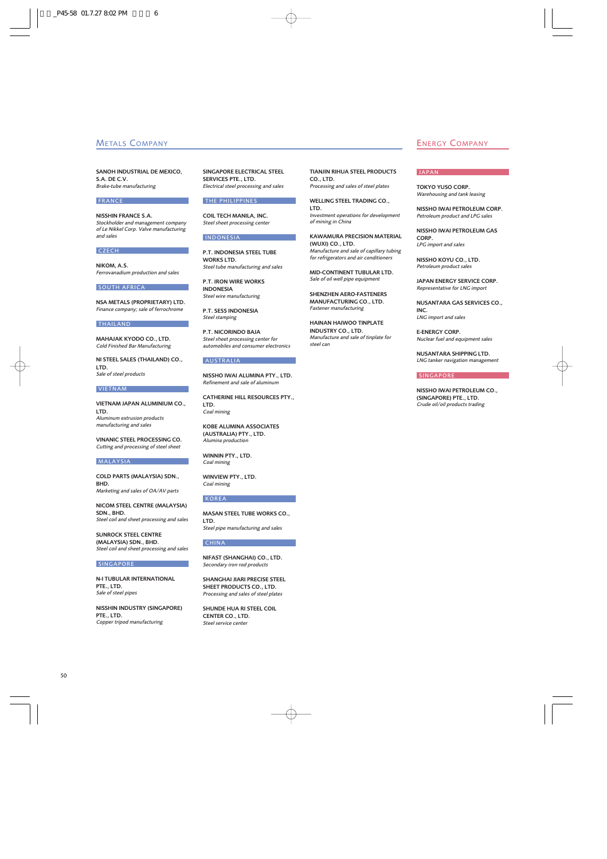SANOH INDUSTRIAL DE MEXICO, S.A. DEC.V. *Brake-tube manufacturing*

#### FRANCE

NISSHIN FRANCE S.A. *Stockholder and management company of Le Nikkel Corp. Valve manufacturing and sales*

#### CZECH

NIKOM, A.S. *Ferrovanadium production and sales*

#### SOUTH AFRICA

NSA METALS (PROPRIETARY) LTD. *Finance company; sale of ferrochrome*

#### THAILAND

MAHAJAK KYODO CO., LTD. *Cold Finished Bar Manufacturing*

NI STEEL SALES (THAILAND) CO., LTD. *Sale of steel products*

#### **VIETNAM**

VIETNAM JAPAN ALUMINIUM CO., LTD. *Aluminum extrusion products manufacturing and sales*

VINANIC STEEL PROCESSING CO. *Cutting and processing of steel sheet*

#### MALAYSIA

COLD PARTS (MALAYSIA) SDN., **BHD** *Marketing and sales of OA/AV parts*

NICOM STEEL CENTRE (MALAYSIA) SDN., BHD. *Steel coil and sheet processing and sales*

SUNROCK STEEL CENTRE (MALAYSIA) SDN., BHD. *Steel coil and sheet processing and sales*

#### SINGAPORE

N-I TUBULAR INTERNATIONAL PTE., LTD. *Sale of steel pipes*

NISSHIN INDUSTRY (SINGAPORE) PTE., LTD. *Copper tripod manufacturing*

SINGAPORE ELECTRICAL STEEL SERVICES PTE. LTD. *Electrical steel processing and sales*

#### THE PHILIPPINES

COIL TECH MANILA, INC. *Steel sheet processing center*

#### INDONESIA

P.T. INDONESIA STEEL TUBE WORKS LTD. *Steel tube manufacturing and sales*

P.T. IRON WIRE WORKS INDONESIA *Steel wire manufacturing*

P.T. SESS INDONESIA *Steel stamping*

P.T. NICORINDO BAJA *Steel sheet processing center for automobiles and consumer electronics*

#### **AUSTRALIA**

NISSHO IWAI ALUMINA PTY., LTD. *Refinement and sale of aluminum*

CATHERINE HILL RESOURCES PTY., LTD. *Coal mining*

KOBE ALUMINA ASSOCIATES (AUSTRALIA) PTY., LTD. *Alumina production*

WINNIN PTY., LTD. *Coal mining*

WINVIEW PTY., LTD. *Coal mining*

#### KOREA

MASAN STEEL TUBE WORKS CO., LTD. *Steel pipe manufacturing and sales*

### CHINA

NIFAST (SHANGHAI) CO., LTD. *Secondary iron rod products*

SHANGHAI JIARI PRECISE STEEL SHEET PRODUCTS CO., LTD. *Processing and sales of steel plates*

SHUNDE HUA RI STEEL COIL CENTER CO., LTD. *Steel service center*

TIANJIN RIHUA STEEL PRODUCTS  $CO$ , LTD. *Processing and sales of steel plates*

WELLING STEEL TRADING CO., LTD. *Investment operations for development of mining in China*

KAWAMURA PRECISION MATERIAL (WUXI) CO., LTD. *Manufacture and sale of capillary tubing for refrigerators and air conditioners*

MID-CONTINENT TUBULAR LTD. *Sale of oil well pipe equipment*

SHENZHEN AERO-FASTENERS MANUFACTURING CO., LTD. *Fastener manufacturing*

HAINAN HAIWOO TINPLATE INDUSTRY CO., LTD. *Manufacture and sale of tinplate for steel can*

### **METALS COMPANY ENERGY COMPANY**

### JAPAN

TOKYO YUSO CORP. *Warehousing and tank leasing*

NISSHO IWAI PETROLEUM CORP. *Petroleum product and LPG sales*

NISSHO IWAI PETROLEUM GAS CORP. *LPG import and sales*

NISSHO KOYU CO., LTD. *Petroleum product sales*

JAPAN ENERGY SERVICE CORP. *Representative for LNG import*

NUSANTARA GAS SERVICES CO., INC. *LNG import and sales*

E-ENERGY CORP. *Nuclear fuel and equipment sales*

NUSANTARA SHIPPING LTD. *LNG tanker navigation management*

#### **SINGAPORE**

NISSHO IWAI PETROLEUM CO., (SINGAPORE) PTE., LTD. *Crude oil/oil products trading*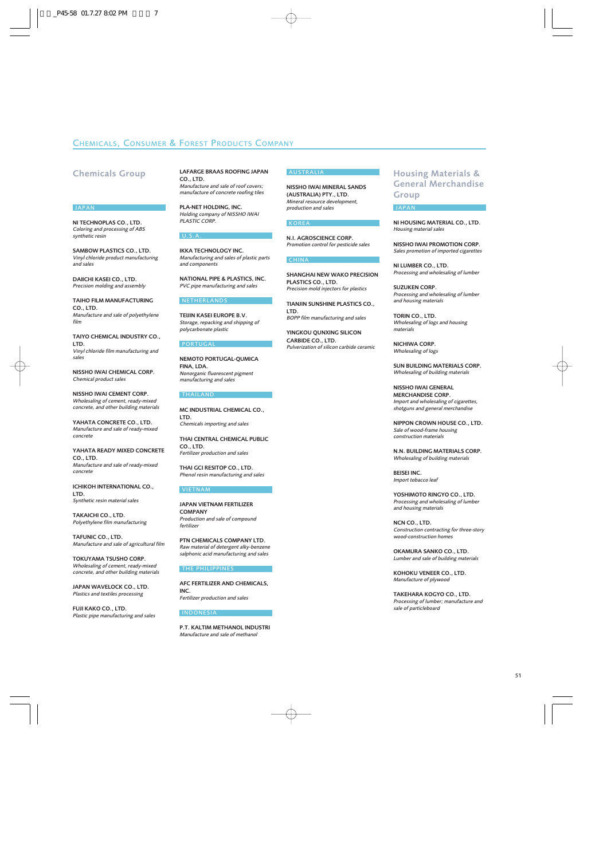### CHEMICALS, CONSUMER & FOREST PRODUCTS COMPANY

### Chemicals Group

#### JAPAN

NI TECHNOPLAS CO., LTD. *Coloring and processing of ABS synthetic resin*

SAMBOW PLASTICS CO., LTD. *Vinyl chloride product manufacturing and sales*

DAIICHI KASEI CO., LTD. *Precision molding and assembly*

TAIHO FILM MANUFACTURING CO., LTD. *Manufacture and sale of polyethylene film*

TAIYO CHEMICAL INDUSTRY CO., LTD. *Vinyl chloride film manufacturing and sales*

NISSHO IWAI CHEMICAL CORP. *Chemical product sales*

NISSHO IWAI CEMENT CORP. *Wholesaling of cement, ready-mixed concrete, and other building materials*

YAHATA CONCRETE CO., LTD. *Manufacture and sale of ready-mixed concrete*

YAHATA READY MIXED CONCRETE CO., LTD. *Manufacture and sale of ready-mixed concrete*

ICHIKOH INTERNATIONAL CO., LTD. *Synthetic resin material sales*

TAKAICHI CO., LTD. *Polyethylene film manufacturing*

TAFUNIC CO., LTD. *Manufacture and sale of agricultural film*

TOKUYAMA TSUSHO CORP. *Wholesaling of cement, ready-mixed concrete, and other building materials*

JAPAN WAVELOCK CO., LTD. *Plastics and textiles processing*

FUJI KAKO CO., LTD. *Plastic pipe manufacturing and sales* LAFARGE BRAAS ROOFING JAPAN  $CO$ , LTD. *Manufacture and sale of roof covers; manufacture of concrete roofing tiles*

PLA-NET HOLDING, INC. *Holding company of NISSHO IWAI PLASTIC CORP.*

#### U.S.A.

IKKA TECHNOLOGY INC. *Manufacturing and sales of plastic parts and components*

NATIONAL PIPE & PLASTICS, INC. *PVC pipe manufacturing and sales*

#### **NETHERLANDS**

TEIJIN KASEI EUROPE B.V. *Storage, repacking and shipping of polycarbonate plastic*

#### PORTUGAL

NEMOTO PORTUGAL-QUMICA **FINA** LDA *Nonorganic fluorescent pigment manufacturing and sales*

#### THAILAND

MC INDUSTRIAL CHEMICAL CO., LTD. *Chemicals importing and sales*

THAI CENTRAL CHEMICAL PUBLIC  $CO$ , LTD. *Fertilizer production and sales*

THAI GCI RESITOP CO., LTD. *Phenol resin manufacturing and sales*

#### VIETNAM

JAPAN VIETNAM FERTILIZER **COMPANY** *Production and sale of compound fertilizer*

PTN CHEMICALS COMPANY LTD. *Raw material of detergent alky-benzene salphonic acid manufacturing and sales*

#### THE PHILIPPINES

AFC FERTILIZER AND CHEMICALS, INC. *Fertilizer production and sales*

#### **INDONESIA**

P.T. KALTIM METHANOL INDUSTRI *Manufacture and sale of methanol*

### AUSTRALIA

NISSHO IWAI MINERAL SANDS (AUSTRALIA) PTY., LTD. *Mineral resource development, production and sales*

#### KOREA

N.I. AGROSCIENCE CORP. *Promotion control for pesticide sales*

#### **CHINA**

SHANGHAI NEW WAKO PRECISION PLASTICS CO., LTD. *Precision mold injectors for plastics*

TIANJIN SUNSHINE PLASTICS CO., LTD. *BOPP film manufacturing and sales*

YINGKOU QUNXING SILICON

CARBIDE CO., LTD. *Pulverization of silicon carbide ceramic*

> SUN BUILDING MATERIALS CORP. *Wholesaling of building materials*

NI HOUSING MATERIAL CO., LTD.

Housing Materials & General Merchandise

NISSHO IWAI PROMOTION CORP. *Sales promotion of imported cigarettes*

*Processing and wholesaling of lumber*

*Processing and wholesaling of lumber*

*Wholesaling of logs and housing*

NISSHO IWAI GENERAL MERCHANDISE CORP. *Import and wholesaling of cigarettes, shotguns and general merchandise*

NIPPON CROWN HOUSE CO., LTD. *Sale of wood-frame housing construction materials*

N.N. BUILDING MATERIALS CORP. *Wholesaling of building materials*

BEISEI INC. *Import tobacco leaf*

JAPAN

Group

*Housing material sales*

NI LUMBER CO., LTD.

SUZUKEN CORP.

NICHIWA CORP. *Wholesaling of logs*

*materials*

*and housing materials* TORIN CO., LTD.

YOSHIMOTO RINGYO CO., LTD. *Processing and wholesaling of lumber and housing materials*

NCN CO., LTD. *Construction contracting for three-story wood-construction homes*

OKAMURA SANKO CO., LTD. *Lumber and sale of building materials*

KOHOKU VENEER CO., LTD. *Manufacture of plywood*

TAKEHARA KOGYO CO., LTD. *Processing of lumber; manufacture and sale of particleboard*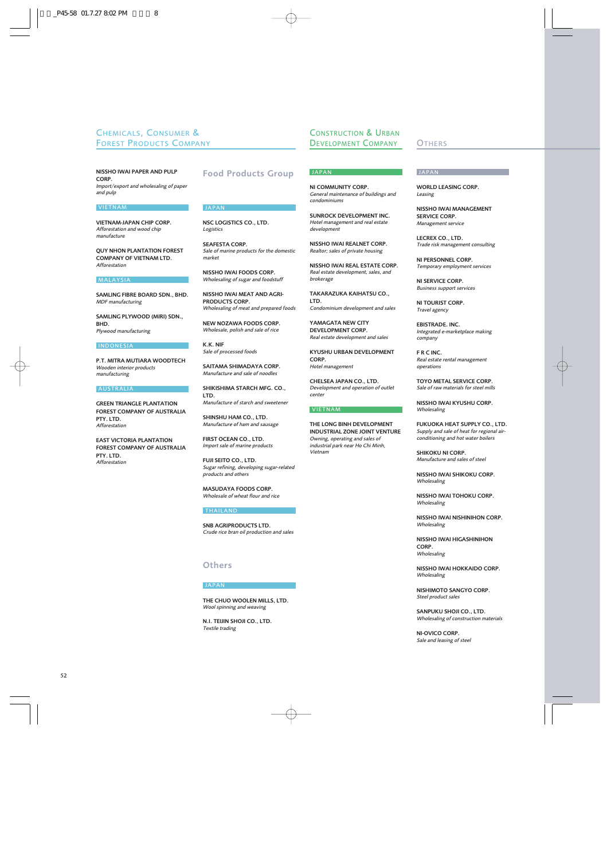### CHEMICALS, CONSUMER & FOREST PRODUCTS COMPANY

NISSHO IWAI PAPER AND PULP CORP. *Import/export and wholesaling of paper and pulp*

#### VIETNAM

VIETNAM-JAPAN CHIP CORP. *Afforestation and wood chip manufacture*

QUY NHON PLANTATION FOREST COMPANY OF VIETNAM LTD. *Afforestation*

#### MALAYSIA

SAMLING FIBRE BOARD SDN., BHD. *MDF manufacturing*

SAMLING PLYWOOD (MIRI) SDN., **BHD** *Plywood manufacturing*

#### INDONESIA

P.T. MITRA MUTIARA WOODTECH *Wooden interior products manufacturing*

#### AUSTRALIA

GREEN TRIANGLE PLANTATION FOREST COMPANY OF AUSTRALIA PTY. LTD. *Afforestation*

EAST VICTORIA PLANTATION FOREST COMPANY OF AUSTRALIA PTY. LTD. *Afforestation*

### Food Products Group

#### JAPAN

NSC LOGISTICS CO., LTD. *Logistics*

SEAFESTA CORP. *Sale of marine products for the domestic market*

NISSHO IWAI FOODS CORP. *Wholesaling of sugar and foodstuff*

NISSHO IWAI MEAT AND AGRI-PRODUCTS CORP. *Wholesaling of meat and prepared foods*

NEW NOZAWA FOODS CORP. *Wholesale, polish and sale of rice*

K.K. NIF *Sale of processed foods*

SAITAMA SHIMADAYA CORP. *Manufacture and sale of noodles*

SHIKISHIMA STARCH MFG. CO., LTD. *Manufacture of starch and sweetener*

SHINSHU HAM CO., LTD. *Manufacture of ham and sausage*

FIRST OCEAN CO., LTD. *Import sale of marine products*

FUJI SEITO CO., LTD. *Sugar refining, developing sugar-related products and others*

MASUDAYA FOODS CORP. *Wholesale of wheat flour and rice*

#### THAILAND

SNB AGRIPRODUCTS LTD. *Crude rice bran oil production and sales*

### **Others**

#### JAPAN

THE CHUO WOOLEN MILLS, LTD. *Wool spinning and weaving*

N.I. TEIJIN SHOJI CO., LTD. *Textile trading*

### CONSTRUCTION & URBAN DEVELOPMENT COMPANY

## **JAPAN**

NI COMMUNITY CORP. *General maintenance of buildings and condominiums*

SUNROCK DEVELOPMENT INC. *Hotel management and real estate development*

NISSHO IWAI REALNET CORP. *Realtor; sales of private housing*

NISSHO IWAI REAL ESTATE CORP. *Real estate development, sales, and brokerage*

TAKARAZUKA KAIHATSU CO., LTD. *Condominium development and sales*

YAMAGATA NEW CITY DEVELOPMENT CORP. *Real estate development and sales*

KYUSHU URBAN DEVELOPMENT CORP. *Hotel management*

CHELSEA JAPAN CO., LTD. *Development and operation of outlet center*

#### VIETNAM

THE LONG BINH DEVELOPMENT INDUSTRIAL ZONE JOINT VENTURE *Owning, operating and sales of industrial park near Ho Chi Minh, Vietnam*

#### **OTHERS**

#### **JAPAN**

WORLD LEASING CORP. *Leasing*

NISSHO IWAI MANAGEMENT SERVICE CORP. *Management service*

LECREX CO., LTD. *Trade risk management consulting*

NI PERSONNEL CORP. *Temporary employment services*

NI SERVICE CORP. *Business support services*

NI TOURIST CORP. *Travel agency*

EBISTRADE. INC. *Integrated e-marketplace making company*

F R C INC. *Real estate rental management operations*

TOYO METAL SERVICE CORP. *Sale of raw materials for steel mills*

NISSHO IWAI KYUSHU CORP. *Wholesaling*

FUKUOKA HEAT SUPPLY CO., LTD. *Supply and sale of heat for regional airconditioning and hot water boilers*

SHIKOKU NI CORP. *Manufacture and sales of steel*

NISSHO IWAI SHIKOKU CORP. *Wholesaling*

NISSHO IWAI TOHOKU CORP. *Wholesaling*

NISSHO IWAI NISHINIHON CORP. *Wholesaling*

NISSHO IWAI HIGASHINIHON CORP. *Wholesaling*

NISSHO IWAI HOKKAIDO CORP. *Wholesaling*

NISHIMOTO SANGYO CORP. *Steel product sales*

SANPUKU SHOJI CO., LTD. *Wholesaling of construction materials*

NI-OVICO CORP. *Sale and leasing of steel*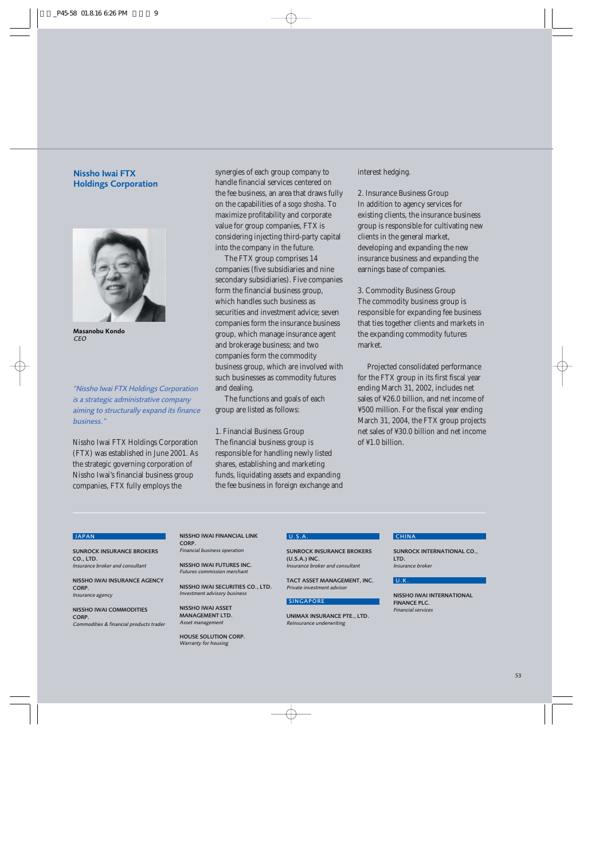### Nissho Iwai FTX Holdings Corporation



Masanobu Kondo *CEO*

*"Nissho Iwai FTX Holdings Corporation is a strategic administrative company aiming to structurally expand its finance business."*

Nissho Iwai FTX Holdings Corporation (FTX) was established in June 2001. As the strategic governing corporation of Nissho Iwai's financial business group companies, FTX fully employs the

synergies of each group company to handle financial services centered on the fee business, an area that draws fully on the capabilities of a *sogo shosha*. To maximize profitability and corporate value for group companies, FTX is considering injecting third-party capital into the company in the future.

The FTX group comprises 14 companies (five subsidiaries and nine secondary subsidiaries). Five companies form the financial business group, which handles such business as securities and investment advice; seven companies form the insurance business group, which manage insurance agent and brokerage business; and two companies form the commodity business group, which are involved with such businesses as commodity futures and dealing.

The functions and goals of each group are listed as follows:

1. Financial Business Group The financial business group is responsible for handling newly listed shares, establishing and marketing funds, liquidating assets and expanding the fee business in foreign exchange and

### interest hedging.

2. Insurance Business Group In addition to agency services for existing clients, the insurance business group is responsible for cultivating new clients in the general market, developing and expanding the new insurance business and expanding the earnings base of companies.

3. Commodity Business Group The commodity business group is responsible for expanding fee business that ties together clients and markets in the expanding commodity futures market.

Projected consolidated performance for the FTX group in its first fiscal year ending March 31, 2002, includes net sales of ¥26.0 billion, and net income of ¥500 million. For the fiscal year ending March 31, 2004, the FTX group projects net sales of ¥30.0 billion and net income of ¥1.0 billion.

#### **JAPAN**

SUNROCK INSURANCE BROKERS  $CO$ , LTD. *Insurance broker and consultant*

NISSHO IWAI INSURANCE AGENCY CORP. *Insurance agency*

NISSHO IWAI COMMODITIES CORP. *Commodities & financial products trader*

#### NISSHO IWAI FINANCIAL LINK CORP.

*Financial business operation*

NISSHO IWAI FUTURES INC. *Futures commission merchant*

NISSHO IWAI SECURITIES CO., LTD. *Investment advisory business*

NISSHO IWAI ASSET MANAGEMENT LTD. *Asset management*

HOUSE SOLUTION CORP. *Warranty for housing*

#### U.S.A.

SUNROCK INSURANCE BROKERS  $(1)$  S A ) INC. *Insurance broker and consultant*

TACT ASSET MANAGEMENT, INC. *Private investment advisor*

#### **SINGAPORE**

**UNIMAX INSURANCE PTE. LTD.** *Reinsurance underwriting*

### **CHINA**

SUNROCK INTERNATIONAL CO., LTD. *Insurance broker*

#### U.K.

NISSHO IWAI INTERNATIONAL FINANCE PLC. *Financial services*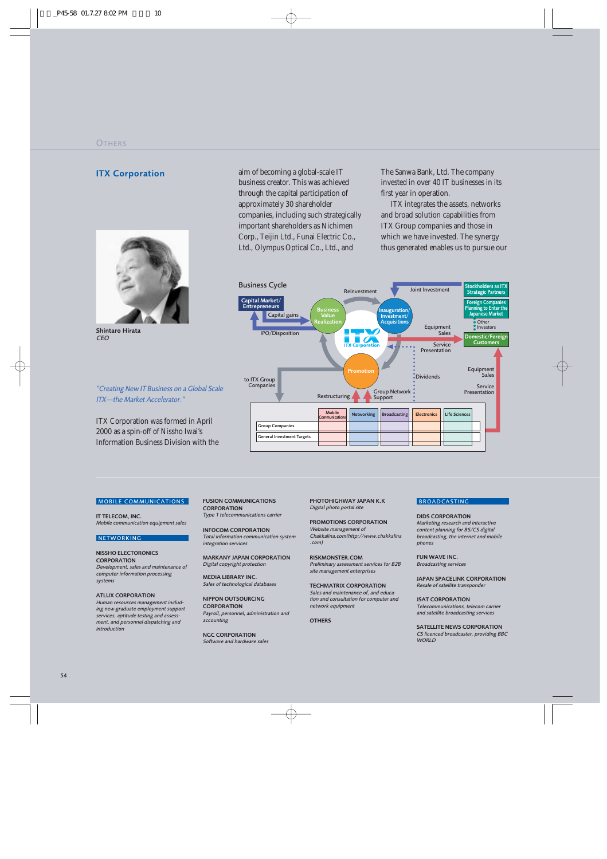### **ITX Corporation**



Shintaro Hirata *CEO*

*"Creating New IT Business on a Global Scale ITX—the Market Accelerator."*

ITX Corporation was formed in April 2000 as a spin-off of Nissho Iwai's Information Business Division with the aim of becoming a global-scale IT business creator. This was achieved through the capital participation of approximately 30 shareholder companies, including such strategically important shareholders as Nichimen Corp., Teijin Ltd., Funai Electric Co., Ltd., Olympus Optical Co., Ltd., and

The Sanwa Bank, Ltd. The company invested in over 40 IT businesses in its first year in operation.

ITX integrates the assets, networks and broad solution capabilities from ITX Group companies and those in which we have invested. The synergy thus generated enables us to pursue our



#### MOBILE COMMUNICATIONS

IT TELECOM, INC. *Mobile communication equipment sales*

#### **NETWORKING**

NISSHO ELECTORONICS **CORPORATION** *Development, sales and maintenance of computer information processing systems*

ATLUX CORPORATION

*Human resources management including new-graduate employment support services, aptitude testing and assessment, and personnel dispatching and introduction*

FUSION COMMUNICATIONS **CORPORATION** *Type 1 telecommunications carrier*

INFOCOM CORPORATION *Total information communication system integration services*

MARKANY JAPAN CORPORATION *Digital copyright protection*

MEDIA LIBRARY INC. *Sales of technological databases*

NIPPON OUTSOURCING **CORPORATION** *Payroll, personnel, administration and accounting*

NGC CORPORATION *Software and hardware sales*  PHOTOHIGHWAY JAPAN K.K *Digital photo portal site*

PROMOTIONS CORPORATION *Website management of Chakkalina.com(http://www.chakkalina .com)*

RISKMONSTER.COM *Preliminary assessment services for B2B site management enterprises*

TECHMATRIX CORPORATION *Sales and maintenance of, and education and consultation for computer and network equipment*

**OTHERS** 

### **BROADCASTING**

DIDS CORPORATION *Marketing research and interactive content planning for BS/CS digital broadcasting, the internet and mobile phones* 

FUN WAVE INC. *Broadcasting services*

JAPAN SPACELINK CORPORATION *Resale of satellite transponder* 

JSAT CORPORATION *Telecommunications, telecom carrier and satellite broadcasting services*

SATELLITE NEWS CORPORATION *CS licenced broadcaster, providing BBC WORLD*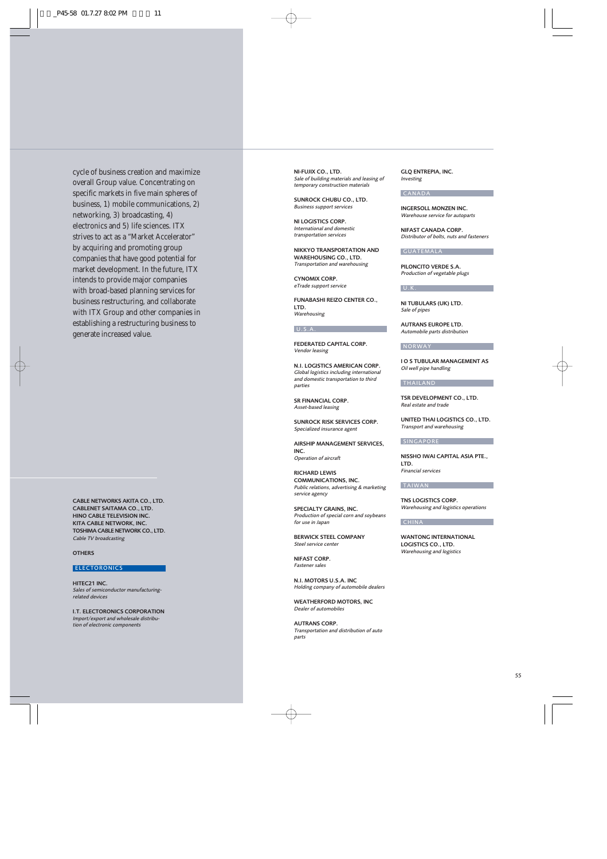cycle of business creation and maximize overall Group value. Concentrating on specific markets in five main spheres of business, 1) mobile communications, 2) networking, 3) broadcasting, 4) electronics and 5) life sciences. ITX strives to act as a "Market Accelerator" by acquiring and promoting group companies that have good potential for market development. In the future, ITX intends to provide major companies with broad-based planning services for business restructuring, and collaborate with ITX Group and other companies in establishing a restructuring business to generate increased value.

CABLE NETWORKS AKITA CO., LTD. CABLENET SAITAMA CO., LTD. HINO CABLE TELEVISION INC. KITA CABLE NETWORK, INC. TOSHIMA CABLE NETWORK CO., LTD. *Cable TV broadcasting*

**OTHERS** 

#### **ELECTORONICS**

HITEC21 INC. *Sales of semiconductor manufacturingrelated devices*

I.T. ELECTORONICS CORPORATION *Import/export and wholesale distribution of electronic components* 

NI-FUJIX CO., LTD. *Sale of building materials and leasing of temporary construction materials*

SUNROCK CHUBU CO., LTD. *Business support services*

NI LOGISTICS CORP. *International and domestic transportation services*

NIKKYO TRANSPORTATION AND WAREHOUSING CO., LTD. *Transportation and warehousing*

CYNOMIX CORP. *eTrade support service*

FUNABASHI REIZO CENTER CO., LTD. *Warehousing*

#### $U.S.A.$

FEDERATED CAPITAL CORP. *Vendor leasing*

N.I. LOGISTICS AMERICAN CORP. *Global logistics including international and domestic transportation to third parties*

SR FINANCIAL CORP. *Asset-based leasing*

SUNROCK RISK SERVICES CORP. *Specialized insurance agent*

AIRSHIP MANAGEMENT SERVICES, INC. *Operation of aircraft*

RICHARD LEWIS COMMUNICATIONS, INC. *Public relations, advertising & marketing service agency*

SPECIALTY GRAINS, INC. *Production of special corn and soybeans for use in Japan*

BERWICK STEEL COMPANY *Steel service center*

NIFAST CORP. *Fastener sales*

N.I. MOTORS U.S.A. INC *Holding company of automobile dealers*

WEATHERFORD MOTORS, INC *Dealer of automobiles*

AUTRANS CORP. *Transportation and distribution of auto parts*

GLQ ENTREPIA, INC. *Investing*

#### CANADA

INGERSOLL MONZEN INC. *Warehouse service for autoparts*

NIFAST CANADA CORP. *Distributor of bolts, nuts and fasteners*

#### GUATEMALA

PILONCITO VERDE S.A. *Production of vegetable plugs*

#### U.K.

NI TUBULARS (UK) LTD. *Sale of pipes*

AUTRANS EUROPE LTD. *Automobile parts distribution*

#### NORWAY

I O S TUBULAR MANAGEMENT AS *Oil well pipe handling*

#### THAILAND

TSR DEVELOPMENT CO., LTD. *Real estate and trade*

UNITED THAI LOGISTICS CO., LTD. *Transport and warehousing*

#### **SINGAPORE**

NISSHO IWAI CAPITAL ASIA PTE., LTD. *Financial services*

#### TAIWAN

TNS LOGISTICS CORP. *Warehousing and logistics operations*

#### **CHINA**

WANTONG INTERNATIONAL LOGISTICS CO., LTD. *Warehousing and logistics*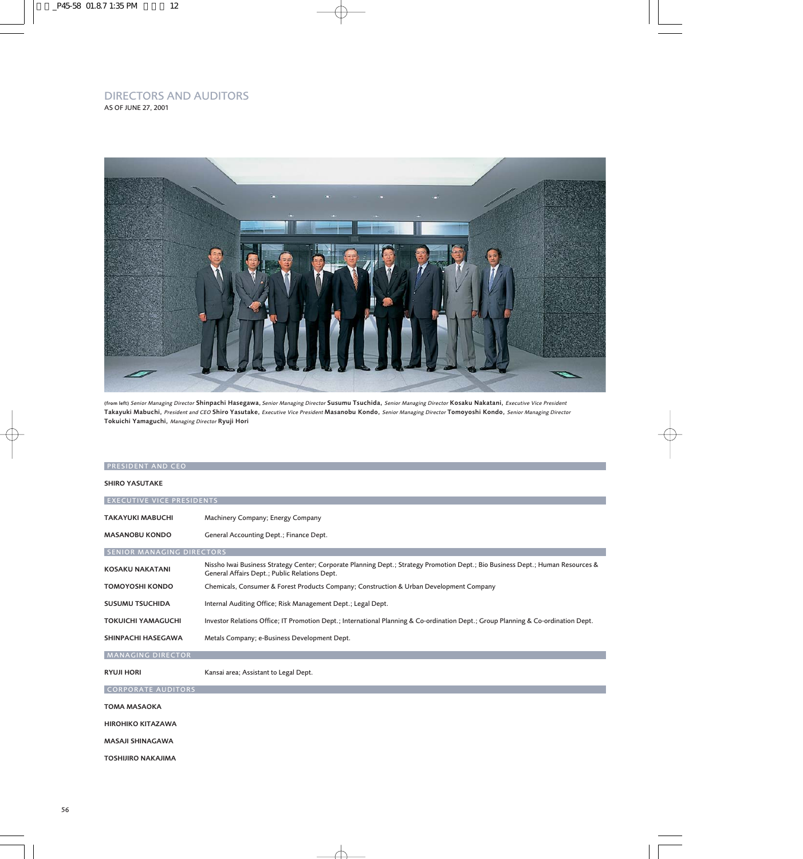### DIRECTORS AND AUDITORS AS OF JUNE 27, 2001



(from left) *Senior Managing Director* Shinpachi Hasegawa, *Senior Managing Director* Susumu Tsuchida, *Senior Managing Director* Kosaku Nakatani, *Executive Vice President* Takayuki Mabuchi, *President and CEO* Shiro Yasutake, *Executive Vice President* Masanobu Kondo, *Senior Managing Director* Tomoyoshi Kondo, *Senior Managing Director* Tokuichi Yamaguchi, *Managing Director* Ryuji Hori

| <b>PRESIDENT AND CEO</b>         |                                                                                                                                                                                  |  |  |  |  |
|----------------------------------|----------------------------------------------------------------------------------------------------------------------------------------------------------------------------------|--|--|--|--|
| <b>SHIRO YASUTAKE</b>            |                                                                                                                                                                                  |  |  |  |  |
| <b>EXECUTIVE VICE PRESIDENTS</b> |                                                                                                                                                                                  |  |  |  |  |
| <b>TAKAYUKI MABUCHI</b>          | Machinery Company; Energy Company                                                                                                                                                |  |  |  |  |
| <b>MASANOBU KONDO</b>            | General Accounting Dept.; Finance Dept.                                                                                                                                          |  |  |  |  |
| <b>SENIOR MANAGING DIRECTORS</b> |                                                                                                                                                                                  |  |  |  |  |
| <b>KOSAKU NAKATANI</b>           | Nissho Iwai Business Strategy Center; Corporate Planning Dept.; Strategy Promotion Dept.; Bio Business Dept.; Human Resources &<br>General Affairs Dept.; Public Relations Dept. |  |  |  |  |
| <b>TOMOYOSHI KONDO</b>           | Chemicals, Consumer & Forest Products Company; Construction & Urban Development Company                                                                                          |  |  |  |  |
| <b>SUSUMU TSUCHIDA</b>           | Internal Auditing Office; Risk Management Dept.; Legal Dept.                                                                                                                     |  |  |  |  |
| <b>TOKUICHI YAMAGUCHI</b>        | Investor Relations Office; IT Promotion Dept.; International Planning & Co-ordination Dept.; Group Planning & Co-ordination Dept.                                                |  |  |  |  |
| SHINPACHI HASEGAWA               | Metals Company; e-Business Development Dept.                                                                                                                                     |  |  |  |  |
| <b>MANAGING DIRECTOR</b>         |                                                                                                                                                                                  |  |  |  |  |
| <b>RYUJI HORI</b>                | Kansai area; Assistant to Legal Dept.                                                                                                                                            |  |  |  |  |
| <b>CORPORATE AUDITORS</b>        |                                                                                                                                                                                  |  |  |  |  |
| <b>TOMA MASAOKA</b>              |                                                                                                                                                                                  |  |  |  |  |
| <b>HIROHIKO KITAZAWA</b>         |                                                                                                                                                                                  |  |  |  |  |
| <b>MASAJI SHINAGAWA</b>          |                                                                                                                                                                                  |  |  |  |  |
| <b>TOSHIJIRO NAKAJIMA</b>        |                                                                                                                                                                                  |  |  |  |  |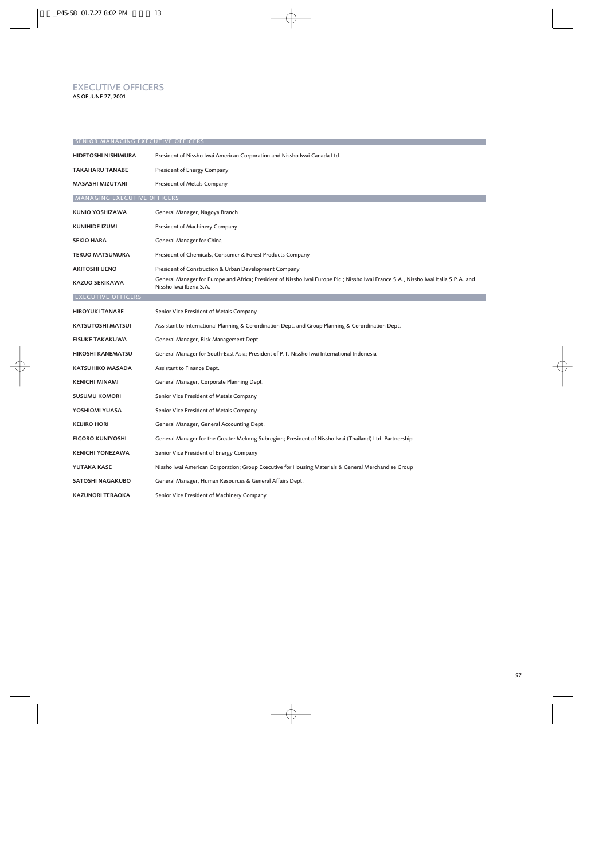### EXECUTIVE OFFICERS AS OF JUNE 27, 2001

| <b>SENIOR MANAGING EXECUTIVE OFFICERS</b> |                                                                                                                                                                |  |  |
|-------------------------------------------|----------------------------------------------------------------------------------------------------------------------------------------------------------------|--|--|
| HIDETOSHI NISHIMURA                       | President of Nissho Iwai American Corporation and Nissho Iwai Canada Ltd.                                                                                      |  |  |
| <b>TAKAHARU TANABE</b>                    | President of Energy Company                                                                                                                                    |  |  |
| MASASHI MIZUTANI                          | President of Metals Company                                                                                                                                    |  |  |
| <b>MANAGING EXECUTIVE OFFICERS</b>        |                                                                                                                                                                |  |  |
| <b>KUNIO YOSHIZAWA</b>                    | General Manager, Nagoya Branch                                                                                                                                 |  |  |
| <b>KUNIHIDE IZUMI</b>                     | President of Machinery Company                                                                                                                                 |  |  |
| <b>SEKIO HARA</b>                         | General Manager for China                                                                                                                                      |  |  |
| <b>TERUO MATSUMURA</b>                    | President of Chemicals, Consumer & Forest Products Company                                                                                                     |  |  |
| <b>AKITOSHI UENO</b>                      | President of Construction & Urban Development Company                                                                                                          |  |  |
| KAZUO SEKIKAWA                            | General Manager for Europe and Africa; President of Nissho Iwai Europe Plc.; Nissho Iwai France S.A., Nissho Iwai Italia S.P.A. and<br>Nissho Iwai Iberia S.A. |  |  |
| <b>EXECUTIVE OFFICERS</b>                 |                                                                                                                                                                |  |  |
| <b>HIROYUKI TANABE</b>                    | Senior Vice President of Metals Company                                                                                                                        |  |  |
| KATSUTOSHI MATSUI                         | Assistant to International Planning & Co-ordination Dept. and Group Planning & Co-ordination Dept.                                                             |  |  |
| <b>EISUKE TAKAKUWA</b>                    | General Manager, Risk Management Dept.                                                                                                                         |  |  |
| <b>HIROSHI KANEMATSU</b>                  | General Manager for South-East Asia; President of P.T. Nissho Iwai International Indonesia                                                                     |  |  |
| <b>KATSUHIKO MASADA</b>                   | Assistant to Finance Dept.                                                                                                                                     |  |  |
| <b>KENICHI MINAMI</b>                     | General Manager, Corporate Planning Dept.                                                                                                                      |  |  |
| <b>SUSUMU KOMORI</b>                      | Senior Vice President of Metals Company                                                                                                                        |  |  |
| YOSHIOMI YUASA                            | Senior Vice President of Metals Company                                                                                                                        |  |  |
| <b>KEIJIRO HORI</b>                       | General Manager, General Accounting Dept.                                                                                                                      |  |  |
| <b>EIGORO KUNIYOSHI</b>                   | General Manager for the Greater Mekong Subregion; President of Nissho Iwai (Thailand) Ltd. Partnership                                                         |  |  |
| <b>KENICHI YONEZAWA</b>                   | Senior Vice President of Energy Company                                                                                                                        |  |  |
| YUTAKA KASE                               | Nissho Iwai American Corporation; Group Executive for Housing Materials & General Merchandise Group                                                            |  |  |
| <b>SATOSHI NAGAKUBO</b>                   | General Manager, Human Resources & General Affairs Dept.                                                                                                       |  |  |
| <b>KAZUNORI TERAOKA</b>                   | Senior Vice President of Machinery Company                                                                                                                     |  |  |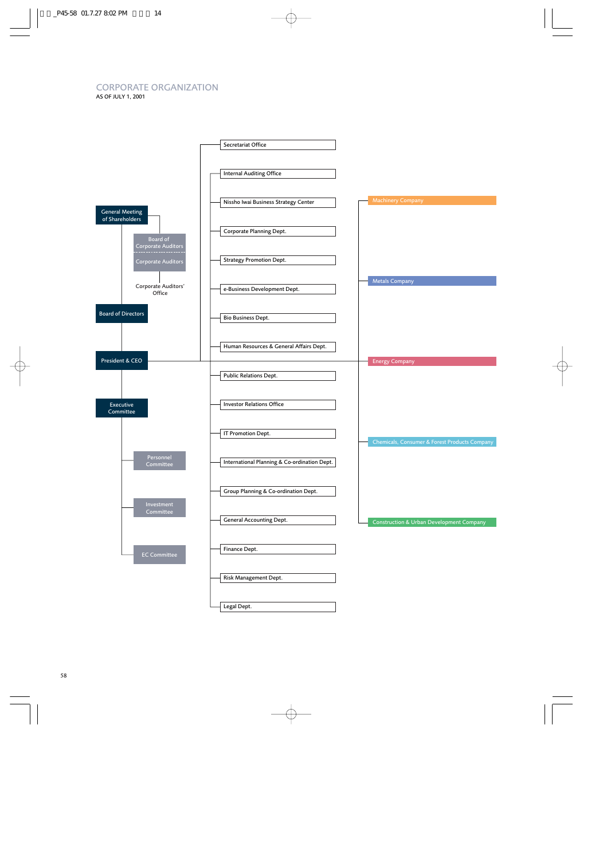# CORPORATE ORGANIZATION

AS OF JULY 1, 2001

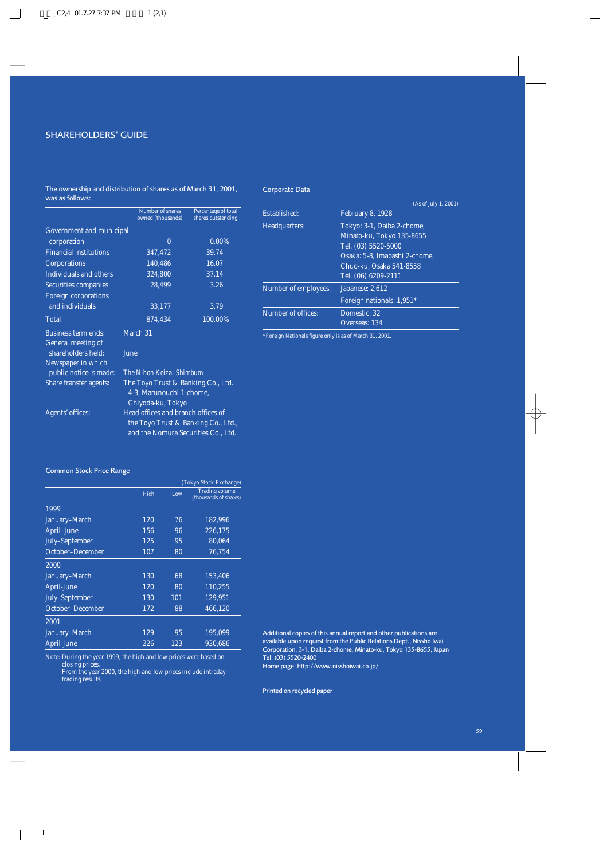### SHAREHOLDERS' GUIDE

The ownership and distribution of shares as of March 31, 2001, was as follows:

### Corporate Data

|                                 | Number of shares<br>owned (thousands) | Percentage of total<br>shares outstanding |  |  |  |
|---------------------------------|---------------------------------------|-------------------------------------------|--|--|--|
| <b>Government and municipal</b> |                                       |                                           |  |  |  |
| corporation                     | $\theta$                              | 0.00%                                     |  |  |  |
| <b>Financial institutions</b>   | 347,472                               | 39.74                                     |  |  |  |
| Corporations                    | 140,486                               | 16.07                                     |  |  |  |
| Individuals and others          | 324,800                               | 37.14                                     |  |  |  |
| Securities companies            | 28,499                                | 3.26                                      |  |  |  |
| <b>Foreign corporations</b>     |                                       |                                           |  |  |  |
| and individuals                 | 33,177                                | 3.79                                      |  |  |  |
| Total                           | 874,434                               | 100.00%                                   |  |  |  |
| <b>Business term ends:</b>      | March 31                              |                                           |  |  |  |
| General meeting of              |                                       |                                           |  |  |  |
| shareholders held:              | June                                  |                                           |  |  |  |
| Newspaper in which              |                                       |                                           |  |  |  |
| public notice is made:          | The Nihon Keizai Shimbum              |                                           |  |  |  |
| Share transfer agents:          | The Toyo Trust & Banking Co., Ltd.    |                                           |  |  |  |
|                                 | 4-3, Marunouchi 1-chome,              |                                           |  |  |  |
|                                 | Chiyoda-ku, Tokyo                     |                                           |  |  |  |
| Agents' offices:                | Head offices and branch offices of    |                                           |  |  |  |
|                                 | the Toyo Trust & Banking Co., Ltd.,   |                                           |  |  |  |
|                                 | and the Nomura Securities Co., Ltd.   |                                           |  |  |  |

|                      | (As of July 1, 2001)          |
|----------------------|-------------------------------|
| Established:         | <b>February 8, 1928</b>       |
| Headquarters:        | Tokyo: 3-1, Daiba 2-chome,    |
|                      | Minato-ku, Tokyo 135-8655     |
|                      | Tel. (03) 5520-5000           |
|                      | Osaka: 5-8. Imabashi 2-chome. |
|                      | Chuo-ku. Osaka 541-8558       |
|                      | Tel. (06) 6209-2111           |
| Number of employees: | Japanese: 2,612               |
|                      | Foreign nationals: 1,951*     |
| Number of offices:   | Domestic: 32                  |
|                      | Overseas: 134                 |
|                      |                               |

\*Foreign Nationals figure only is as of March 31, 2001.

### Common Stock Price Range

|                  | (Tokyo Stock Exchange) |                 |                                                |  |
|------------------|------------------------|-----------------|------------------------------------------------|--|
|                  | High                   | Low             | <b>Trading volume</b><br>(thousands of shares) |  |
| 1999             |                        |                 |                                                |  |
| January-March    | 120                    | 76              | 182,996                                        |  |
| April-June       | 156                    | 96              | 226,175                                        |  |
| July-September   | 125                    | 95              | 80,064                                         |  |
| October-December | 107                    | 80              | 76.754                                         |  |
| 2000             |                        |                 |                                                |  |
| January-March    | 130                    | 68              | 153,406                                        |  |
| April-June       | 120                    | $\overline{80}$ | 110,255                                        |  |
| July-September   | 130                    | 101             | 129.951                                        |  |
| October-December | 172                    | 88              | 466,120                                        |  |
| 2001             |                        |                 |                                                |  |
| January-March    | 129                    | 95              | 195.099                                        |  |
| April-June       | 226                    | 123             | 930.686                                        |  |

Note: During the year 1999, the high and low prices were based on closing prices.

From the year 2000, the high and low prices include intraday trading results.

Additional copies of this annual report and other publications are available upon request from the Public Relations Dept., Nissho Iwai Corporation, 3-1, Daiba 2-chome, Minato-ku, Tokyo 135-8655, Japan Tel: (03) 5520-2400

Home page: http://www.nisshoiwai.co.jp/

Printed on recycled paper